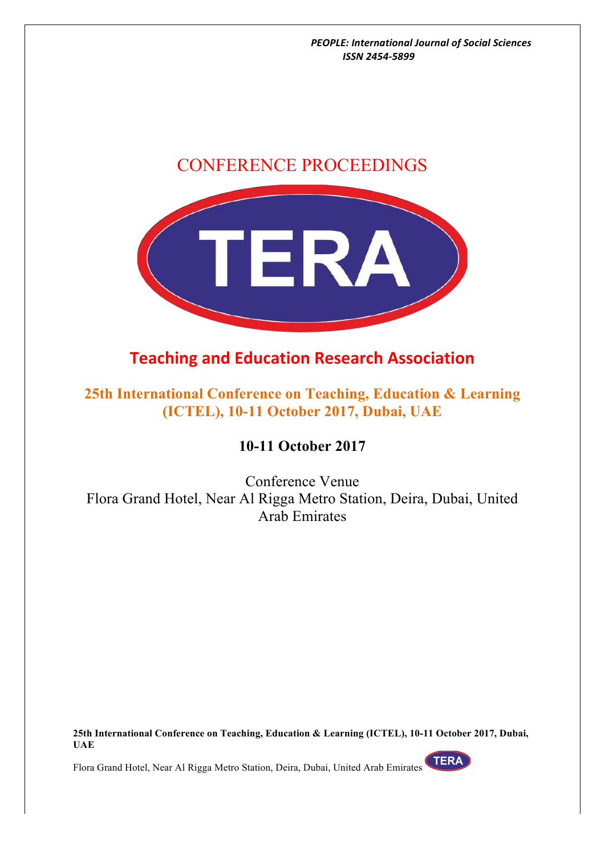



# **Teaching and Education Research Association**

# **25th International Conference on Teaching, Education & Learning (ICTEL), 10-11 October 2017, Dubai, UAE**

## **10-11 October 2017**

Conference Venue Flora Grand Hotel, Near Al Rigga Metro Station, Deira, Dubai, United Arab Emirates

**25th International Conference on Teaching, Education & Learning (ICTEL), 10-11 October 2017, Dubai, UAE**

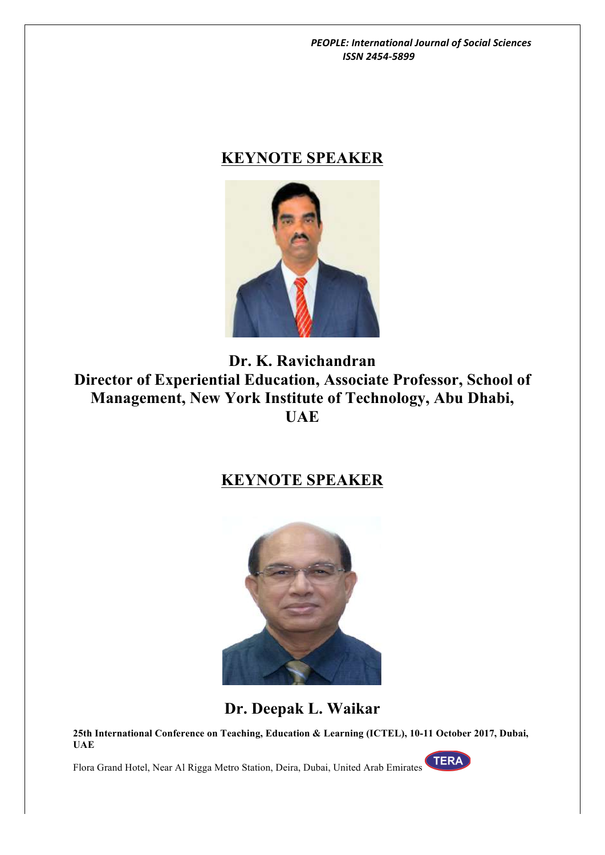# **KEYNOTE SPEAKER**



**Dr. K. Ravichandran Director of Experiential Education, Associate Professor, School of Management, New York Institute of Technology, Abu Dhabi, UAE**

# **KEYNOTE SPEAKER**



**Dr. Deepak L. Waikar**

**25th International Conference on Teaching, Education & Learning (ICTEL), 10-11 October 2017, Dubai, UAE**

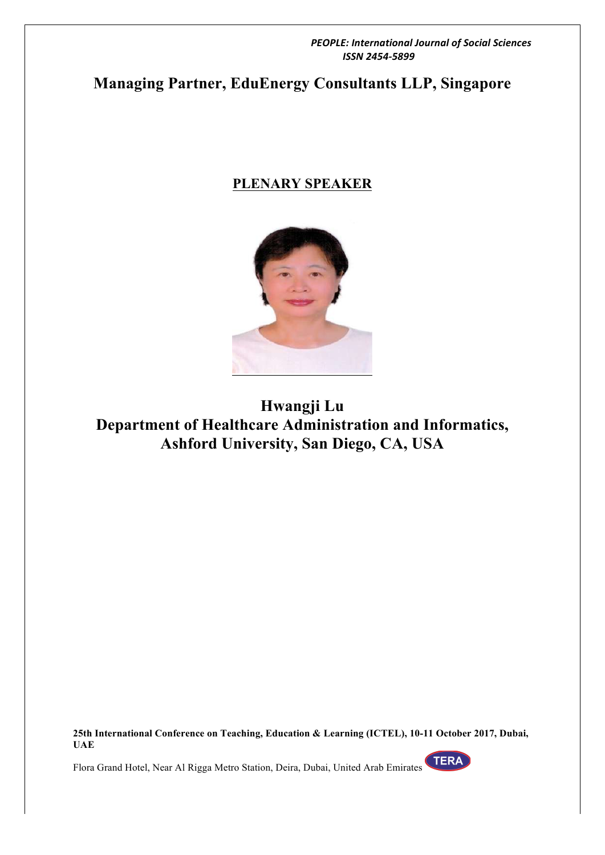# **Managing Partner, EduEnergy Consultants LLP, Singapore**

## **PLENARY SPEAKER**



**Hwangji Lu Department of Healthcare Administration and Informatics, Ashford University, San Diego, CA, USA**

**25th International Conference on Teaching, Education & Learning (ICTEL), 10-11 October 2017, Dubai, UAE**

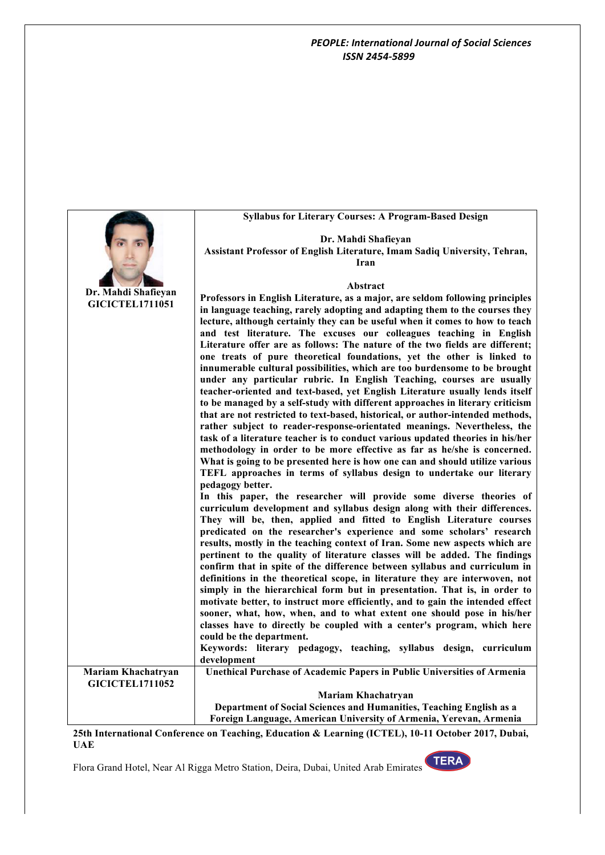|                                              | <b>Syllabus for Literary Courses: A Program-Based Design</b>                                                                                                    |
|----------------------------------------------|-----------------------------------------------------------------------------------------------------------------------------------------------------------------|
|                                              | Dr. Mahdi Shafieyan                                                                                                                                             |
|                                              | Assistant Professor of English Literature, Imam Sadiq University, Tehran,                                                                                       |
|                                              | Iran                                                                                                                                                            |
|                                              |                                                                                                                                                                 |
| Dr. Mahdi Shafieyan                          | <b>Abstract</b>                                                                                                                                                 |
| <b>GICICTEL1711051</b>                       | Professors in English Literature, as a major, are seldom following principles                                                                                   |
|                                              | in language teaching, rarely adopting and adapting them to the courses they<br>lecture, although certainly they can be useful when it comes to how to teach     |
|                                              | and test literature. The excuses our colleagues teaching in English                                                                                             |
|                                              | Literature offer are as follows: The nature of the two fields are different;                                                                                    |
|                                              | one treats of pure theoretical foundations, yet the other is linked to                                                                                          |
|                                              | innumerable cultural possibilities, which are too burdensome to be brought                                                                                      |
|                                              | under any particular rubric. In English Teaching, courses are usually                                                                                           |
|                                              | teacher-oriented and text-based, yet English Literature usually lends itself                                                                                    |
|                                              | to be managed by a self-study with different approaches in literary criticism<br>that are not restricted to text-based, historical, or author-intended methods, |
|                                              | rather subject to reader-response-orientated meanings. Nevertheless, the                                                                                        |
|                                              | task of a literature teacher is to conduct various updated theories in his/her                                                                                  |
|                                              | methodology in order to be more effective as far as he/she is concerned.                                                                                        |
|                                              | What is going to be presented here is how one can and should utilize various                                                                                    |
|                                              | TEFL approaches in terms of syllabus design to undertake our literary                                                                                           |
|                                              | pedagogy better.<br>In this paper, the researcher will provide some diverse theories of                                                                         |
|                                              | curriculum development and syllabus design along with their differences.                                                                                        |
|                                              | They will be, then, applied and fitted to English Literature courses                                                                                            |
|                                              | predicated on the researcher's experience and some scholars' research                                                                                           |
|                                              | results, mostly in the teaching context of Iran. Some new aspects which are                                                                                     |
|                                              | pertinent to the quality of literature classes will be added. The findings                                                                                      |
|                                              | confirm that in spite of the difference between syllabus and curriculum in                                                                                      |
|                                              | definitions in the theoretical scope, in literature they are interwoven, not<br>simply in the hierarchical form but in presentation. That is, in order to       |
|                                              | motivate better, to instruct more efficiently, and to gain the intended effect                                                                                  |
|                                              | sooner, what, how, when, and to what extent one should pose in his/her                                                                                          |
|                                              | classes have to directly be coupled with a center's program, which here                                                                                         |
|                                              | could be the department.                                                                                                                                        |
|                                              | Keywords: literary pedagogy, teaching, syllabus design, curriculum                                                                                              |
|                                              | development                                                                                                                                                     |
| Mariam Khachatryan<br><b>GICICTEL1711052</b> | <b>Unethical Purchase of Academic Papers in Public Universities of Armenia</b>                                                                                  |
|                                              | Mariam Khachatryan                                                                                                                                              |
|                                              | Department of Social Sciences and Humanities, Teaching English as a                                                                                             |
|                                              | Foreign Language, American University of Armenia, Yerevan, Armenia                                                                                              |
|                                              |                                                                                                                                                                 |

**25th International Conference on Teaching, Education & Learning (ICTEL), 10-11 October 2017, Dubai, UAE**

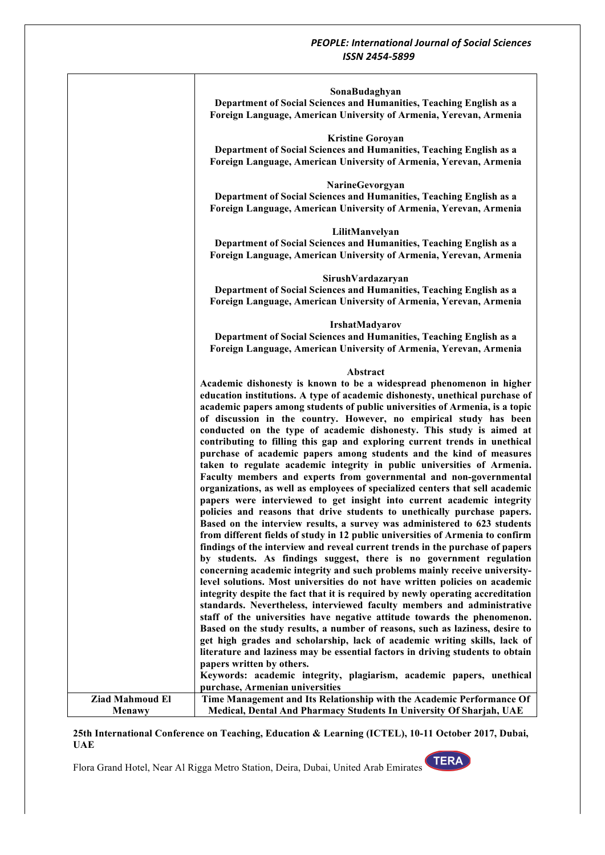|                                         | SonaBudaghyan<br>Department of Social Sciences and Humanities, Teaching English as a<br>Foreign Language, American University of Armenia, Yerevan, Armenia<br><b>Kristine Goroyan</b><br>Department of Social Sciences and Humanities, Teaching English as a                                                                                                                                                                                                                                                                                                                                                                                                                                                                                                                                                                                                                                                                                                                                                                                                                                                                                                                                                                                                                                                                                                                                                                                                                                                                                                                                                                                                                                                                                                                                                                                                                                                                                                                                                                                                     |
|-----------------------------------------|------------------------------------------------------------------------------------------------------------------------------------------------------------------------------------------------------------------------------------------------------------------------------------------------------------------------------------------------------------------------------------------------------------------------------------------------------------------------------------------------------------------------------------------------------------------------------------------------------------------------------------------------------------------------------------------------------------------------------------------------------------------------------------------------------------------------------------------------------------------------------------------------------------------------------------------------------------------------------------------------------------------------------------------------------------------------------------------------------------------------------------------------------------------------------------------------------------------------------------------------------------------------------------------------------------------------------------------------------------------------------------------------------------------------------------------------------------------------------------------------------------------------------------------------------------------------------------------------------------------------------------------------------------------------------------------------------------------------------------------------------------------------------------------------------------------------------------------------------------------------------------------------------------------------------------------------------------------------------------------------------------------------------------------------------------------|
|                                         | Foreign Language, American University of Armenia, Yerevan, Armenia<br>NarineGevorgyan<br>Department of Social Sciences and Humanities, Teaching English as a<br>Foreign Language, American University of Armenia, Yerevan, Armenia                                                                                                                                                                                                                                                                                                                                                                                                                                                                                                                                                                                                                                                                                                                                                                                                                                                                                                                                                                                                                                                                                                                                                                                                                                                                                                                                                                                                                                                                                                                                                                                                                                                                                                                                                                                                                               |
|                                         | LilitManvelyan<br>Department of Social Sciences and Humanities, Teaching English as a<br>Foreign Language, American University of Armenia, Yerevan, Armenia                                                                                                                                                                                                                                                                                                                                                                                                                                                                                                                                                                                                                                                                                                                                                                                                                                                                                                                                                                                                                                                                                                                                                                                                                                                                                                                                                                                                                                                                                                                                                                                                                                                                                                                                                                                                                                                                                                      |
|                                         | SirushVardazaryan<br>Department of Social Sciences and Humanities, Teaching English as a<br>Foreign Language, American University of Armenia, Yerevan, Armenia                                                                                                                                                                                                                                                                                                                                                                                                                                                                                                                                                                                                                                                                                                                                                                                                                                                                                                                                                                                                                                                                                                                                                                                                                                                                                                                                                                                                                                                                                                                                                                                                                                                                                                                                                                                                                                                                                                   |
|                                         | <b>IrshatMadyarov</b><br>Department of Social Sciences and Humanities, Teaching English as a<br>Foreign Language, American University of Armenia, Yerevan, Armenia                                                                                                                                                                                                                                                                                                                                                                                                                                                                                                                                                                                                                                                                                                                                                                                                                                                                                                                                                                                                                                                                                                                                                                                                                                                                                                                                                                                                                                                                                                                                                                                                                                                                                                                                                                                                                                                                                               |
|                                         | Abstract<br>Academic dishonesty is known to be a widespread phenomenon in higher<br>education institutions. A type of academic dishonesty, unethical purchase of<br>academic papers among students of public universities of Armenia, is a topic<br>of discussion in the country. However, no empirical study has been<br>conducted on the type of academic dishonesty. This study is aimed at<br>contributing to filling this gap and exploring current trends in unethical<br>purchase of academic papers among students and the kind of measures<br>taken to regulate academic integrity in public universities of Armenia.<br>Faculty members and experts from governmental and non-governmental<br>organizations, as well as employees of specialized centers that sell academic<br>papers were interviewed to get insight into current academic integrity<br>policies and reasons that drive students to unethically purchase papers.<br>Based on the interview results, a survey was administered to 623 students<br>from different fields of study in 12 public universities of Armenia to confirm<br>findings of the interview and reveal current trends in the purchase of papers<br>by students. As findings suggest, there is no government regulation<br>concerning academic integrity and such problems mainly receive university-<br>level solutions. Most universities do not have written policies on academic<br>integrity despite the fact that it is required by newly operating accreditation<br>standards. Nevertheless, interviewed faculty members and administrative<br>staff of the universities have negative attitude towards the phenomenon.<br>Based on the study results, a number of reasons, such as laziness, desire to<br>get high grades and scholarship, lack of academic writing skills, lack of<br>literature and laziness may be essential factors in driving students to obtain<br>papers written by others.<br>Keywords: academic integrity, plagiarism, academic papers, unethical<br>purchase, Armenian universities |
| <b>Ziad Mahmoud El</b><br><b>Menawy</b> | Time Management and Its Relationship with the Academic Performance Of<br>Medical, Dental And Pharmacy Students In University Of Sharjah, UAE                                                                                                                                                                                                                                                                                                                                                                                                                                                                                                                                                                                                                                                                                                                                                                                                                                                                                                                                                                                                                                                                                                                                                                                                                                                                                                                                                                                                                                                                                                                                                                                                                                                                                                                                                                                                                                                                                                                     |

#### **25th International Conference on Teaching, Education & Learning (ICTEL), 10-11 October 2017, Dubai, UAE**

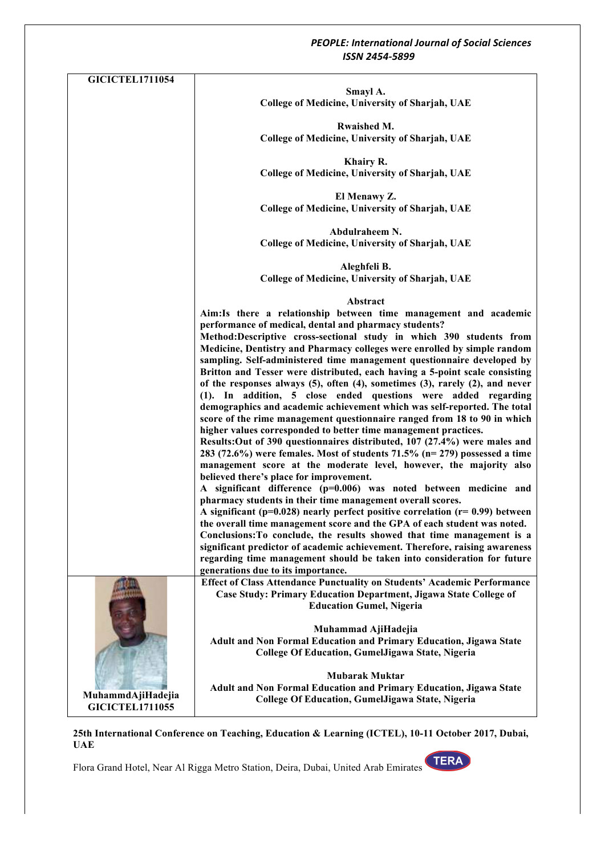| <b>GICICTEL1711054</b> |                                                                                                                                                                  |
|------------------------|------------------------------------------------------------------------------------------------------------------------------------------------------------------|
|                        | Smayl A.                                                                                                                                                         |
|                        | College of Medicine, University of Sharjah, UAE                                                                                                                  |
|                        |                                                                                                                                                                  |
|                        | Rwaished M.                                                                                                                                                      |
|                        | College of Medicine, University of Sharjah, UAE                                                                                                                  |
|                        | Khairy R.                                                                                                                                                        |
|                        | College of Medicine, University of Sharjah, UAE                                                                                                                  |
|                        |                                                                                                                                                                  |
|                        | El Menawy Z.                                                                                                                                                     |
|                        | College of Medicine, University of Sharjah, UAE                                                                                                                  |
|                        |                                                                                                                                                                  |
|                        | Abdulraheem N.                                                                                                                                                   |
|                        | College of Medicine, University of Sharjah, UAE                                                                                                                  |
|                        | Aleghfeli B.                                                                                                                                                     |
|                        | College of Medicine, University of Sharjah, UAE                                                                                                                  |
|                        |                                                                                                                                                                  |
|                        | Abstract                                                                                                                                                         |
|                        | Aim: Is there a relationship between time management and academic                                                                                                |
|                        | performance of medical, dental and pharmacy students?                                                                                                            |
|                        | Method:Descriptive cross-sectional study in which 390 students from                                                                                              |
|                        | Medicine, Dentistry and Pharmacy colleges were enrolled by simple random                                                                                         |
|                        | sampling. Self-administered time management questionnaire developed by                                                                                           |
|                        | Britton and Tesser were distributed, each having a 5-point scale consisting<br>of the responses always (5), often (4), sometimes (3), rarely (2), and never      |
|                        | (1). In addition, 5 close ended questions were added regarding                                                                                                   |
|                        | demographics and academic achievement which was self-reported. The total                                                                                         |
|                        | score of the rime management questionnaire ranged from 18 to 90 in which                                                                                         |
|                        | higher values corresponded to better time management practices.                                                                                                  |
|                        | Results: Out of 390 questionnaires distributed, 107 (27.4%) were males and                                                                                       |
|                        | 283 (72.6%) were females. Most of students 71.5% (n= 279) possessed a time                                                                                       |
|                        | management score at the moderate level, however, the majority also                                                                                               |
|                        | believed there's place for improvement.                                                                                                                          |
|                        | A significant difference (p=0.006) was noted between medicine and                                                                                                |
|                        | pharmacy students in their time management overall scores.                                                                                                       |
|                        | A significant ( $p=0.028$ ) nearly perfect positive correlation ( $r=0.99$ ) between<br>the overall time management score and the GPA of each student was noted. |
|                        | Conclusions: To conclude, the results showed that time management is a                                                                                           |
|                        | significant predictor of academic achievement. Therefore, raising awareness                                                                                      |
|                        | regarding time management should be taken into consideration for future                                                                                          |
|                        | generations due to its importance.                                                                                                                               |
|                        | Effect of Class Attendance Punctuality on Students' Academic Performance                                                                                         |
|                        | Case Study: Primary Education Department, Jigawa State College of                                                                                                |
|                        | <b>Education Gumel, Nigeria</b>                                                                                                                                  |
|                        |                                                                                                                                                                  |
|                        | Muhammad AjiHadejia                                                                                                                                              |
|                        | Adult and Non Formal Education and Primary Education, Jigawa State<br>College Of Education, GumelJigawa State, Nigeria                                           |
|                        |                                                                                                                                                                  |
|                        | <b>Mubarak Muktar</b>                                                                                                                                            |
|                        | Adult and Non Formal Education and Primary Education, Jigawa State                                                                                               |
| MuhammdAjiHadejia      | College Of Education, GumelJigawa State, Nigeria                                                                                                                 |
| <b>GICICTEL1711055</b> |                                                                                                                                                                  |

#### **25th International Conference on Teaching, Education & Learning (ICTEL), 10-11 October 2017, Dubai, UAE**

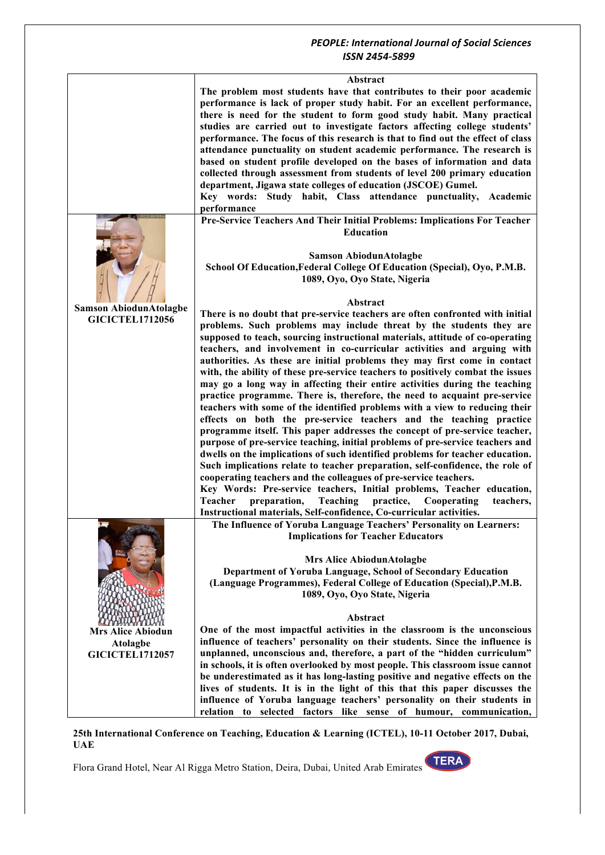|                               | Abstract                                                                        |
|-------------------------------|---------------------------------------------------------------------------------|
|                               | The problem most students have that contributes to their poor academic          |
|                               | performance is lack of proper study habit. For an excellent performance,        |
|                               | there is need for the student to form good study habit. Many practical          |
|                               | studies are carried out to investigate factors affecting college students'      |
|                               |                                                                                 |
|                               | performance. The focus of this research is that to find out the effect of class |
|                               | attendance punctuality on student academic performance. The research is         |
|                               | based on student profile developed on the bases of information and data         |
|                               | collected through assessment from students of level 200 primary education       |
|                               | department, Jigawa state colleges of education (JSCOE) Gumel.                   |
|                               | Key words: Study habit, Class attendance punctuality,<br>Academic               |
|                               | performance                                                                     |
|                               | Pre-Service Teachers And Their Initial Problems: Implications For Teacher       |
|                               | <b>Education</b>                                                                |
|                               |                                                                                 |
|                               |                                                                                 |
|                               | <b>Samson AbiodunAtolagbe</b>                                                   |
|                               | School Of Education, Federal College Of Education (Special), Oyo, P.M.B.        |
|                               | 1089, Oyo, Oyo State, Nigeria                                                   |
|                               |                                                                                 |
|                               | Abstract                                                                        |
| <b>Samson AbiodunAtolagbe</b> | There is no doubt that pre-service teachers are often confronted with initial   |
| <b>GICICTEL1712056</b>        |                                                                                 |
|                               | problems. Such problems may include threat by the students they are             |
|                               | supposed to teach, sourcing instructional materials, attitude of co-operating   |
|                               | teachers, and involvement in co-curricular activities and arguing with          |
|                               | authorities. As these are initial problems they may first come in contact       |
|                               | with, the ability of these pre-service teachers to positively combat the issues |
|                               | may go a long way in affecting their entire activities during the teaching      |
|                               | practice programme. There is, therefore, the need to acquaint pre-service       |
|                               | teachers with some of the identified problems with a view to reducing their     |
|                               | effects on both the pre-service teachers and the teaching practice              |
|                               | programme itself. This paper addresses the concept of pre-service teacher,      |
|                               |                                                                                 |
|                               | purpose of pre-service teaching, initial problems of pre-service teachers and   |
|                               | dwells on the implications of such identified problems for teacher education.   |
|                               | Such implications relate to teacher preparation, self-confidence, the role of   |
|                               | cooperating teachers and the colleagues of pre-service teachers.                |
|                               | Key Words: Pre-service teachers, Initial problems, Teacher education,           |
|                               | Teacher<br>Teaching<br>practice,<br>preparation,<br>Cooperating<br>teachers,    |
|                               | Instructional materials, Self-confidence, Co-curricular activities.             |
|                               | The Influence of Yoruba Language Teachers' Personality on Learners:             |
|                               | <b>Implications for Teacher Educators</b>                                       |
|                               |                                                                                 |
|                               | <b>Mrs Alice AbiodunAtolagbe</b>                                                |
|                               |                                                                                 |
|                               | Department of Yoruba Language, School of Secondary Education                    |
|                               | (Language Programmes), Federal College of Education (Special), P.M.B.           |
|                               | 1089, Oyo, Oyo State, Nigeria                                                   |
|                               |                                                                                 |
|                               | Abstract                                                                        |
| <b>Mrs Alice Abiodun</b>      | One of the most impactful activities in the classroom is the unconscious        |
| <b>Atolagbe</b>               | influence of teachers' personality on their students. Since the influence is    |
| <b>GICICTEL1712057</b>        | unplanned, unconscious and, therefore, a part of the "hidden curriculum"        |
|                               | in schools, it is often overlooked by most people. This classroom issue cannot  |
|                               |                                                                                 |
|                               | be underestimated as it has long-lasting positive and negative effects on the   |
|                               | lives of students. It is in the light of this that this paper discusses the     |
|                               | influence of Yoruba language teachers' personality on their students in         |
|                               | relation to selected factors like sense of humour, communication,               |

#### **25th International Conference on Teaching, Education & Learning (ICTEL), 10-11 October 2017, Dubai, UAE**

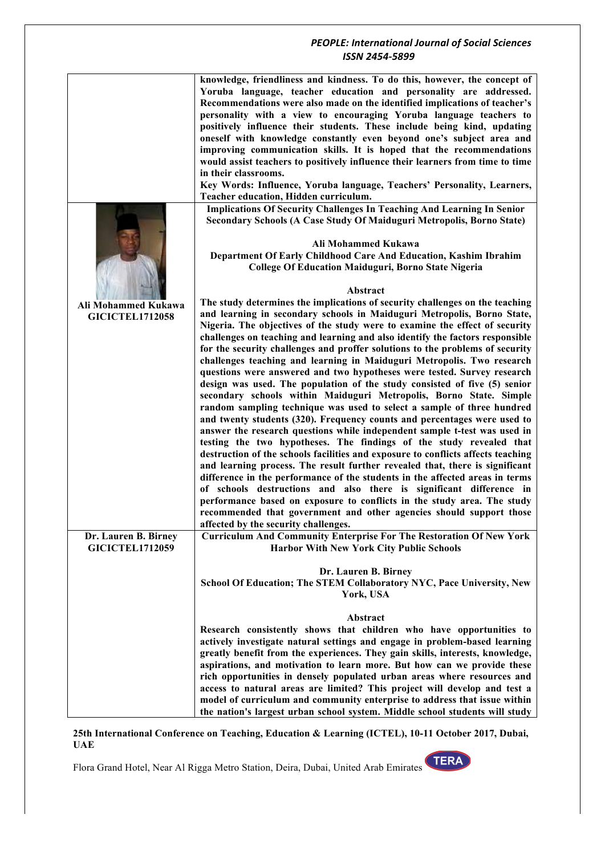|                        | knowledge, friendliness and kindness. To do this, however, the concept of        |
|------------------------|----------------------------------------------------------------------------------|
|                        | Yoruba language, teacher education and personality are addressed.                |
|                        | Recommendations were also made on the identified implications of teacher's       |
|                        | personality with a view to encouraging Yoruba language teachers to               |
|                        |                                                                                  |
|                        | positively influence their students. These include being kind, updating          |
|                        | oneself with knowledge constantly even beyond one's subject area and             |
|                        | improving communication skills. It is hoped that the recommendations             |
|                        | would assist teachers to positively influence their learners from time to time   |
|                        | in their classrooms.                                                             |
|                        | Key Words: Influence, Yoruba language, Teachers' Personality, Learners,          |
|                        | Teacher education, Hidden curriculum.                                            |
|                        | <b>Implications Of Security Challenges In Teaching And Learning In Senior</b>    |
|                        | Secondary Schools (A Case Study Of Maiduguri Metropolis, Borno State)            |
|                        |                                                                                  |
|                        | Ali Mohammed Kukawa                                                              |
|                        | Department Of Early Childhood Care And Education, Kashim Ibrahim                 |
|                        | <b>College Of Education Maiduguri, Borno State Nigeria</b>                       |
|                        |                                                                                  |
|                        |                                                                                  |
|                        | Abstract                                                                         |
| Ali Mohammed Kukawa    | The study determines the implications of security challenges on the teaching     |
| <b>GICICTEL1712058</b> | and learning in secondary schools in Maiduguri Metropolis, Borno State,          |
|                        | Nigeria. The objectives of the study were to examine the effect of security      |
|                        | challenges on teaching and learning and also identify the factors responsible    |
|                        | for the security challenges and proffer solutions to the problems of security    |
|                        | challenges teaching and learning in Maiduguri Metropolis. Two research           |
|                        | questions were answered and two hypotheses were tested. Survey research          |
|                        | design was used. The population of the study consisted of five (5) senior        |
|                        | secondary schools within Maiduguri Metropolis, Borno State. Simple               |
|                        | random sampling technique was used to select a sample of three hundred           |
|                        | and twenty students (320). Frequency counts and percentages were used to         |
|                        | answer the research questions while independent sample t-test was used in        |
|                        | testing the two hypotheses. The findings of the study revealed that              |
|                        | destruction of the schools facilities and exposure to conflicts affects teaching |
|                        | and learning process. The result further revealed that, there is significant     |
|                        |                                                                                  |
|                        | difference in the performance of the students in the affected areas in terms     |
|                        | of schools destructions and also there is significant difference in              |
|                        | performance based on exposure to conflicts in the study area. The study          |
|                        | recommended that government and other agencies should support those              |
|                        | affected by the security challenges.                                             |
| Dr. Lauren B. Birney   | <b>Curriculum And Community Enterprise For The Restoration Of New York</b>       |
| <b>GICICTEL1712059</b> | <b>Harbor With New York City Public Schools</b>                                  |
|                        |                                                                                  |
|                        | Dr. Lauren B. Birney                                                             |
|                        | School Of Education; The STEM Collaboratory NYC, Pace University, New            |
|                        | York, USA                                                                        |
|                        |                                                                                  |
|                        | Abstract                                                                         |
|                        | Research consistently shows that children who have opportunities to              |
|                        | actively investigate natural settings and engage in problem-based learning       |
|                        | greatly benefit from the experiences. They gain skills, interests, knowledge,    |
|                        | aspirations, and motivation to learn more. But how can we provide these          |
|                        |                                                                                  |
|                        | rich opportunities in densely populated urban areas where resources and          |
|                        | access to natural areas are limited? This project will develop and test a        |
|                        | model of curriculum and community enterprise to address that issue within        |
|                        | the nation's largest urban school system. Middle school students will study      |

**25th International Conference on Teaching, Education & Learning (ICTEL), 10-11 October 2017, Dubai, UAE**

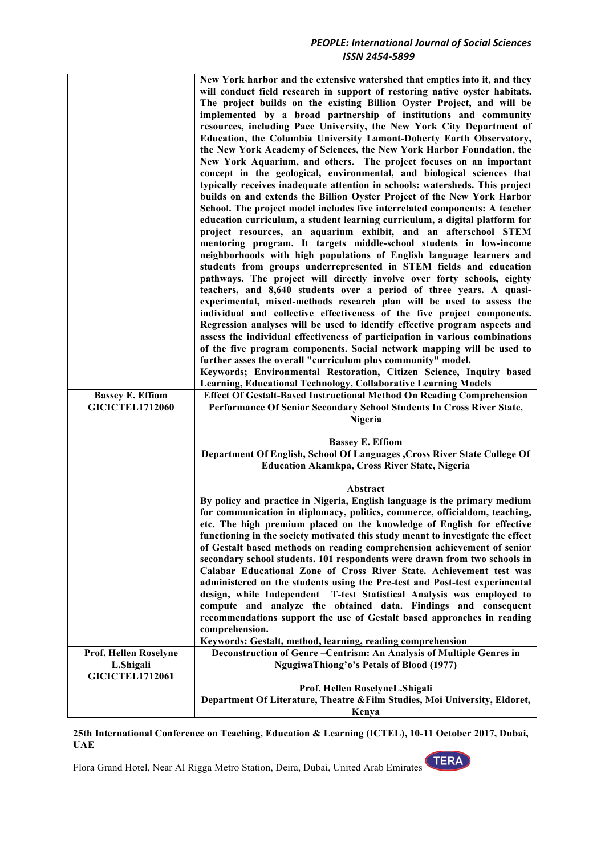| <b>Bassey E. Effiom</b><br><b>GICICTEL1712060</b> | New York harbor and the extensive watershed that empties into it, and they<br>will conduct field research in support of restoring native oyster habitats.<br>The project builds on the existing Billion Oyster Project, and will be<br>implemented by a broad partnership of institutions and community<br>resources, including Pace University, the New York City Department of<br>Education, the Columbia University Lamont-Doherty Earth Observatory,<br>the New York Academy of Sciences, the New York Harbor Foundation, the<br>New York Aquarium, and others. The project focuses on an important<br>concept in the geological, environmental, and biological sciences that<br>typically receives inadequate attention in schools: watersheds. This project<br>builds on and extends the Billion Oyster Project of the New York Harbor<br>School. The project model includes five interrelated components: A teacher<br>education curriculum, a student learning curriculum, a digital platform for<br>project resources, an aquarium exhibit, and an afterschool STEM<br>mentoring program. It targets middle-school students in low-income<br>neighborhoods with high populations of English language learners and<br>students from groups underrepresented in STEM fields and education<br>pathways. The project will directly involve over forty schools, eighty<br>teachers, and 8,640 students over a period of three years. A quasi-<br>experimental, mixed-methods research plan will be used to assess the<br>individual and collective effectiveness of the five project components.<br>Regression analyses will be used to identify effective program aspects and<br>assess the individual effectiveness of participation in various combinations<br>of the five program components. Social network mapping will be used to<br>further asses the overall "curriculum plus community" model.<br>Keywords; Environmental Restoration, Citizen Science, Inquiry based<br>Learning, Educational Technology, Collaborative Learning Models<br><b>Effect Of Gestalt-Based Instructional Method On Reading Comprehension</b><br>Performance Of Senior Secondary School Students In Cross River State, |
|---------------------------------------------------|-----------------------------------------------------------------------------------------------------------------------------------------------------------------------------------------------------------------------------------------------------------------------------------------------------------------------------------------------------------------------------------------------------------------------------------------------------------------------------------------------------------------------------------------------------------------------------------------------------------------------------------------------------------------------------------------------------------------------------------------------------------------------------------------------------------------------------------------------------------------------------------------------------------------------------------------------------------------------------------------------------------------------------------------------------------------------------------------------------------------------------------------------------------------------------------------------------------------------------------------------------------------------------------------------------------------------------------------------------------------------------------------------------------------------------------------------------------------------------------------------------------------------------------------------------------------------------------------------------------------------------------------------------------------------------------------------------------------------------------------------------------------------------------------------------------------------------------------------------------------------------------------------------------------------------------------------------------------------------------------------------------------------------------------------------------------------------------------------------------------------------------------------------------------------------------------------------------------|
|                                                   | Nigeria<br><b>Bassey E. Effiom</b>                                                                                                                                                                                                                                                                                                                                                                                                                                                                                                                                                                                                                                                                                                                                                                                                                                                                                                                                                                                                                                                                                                                                                                                                                                                                                                                                                                                                                                                                                                                                                                                                                                                                                                                                                                                                                                                                                                                                                                                                                                                                                                                                                                              |
|                                                   | Department Of English, School Of Languages, Cross River State College Of<br><b>Education Akamkpa, Cross River State, Nigeria</b>                                                                                                                                                                                                                                                                                                                                                                                                                                                                                                                                                                                                                                                                                                                                                                                                                                                                                                                                                                                                                                                                                                                                                                                                                                                                                                                                                                                                                                                                                                                                                                                                                                                                                                                                                                                                                                                                                                                                                                                                                                                                                |
| Prof. Hellen Roselyne                             | Abstract<br>By policy and practice in Nigeria, English language is the primary medium<br>for communication in diplomacy, politics, commerce, officialdom, teaching,<br>etc. The high premium placed on the knowledge of English for effective<br>functioning in the society motivated this study meant to investigate the effect<br>of Gestalt based methods on reading comprehension achievement of senior<br>secondary school students. 101 respondents were drawn from two schools in<br>Calabar Educational Zone of Cross River State. Achievement test was<br>administered on the students using the Pre-test and Post-test experimental<br>design, while Independent T-test Statistical Analysis was employed to<br>compute and analyze the obtained data. Findings and consequent<br>recommendations support the use of Gestalt based approaches in reading<br>comprehension.<br>Keywords: Gestalt, method, learning, reading comprehension<br>Deconstruction of Genre-Centrism: An Analysis of Multiple Genres in                                                                                                                                                                                                                                                                                                                                                                                                                                                                                                                                                                                                                                                                                                                                                                                                                                                                                                                                                                                                                                                                                                                                                                                       |
| L.Shigali<br><b>GICICTEL1712061</b>               | NgugiwaThiong'o's Petals of Blood (1977)                                                                                                                                                                                                                                                                                                                                                                                                                                                                                                                                                                                                                                                                                                                                                                                                                                                                                                                                                                                                                                                                                                                                                                                                                                                                                                                                                                                                                                                                                                                                                                                                                                                                                                                                                                                                                                                                                                                                                                                                                                                                                                                                                                        |
|                                                   | Prof. Hellen RoselyneL.Shigali<br>Department Of Literature, Theatre & Film Studies, Moi University, Eldoret,                                                                                                                                                                                                                                                                                                                                                                                                                                                                                                                                                                                                                                                                                                                                                                                                                                                                                                                                                                                                                                                                                                                                                                                                                                                                                                                                                                                                                                                                                                                                                                                                                                                                                                                                                                                                                                                                                                                                                                                                                                                                                                    |
|                                                   | Kenya                                                                                                                                                                                                                                                                                                                                                                                                                                                                                                                                                                                                                                                                                                                                                                                                                                                                                                                                                                                                                                                                                                                                                                                                                                                                                                                                                                                                                                                                                                                                                                                                                                                                                                                                                                                                                                                                                                                                                                                                                                                                                                                                                                                                           |

#### **25th International Conference on Teaching, Education & Learning (ICTEL), 10-11 October 2017, Dubai, UAE**

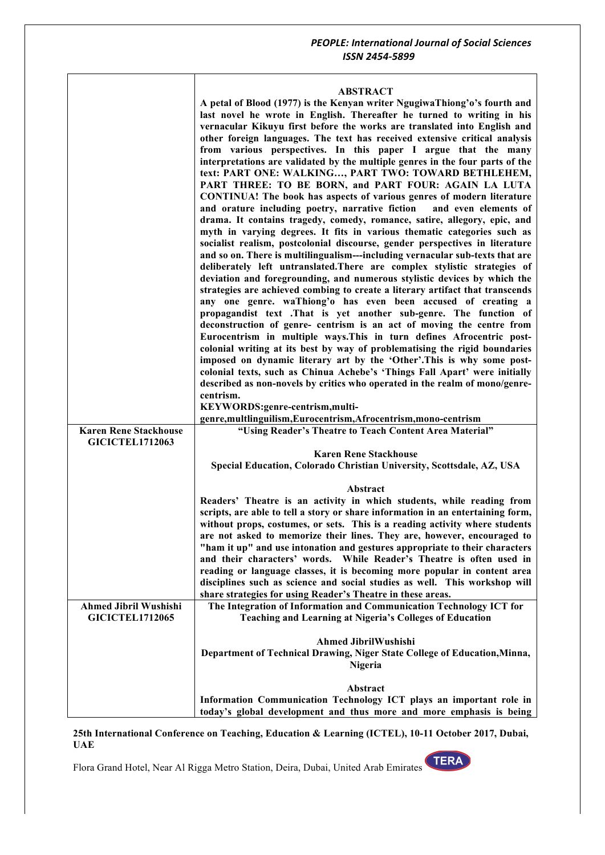## **ABSTRACT**

|                              | ABSIKACI                                                                        |
|------------------------------|---------------------------------------------------------------------------------|
|                              | A petal of Blood (1977) is the Kenyan writer NgugiwaThiong'o's fourth and       |
|                              | last novel he wrote in English. Thereafter he turned to writing in his          |
|                              | vernacular Kikuyu first before the works are translated into English and        |
|                              | other foreign languages. The text has received extensive critical analysis      |
|                              | from various perspectives. In this paper I argue that the many                  |
|                              | interpretations are validated by the multiple genres in the four parts of the   |
|                              | text: PART ONE: WALKING, PART TWO: TOWARD BETHLEHEM,                            |
|                              | PART THREE: TO BE BORN, and PART FOUR: AGAIN LA LUTA                            |
|                              | CONTINUA! The book has aspects of various genres of modern literature           |
|                              | and orature including poetry, narrative fiction<br>and even elements of         |
|                              | drama. It contains tragedy, comedy, romance, satire, allegory, epic, and        |
|                              | myth in varying degrees. It fits in various thematic categories such as         |
|                              | socialist realism, postcolonial discourse, gender perspectives in literature    |
|                              | and so on. There is multilingualism---including vernacular sub-texts that are   |
|                              | deliberately left untranslated. There are complex stylistic strategies of       |
|                              | deviation and foregrounding, and numerous stylistic devices by which the        |
|                              | strategies are achieved combing to create a literary artifact that transcends   |
|                              | any one genre. waThiong'o has even been accused of creating a                   |
|                              | propagandist text .That is yet another sub-genre. The function of               |
|                              | deconstruction of genre- centrism is an act of moving the centre from           |
|                              | Eurocentrism in multiple ways. This in turn defines Afrocentric post-           |
|                              | colonial writing at its best by way of problematising the rigid boundaries      |
|                              | imposed on dynamic literary art by the 'Other'. This is why some post-          |
|                              | colonial texts, such as Chinua Achebe's 'Things Fall Apart' were initially      |
|                              | described as non-novels by critics who operated in the realm of mono/genre-     |
|                              | centrism.                                                                       |
|                              | KEYWORDS:genre-centrism,multi-                                                  |
|                              | genre, multlinguilism, Eurocentrism, Afrocentrism, mono-centrism                |
| <b>Karen Rene Stackhouse</b> | "Using Reader's Theatre to Teach Content Area Material"                         |
|                              |                                                                                 |
| <b>GICICTEL1712063</b>       |                                                                                 |
|                              | <b>Karen Rene Stackhouse</b>                                                    |
|                              | Special Education, Colorado Christian University, Scottsdale, AZ, USA           |
|                              |                                                                                 |
|                              | Abstract                                                                        |
|                              | Readers' Theatre is an activity in which students, while reading from           |
|                              | scripts, are able to tell a story or share information in an entertaining form, |
|                              | without props, costumes, or sets. This is a reading activity where students     |
|                              | are not asked to memorize their lines. They are, however, encouraged to         |
|                              | "ham it up" and use intonation and gestures appropriate to their characters     |
|                              | While Reader's Theatre is often used in<br>and their characters' words.         |
|                              | reading or language classes, it is becoming more popular in content area        |
|                              | disciplines such as science and social studies as well. This workshop will      |
|                              | share strategies for using Reader's Theatre in these areas.                     |
| <b>Ahmed Jibril Wushishi</b> | The Integration of Information and Communication Technology ICT for             |
| <b>GICICTEL1712065</b>       | Teaching and Learning at Nigeria's Colleges of Education                        |
|                              |                                                                                 |
|                              | <b>Ahmed JibrilWushishi</b>                                                     |
|                              | Department of Technical Drawing, Niger State College of Education, Minna,       |
|                              | <b>Nigeria</b>                                                                  |
|                              | Abstract                                                                        |
|                              | Information Communication Technology ICT plays an important role in             |

**25th International Conference on Teaching, Education & Learning (ICTEL), 10-11 October 2017, Dubai, UAE**

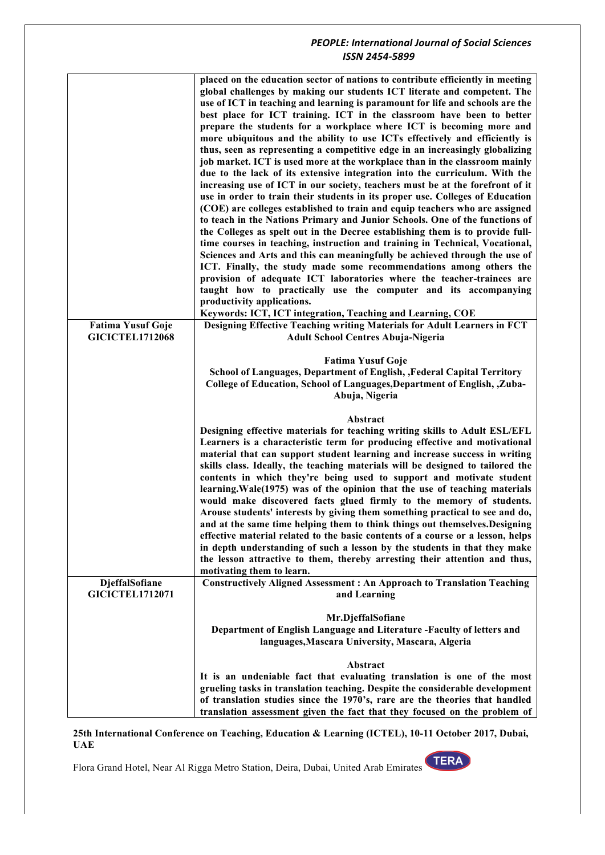|                                                    | placed on the education sector of nations to contribute efficiently in meeting<br>global challenges by making our students ICT literate and competent. The<br>use of ICT in teaching and learning is paramount for life and schools are the<br>best place for ICT training. ICT in the classroom have been to better<br>prepare the students for a workplace where ICT is becoming more and<br>more ubiquitous and the ability to use ICTs effectively and efficiently is<br>thus, seen as representing a competitive edge in an increasingly globalizing<br>job market. ICT is used more at the workplace than in the classroom mainly<br>due to the lack of its extensive integration into the curriculum. With the<br>increasing use of ICT in our society, teachers must be at the forefront of it<br>use in order to train their students in its proper use. Colleges of Education<br>(COE) are colleges established to train and equip teachers who are assigned<br>to teach in the Nations Primary and Junior Schools. One of the functions of<br>the Colleges as spelt out in the Decree establishing them is to provide full-<br>time courses in teaching, instruction and training in Technical, Vocational,<br>Sciences and Arts and this can meaningfully be achieved through the use of<br>ICT. Finally, the study made some recommendations among others the<br>provision of adequate ICT laboratories where the teacher-trainees are<br>taught how to practically use the computer and its accompanying<br>productivity applications. |
|----------------------------------------------------|------------------------------------------------------------------------------------------------------------------------------------------------------------------------------------------------------------------------------------------------------------------------------------------------------------------------------------------------------------------------------------------------------------------------------------------------------------------------------------------------------------------------------------------------------------------------------------------------------------------------------------------------------------------------------------------------------------------------------------------------------------------------------------------------------------------------------------------------------------------------------------------------------------------------------------------------------------------------------------------------------------------------------------------------------------------------------------------------------------------------------------------------------------------------------------------------------------------------------------------------------------------------------------------------------------------------------------------------------------------------------------------------------------------------------------------------------------------------------------------------------------------------------------------------------|
|                                                    | Keywords: ICT, ICT integration, Teaching and Learning, COE                                                                                                                                                                                                                                                                                                                                                                                                                                                                                                                                                                                                                                                                                                                                                                                                                                                                                                                                                                                                                                                                                                                                                                                                                                                                                                                                                                                                                                                                                           |
| <b>Fatima Yusuf Goje</b><br><b>GICICTEL1712068</b> | Designing Effective Teaching writing Materials for Adult Learners in FCT<br><b>Adult School Centres Abuja-Nigeria</b>                                                                                                                                                                                                                                                                                                                                                                                                                                                                                                                                                                                                                                                                                                                                                                                                                                                                                                                                                                                                                                                                                                                                                                                                                                                                                                                                                                                                                                |
|                                                    | <b>Fatima Yusuf Goje</b><br>School of Languages, Department of English, , Federal Capital Territory<br>College of Education, School of Languages, Department of English, , Zuba-<br>Abuja, Nigeria                                                                                                                                                                                                                                                                                                                                                                                                                                                                                                                                                                                                                                                                                                                                                                                                                                                                                                                                                                                                                                                                                                                                                                                                                                                                                                                                                   |
|                                                    | Abstract<br>Designing effective materials for teaching writing skills to Adult ESL/EFL<br>Learners is a characteristic term for producing effective and motivational<br>material that can support student learning and increase success in writing<br>skills class. Ideally, the teaching materials will be designed to tailored the<br>contents in which they're being used to support and motivate student<br>learning. Wale(1975) was of the opinion that the use of teaching materials<br>would make discovered facts glued firmly to the memory of students.<br>Arouse students' interests by giving them something practical to see and do,<br>and at the same time helping them to think things out themselves. Designing<br>effective material related to the basic contents of a course or a lesson, helps<br>in depth understanding of such a lesson by the students in that they make<br>the lesson attractive to them, thereby arresting their attention and thus,<br>motivating them to learn.                                                                                                                                                                                                                                                                                                                                                                                                                                                                                                                                          |
| DjeffalSofiane<br><b>GICICTEL1712071</b>           | <b>Constructively Aligned Assessment: An Approach to Translation Teaching</b><br>and Learning                                                                                                                                                                                                                                                                                                                                                                                                                                                                                                                                                                                                                                                                                                                                                                                                                                                                                                                                                                                                                                                                                                                                                                                                                                                                                                                                                                                                                                                        |
|                                                    |                                                                                                                                                                                                                                                                                                                                                                                                                                                                                                                                                                                                                                                                                                                                                                                                                                                                                                                                                                                                                                                                                                                                                                                                                                                                                                                                                                                                                                                                                                                                                      |
|                                                    | Mr.DjeffalSofiane<br>Department of English Language and Literature -Faculty of letters and<br>languages, Mascara University, Mascara, Algeria                                                                                                                                                                                                                                                                                                                                                                                                                                                                                                                                                                                                                                                                                                                                                                                                                                                                                                                                                                                                                                                                                                                                                                                                                                                                                                                                                                                                        |
|                                                    | Abstract                                                                                                                                                                                                                                                                                                                                                                                                                                                                                                                                                                                                                                                                                                                                                                                                                                                                                                                                                                                                                                                                                                                                                                                                                                                                                                                                                                                                                                                                                                                                             |
|                                                    | It is an undeniable fact that evaluating translation is one of the most<br>grueling tasks in translation teaching. Despite the considerable development<br>of translation studies since the 1970's, rare are the theories that handled<br>translation assessment given the fact that they focused on the problem of                                                                                                                                                                                                                                                                                                                                                                                                                                                                                                                                                                                                                                                                                                                                                                                                                                                                                                                                                                                                                                                                                                                                                                                                                                  |

**25th International Conference on Teaching, Education & Learning (ICTEL), 10-11 October 2017, Dubai, UAE**

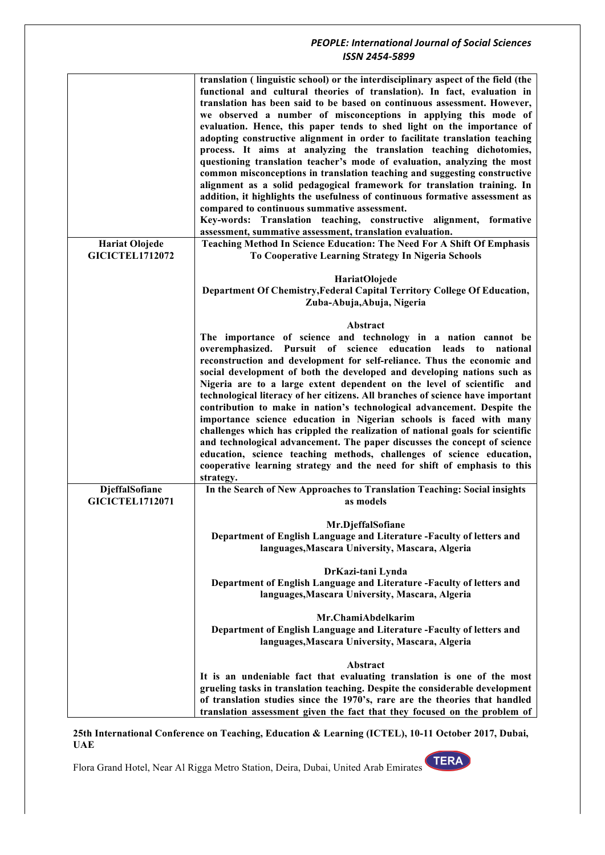|                                                 | translation (linguistic school) or the interdisciplinary aspect of the field (the<br>functional and cultural theories of translation). In fact, evaluation in<br>translation has been said to be based on continuous assessment. However,<br>we observed a number of misconceptions in applying this mode of<br>evaluation. Hence, this paper tends to shed light on the importance of<br>adopting constructive alignment in order to facilitate translation teaching<br>process. It aims at analyzing the translation teaching dichotomies,<br>questioning translation teacher's mode of evaluation, analyzing the most<br>common misconceptions in translation teaching and suggesting constructive<br>alignment as a solid pedagogical framework for translation training. In<br>addition, it highlights the usefulness of continuous formative assessment as<br>compared to continuous summative assessment.<br>Key-words: Translation teaching, constructive alignment, formative<br>assessment, summative assessment, translation evaluation. |
|-------------------------------------------------|-----------------------------------------------------------------------------------------------------------------------------------------------------------------------------------------------------------------------------------------------------------------------------------------------------------------------------------------------------------------------------------------------------------------------------------------------------------------------------------------------------------------------------------------------------------------------------------------------------------------------------------------------------------------------------------------------------------------------------------------------------------------------------------------------------------------------------------------------------------------------------------------------------------------------------------------------------------------------------------------------------------------------------------------------------|
| <b>Hariat Olojede</b><br><b>GICICTEL1712072</b> | Teaching Method In Science Education: The Need For A Shift Of Emphasis<br>To Cooperative Learning Strategy In Nigeria Schools                                                                                                                                                                                                                                                                                                                                                                                                                                                                                                                                                                                                                                                                                                                                                                                                                                                                                                                       |
|                                                 | HariatOlojede<br>Department Of Chemistry, Federal Capital Territory College Of Education,<br>Zuba-Abuja, Abuja, Nigeria                                                                                                                                                                                                                                                                                                                                                                                                                                                                                                                                                                                                                                                                                                                                                                                                                                                                                                                             |
|                                                 | Abstract<br>The importance of science and technology in a nation cannot be<br>overemphasized. Pursuit of science education leads to<br>national<br>reconstruction and development for self-reliance. Thus the economic and<br>social development of both the developed and developing nations such as<br>Nigeria are to a large extent dependent on the level of scientific and<br>technological literacy of her citizens. All branches of science have important<br>contribution to make in nation's technological advancement. Despite the<br>importance science education in Nigerian schools is faced with many<br>challenges which has crippled the realization of national goals for scientific<br>and technological advancement. The paper discusses the concept of science<br>education, science teaching methods, challenges of science education,<br>cooperative learning strategy and the need for shift of emphasis to this<br>strategy.                                                                                                |
| DjeffalSofiane<br><b>GICICTEL1712071</b>        | In the Search of New Approaches to Translation Teaching: Social insights<br>as models                                                                                                                                                                                                                                                                                                                                                                                                                                                                                                                                                                                                                                                                                                                                                                                                                                                                                                                                                               |
|                                                 | Mr.DjeffalSofiane<br>Department of English Language and Literature -Faculty of letters and<br>languages, Mascara University, Mascara, Algeria                                                                                                                                                                                                                                                                                                                                                                                                                                                                                                                                                                                                                                                                                                                                                                                                                                                                                                       |
|                                                 | DrKazi-tani Lynda<br>Department of English Language and Literature -Faculty of letters and<br>languages, Mascara University, Mascara, Algeria                                                                                                                                                                                                                                                                                                                                                                                                                                                                                                                                                                                                                                                                                                                                                                                                                                                                                                       |
|                                                 | Mr.ChamiAbdelkarim<br>Department of English Language and Literature -Faculty of letters and<br>languages, Mascara University, Mascara, Algeria                                                                                                                                                                                                                                                                                                                                                                                                                                                                                                                                                                                                                                                                                                                                                                                                                                                                                                      |
|                                                 | Abstract<br>It is an undeniable fact that evaluating translation is one of the most<br>grueling tasks in translation teaching. Despite the considerable development<br>of translation studies since the 1970's, rare are the theories that handled<br>translation assessment given the fact that they focused on the problem of                                                                                                                                                                                                                                                                                                                                                                                                                                                                                                                                                                                                                                                                                                                     |

**25th International Conference on Teaching, Education & Learning (ICTEL), 10-11 October 2017, Dubai, UAE**

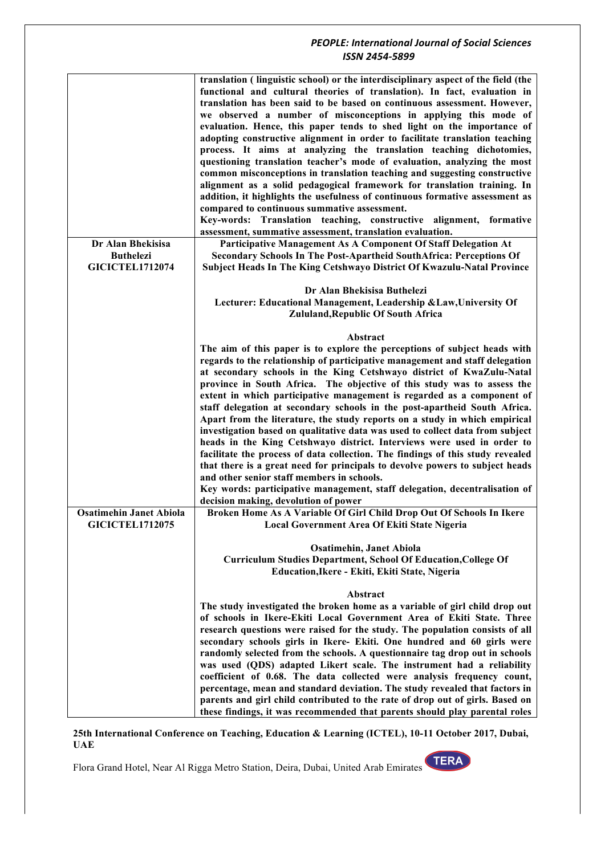| Dr Alan Bhekisisa<br>Participative Management As A Component Of Staff Delegation At<br><b>Buthelezi</b><br>Secondary Schools In The Post-Apartheid SouthAfrica: Perceptions Of<br><b>GICICTEL1712074</b><br>Subject Heads In The King Cetshwayo District Of Kwazulu-Natal Province<br>Dr Alan Bhekisisa Buthelezi<br>Lecturer: Educational Management, Leadership & Law, University Of<br>Zululand, Republic Of South Africa<br>Abstract<br>The aim of this paper is to explore the perceptions of subject heads with<br>regards to the relationship of participative management and staff delegation<br>at secondary schools in the King Cetshwayo district of KwaZulu-Natal<br>province in South Africa. The objective of this study was to assess the<br>extent in which participative management is regarded as a component of<br>staff delegation at secondary schools in the post-apartheid South Africa.<br>Apart from the literature, the study reports on a study in which empirical<br>investigation based on qualitative data was used to collect data from subject<br>heads in the King Cetshwayo district. Interviews were used in order to<br>facilitate the process of data collection. The findings of this study revealed<br>that there is a great need for principals to devolve powers to subject heads<br>and other senior staff members in schools.<br>Key words: participative management, staff delegation, decentralisation of<br>decision making, devolution of power<br><b>Osatimehin Janet Abiola</b><br>Broken Home As A Variable Of Girl Child Drop Out Of Schools In Ikere<br><b>GICICTEL1712075</b><br>Local Government Area Of Ekiti State Nigeria<br><b>Osatimehin, Janet Abiola</b><br>Curriculum Studies Department, School Of Education, College Of<br>Education, Ikere - Ekiti, Ekiti State, Nigeria<br>Abstract<br>The study investigated the broken home as a variable of girl child drop out<br>of schools in Ikere-Ekiti Local Government Area of Ekiti State. Three<br>research questions were raised for the study. The population consists of all<br>secondary schools girls in Ikere- Ekiti. One hundred and 60 girls were<br>randomly selected from the schools. A questionnaire tag drop out in schools<br>was used (QDS) adapted Likert scale. The instrument had a reliability<br>coefficient of 0.68. The data collected were analysis frequency count,<br>percentage, mean and standard deviation. The study revealed that factors in<br>parents and girl child contributed to the rate of drop out of girls. Based on | translation (linguistic school) or the interdisciplinary aspect of the field (the<br>functional and cultural theories of translation). In fact, evaluation in<br>translation has been said to be based on continuous assessment. However,<br>we observed a number of misconceptions in applying this mode of<br>evaluation. Hence, this paper tends to shed light on the importance of<br>adopting constructive alignment in order to facilitate translation teaching<br>process. It aims at analyzing the translation teaching dichotomies,<br>questioning translation teacher's mode of evaluation, analyzing the most<br>common misconceptions in translation teaching and suggesting constructive<br>alignment as a solid pedagogical framework for translation training. In<br>addition, it highlights the usefulness of continuous formative assessment as<br>compared to continuous summative assessment.<br>Key-words: Translation teaching, constructive alignment, formative<br>assessment, summative assessment, translation evaluation. |
|---------------------------------------------------------------------------------------------------------------------------------------------------------------------------------------------------------------------------------------------------------------------------------------------------------------------------------------------------------------------------------------------------------------------------------------------------------------------------------------------------------------------------------------------------------------------------------------------------------------------------------------------------------------------------------------------------------------------------------------------------------------------------------------------------------------------------------------------------------------------------------------------------------------------------------------------------------------------------------------------------------------------------------------------------------------------------------------------------------------------------------------------------------------------------------------------------------------------------------------------------------------------------------------------------------------------------------------------------------------------------------------------------------------------------------------------------------------------------------------------------------------------------------------------------------------------------------------------------------------------------------------------------------------------------------------------------------------------------------------------------------------------------------------------------------------------------------------------------------------------------------------------------------------------------------------------------------------------------------------------------------------------------------------------------------------------------------------------------------------------------------------------------------------------------------------------------------------------------------------------------------------------------------------------------------------------------------------------------------------------------------------------------------------------------------------------------------------------------------------------------------------------------------------------------------------------------|-----------------------------------------------------------------------------------------------------------------------------------------------------------------------------------------------------------------------------------------------------------------------------------------------------------------------------------------------------------------------------------------------------------------------------------------------------------------------------------------------------------------------------------------------------------------------------------------------------------------------------------------------------------------------------------------------------------------------------------------------------------------------------------------------------------------------------------------------------------------------------------------------------------------------------------------------------------------------------------------------------------------------------------------------------|
|                                                                                                                                                                                                                                                                                                                                                                                                                                                                                                                                                                                                                                                                                                                                                                                                                                                                                                                                                                                                                                                                                                                                                                                                                                                                                                                                                                                                                                                                                                                                                                                                                                                                                                                                                                                                                                                                                                                                                                                                                                                                                                                                                                                                                                                                                                                                                                                                                                                                                                                                                                           |                                                                                                                                                                                                                                                                                                                                                                                                                                                                                                                                                                                                                                                                                                                                                                                                                                                                                                                                                                                                                                                     |
|                                                                                                                                                                                                                                                                                                                                                                                                                                                                                                                                                                                                                                                                                                                                                                                                                                                                                                                                                                                                                                                                                                                                                                                                                                                                                                                                                                                                                                                                                                                                                                                                                                                                                                                                                                                                                                                                                                                                                                                                                                                                                                                                                                                                                                                                                                                                                                                                                                                                                                                                                                           |                                                                                                                                                                                                                                                                                                                                                                                                                                                                                                                                                                                                                                                                                                                                                                                                                                                                                                                                                                                                                                                     |
|                                                                                                                                                                                                                                                                                                                                                                                                                                                                                                                                                                                                                                                                                                                                                                                                                                                                                                                                                                                                                                                                                                                                                                                                                                                                                                                                                                                                                                                                                                                                                                                                                                                                                                                                                                                                                                                                                                                                                                                                                                                                                                                                                                                                                                                                                                                                                                                                                                                                                                                                                                           |                                                                                                                                                                                                                                                                                                                                                                                                                                                                                                                                                                                                                                                                                                                                                                                                                                                                                                                                                                                                                                                     |
|                                                                                                                                                                                                                                                                                                                                                                                                                                                                                                                                                                                                                                                                                                                                                                                                                                                                                                                                                                                                                                                                                                                                                                                                                                                                                                                                                                                                                                                                                                                                                                                                                                                                                                                                                                                                                                                                                                                                                                                                                                                                                                                                                                                                                                                                                                                                                                                                                                                                                                                                                                           |                                                                                                                                                                                                                                                                                                                                                                                                                                                                                                                                                                                                                                                                                                                                                                                                                                                                                                                                                                                                                                                     |
|                                                                                                                                                                                                                                                                                                                                                                                                                                                                                                                                                                                                                                                                                                                                                                                                                                                                                                                                                                                                                                                                                                                                                                                                                                                                                                                                                                                                                                                                                                                                                                                                                                                                                                                                                                                                                                                                                                                                                                                                                                                                                                                                                                                                                                                                                                                                                                                                                                                                                                                                                                           |                                                                                                                                                                                                                                                                                                                                                                                                                                                                                                                                                                                                                                                                                                                                                                                                                                                                                                                                                                                                                                                     |
|                                                                                                                                                                                                                                                                                                                                                                                                                                                                                                                                                                                                                                                                                                                                                                                                                                                                                                                                                                                                                                                                                                                                                                                                                                                                                                                                                                                                                                                                                                                                                                                                                                                                                                                                                                                                                                                                                                                                                                                                                                                                                                                                                                                                                                                                                                                                                                                                                                                                                                                                                                           |                                                                                                                                                                                                                                                                                                                                                                                                                                                                                                                                                                                                                                                                                                                                                                                                                                                                                                                                                                                                                                                     |
|                                                                                                                                                                                                                                                                                                                                                                                                                                                                                                                                                                                                                                                                                                                                                                                                                                                                                                                                                                                                                                                                                                                                                                                                                                                                                                                                                                                                                                                                                                                                                                                                                                                                                                                                                                                                                                                                                                                                                                                                                                                                                                                                                                                                                                                                                                                                                                                                                                                                                                                                                                           |                                                                                                                                                                                                                                                                                                                                                                                                                                                                                                                                                                                                                                                                                                                                                                                                                                                                                                                                                                                                                                                     |
|                                                                                                                                                                                                                                                                                                                                                                                                                                                                                                                                                                                                                                                                                                                                                                                                                                                                                                                                                                                                                                                                                                                                                                                                                                                                                                                                                                                                                                                                                                                                                                                                                                                                                                                                                                                                                                                                                                                                                                                                                                                                                                                                                                                                                                                                                                                                                                                                                                                                                                                                                                           |                                                                                                                                                                                                                                                                                                                                                                                                                                                                                                                                                                                                                                                                                                                                                                                                                                                                                                                                                                                                                                                     |
|                                                                                                                                                                                                                                                                                                                                                                                                                                                                                                                                                                                                                                                                                                                                                                                                                                                                                                                                                                                                                                                                                                                                                                                                                                                                                                                                                                                                                                                                                                                                                                                                                                                                                                                                                                                                                                                                                                                                                                                                                                                                                                                                                                                                                                                                                                                                                                                                                                                                                                                                                                           |                                                                                                                                                                                                                                                                                                                                                                                                                                                                                                                                                                                                                                                                                                                                                                                                                                                                                                                                                                                                                                                     |
|                                                                                                                                                                                                                                                                                                                                                                                                                                                                                                                                                                                                                                                                                                                                                                                                                                                                                                                                                                                                                                                                                                                                                                                                                                                                                                                                                                                                                                                                                                                                                                                                                                                                                                                                                                                                                                                                                                                                                                                                                                                                                                                                                                                                                                                                                                                                                                                                                                                                                                                                                                           |                                                                                                                                                                                                                                                                                                                                                                                                                                                                                                                                                                                                                                                                                                                                                                                                                                                                                                                                                                                                                                                     |
| these findings, it was recommended that parents should play parental roles                                                                                                                                                                                                                                                                                                                                                                                                                                                                                                                                                                                                                                                                                                                                                                                                                                                                                                                                                                                                                                                                                                                                                                                                                                                                                                                                                                                                                                                                                                                                                                                                                                                                                                                                                                                                                                                                                                                                                                                                                                                                                                                                                                                                                                                                                                                                                                                                                                                                                                |                                                                                                                                                                                                                                                                                                                                                                                                                                                                                                                                                                                                                                                                                                                                                                                                                                                                                                                                                                                                                                                     |

**25th International Conference on Teaching, Education & Learning (ICTEL), 10-11 October 2017, Dubai, UAE**

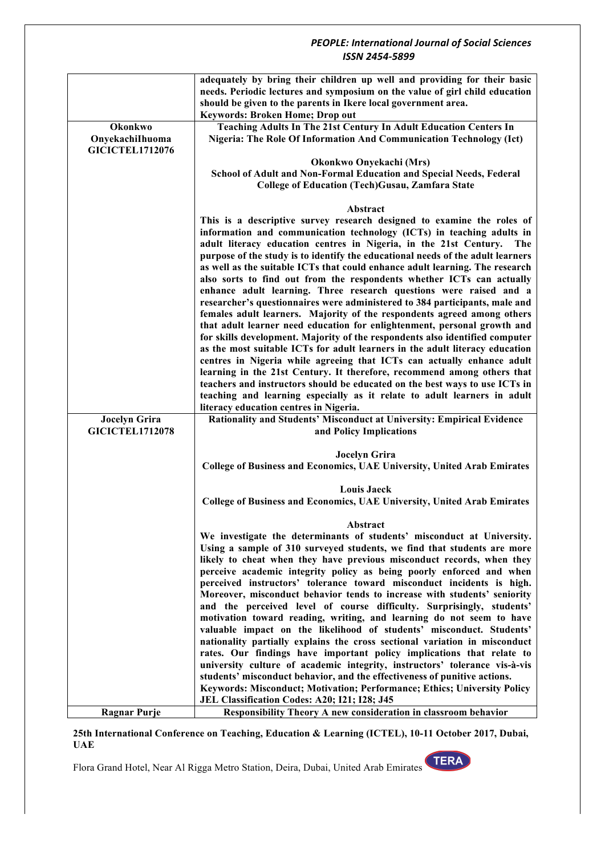|                                                | adequately by bring their children up well and providing for their basic                                                                           |
|------------------------------------------------|----------------------------------------------------------------------------------------------------------------------------------------------------|
|                                                | needs. Periodic lectures and symposium on the value of girl child education<br>should be given to the parents in Ikere local government area.      |
|                                                | Keywords: Broken Home; Drop out                                                                                                                    |
| Okonkwo                                        | Teaching Adults In The 21st Century In Adult Education Centers In                                                                                  |
| OnyekachiIhuoma                                | Nigeria: The Role Of Information And Communication Technology (Ict)                                                                                |
| <b>GICICTEL1712076</b>                         |                                                                                                                                                    |
|                                                | Okonkwo Onyekachi (Mrs)                                                                                                                            |
|                                                | School of Adult and Non-Formal Education and Special Needs, Federal                                                                                |
|                                                | <b>College of Education (Tech)Gusau, Zamfara State</b>                                                                                             |
|                                                | Abstract                                                                                                                                           |
|                                                | This is a descriptive survey research designed to examine the roles of                                                                             |
|                                                | information and communication technology (ICTs) in teaching adults in                                                                              |
|                                                | adult literacy education centres in Nigeria, in the 21st Century.<br><b>The</b>                                                                    |
|                                                | purpose of the study is to identify the educational needs of the adult learners                                                                    |
|                                                | as well as the suitable ICTs that could enhance adult learning. The research                                                                       |
|                                                | also sorts to find out from the respondents whether ICTs can actually                                                                              |
|                                                | enhance adult learning. Three research questions were raised and a<br>researcher's questionnaires were administered to 384 participants, male and  |
|                                                | females adult learners. Majority of the respondents agreed among others                                                                            |
|                                                | that adult learner need education for enlightenment, personal growth and                                                                           |
|                                                | for skills development. Majority of the respondents also identified computer                                                                       |
|                                                | as the most suitable ICTs for adult learners in the adult literacy education                                                                       |
|                                                | centres in Nigeria while agreeing that ICTs can actually enhance adult                                                                             |
|                                                | learning in the 21st Century. It therefore, recommend among others that                                                                            |
|                                                | teachers and instructors should be educated on the best ways to use ICTs in                                                                        |
|                                                | teaching and learning especially as it relate to adult learners in adult                                                                           |
|                                                | literacy education centres in Nigeria.<br>Rationality and Students' Misconduct at University: Empirical Evidence                                   |
| <b>Jocelyn Grira</b><br><b>GICICTEL1712078</b> | and Policy Implications                                                                                                                            |
|                                                |                                                                                                                                                    |
|                                                | <b>Jocelyn Grira</b>                                                                                                                               |
|                                                | College of Business and Economics, UAE University, United Arab Emirates                                                                            |
|                                                | <b>Louis Jaeck</b>                                                                                                                                 |
|                                                | College of Business and Economics, UAE University, United Arab Emirates                                                                            |
|                                                |                                                                                                                                                    |
|                                                | Abstract<br>We investigate the determinants of students' misconduct at University.                                                                 |
|                                                | Using a sample of 310 surveyed students, we find that students are more                                                                            |
|                                                | likely to cheat when they have previous misconduct records, when they                                                                              |
|                                                | perceive academic integrity policy as being poorly enforced and when                                                                               |
|                                                | perceived instructors' tolerance toward misconduct incidents is high.                                                                              |
|                                                | Moreover, misconduct behavior tends to increase with students' seniority                                                                           |
|                                                | and the perceived level of course difficulty. Surprisingly, students'                                                                              |
|                                                | motivation toward reading, writing, and learning do not seem to have                                                                               |
|                                                | valuable impact on the likelihood of students' misconduct. Students'<br>nationality partially explains the cross sectional variation in misconduct |
|                                                | rates. Our findings have important policy implications that relate to                                                                              |
|                                                | university culture of academic integrity, instructors' tolerance vis-à-vis                                                                         |
|                                                | students' misconduct behavior, and the effectiveness of punitive actions.                                                                          |
|                                                | Keywords: Misconduct; Motivation; Performance; Ethics; University Policy                                                                           |
|                                                | JEL Classification Codes: A20; I21; I28; J45                                                                                                       |
| <b>Ragnar Purje</b>                            | Responsibility Theory A new consideration in classroom behavior                                                                                    |

**25th International Conference on Teaching, Education & Learning (ICTEL), 10-11 October 2017, Dubai, UAE**

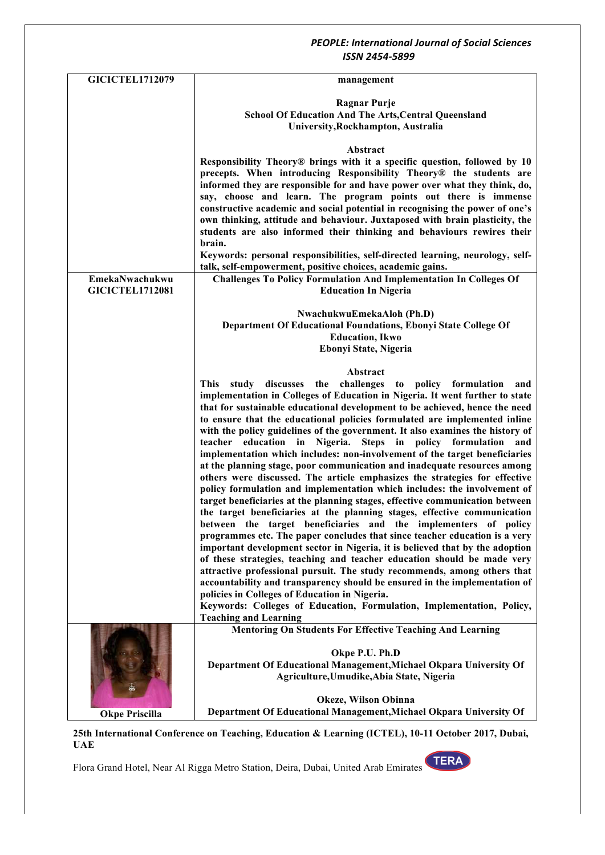| <b>GICICTEL1712079</b> | management                                                                                       |
|------------------------|--------------------------------------------------------------------------------------------------|
|                        | <b>Ragnar Purje</b>                                                                              |
|                        |                                                                                                  |
|                        | <b>School Of Education And The Arts, Central Queensland</b>                                      |
|                        | University, Rockhampton, Australia                                                               |
|                        | Abstract                                                                                         |
|                        | Responsibility Theory® brings with it a specific question, followed by 10                        |
|                        | precepts. When introducing Responsibility Theory® the students are                               |
|                        | informed they are responsible for and have power over what they think, do,                       |
|                        | say, choose and learn. The program points out there is immense                                   |
|                        |                                                                                                  |
|                        | constructive academic and social potential in recognising the power of one's                     |
|                        | own thinking, attitude and behaviour. Juxtaposed with brain plasticity, the                      |
|                        | students are also informed their thinking and behaviours rewires their                           |
|                        | brain.                                                                                           |
|                        | Keywords: personal responsibilities, self-directed learning, neurology, self-                    |
|                        | talk, self-empowerment, positive choices, academic gains.                                        |
| EmekaNwachukwu         | <b>Challenges To Policy Formulation And Implementation In Colleges Of</b>                        |
| <b>GICICTEL1712081</b> | <b>Education In Nigeria</b>                                                                      |
|                        |                                                                                                  |
|                        | NwachukwuEmekaAloh (Ph.D)                                                                        |
|                        | Department Of Educational Foundations, Ebonyi State College Of                                   |
|                        | <b>Education</b> , Ikwo                                                                          |
|                        |                                                                                                  |
|                        | Ebonyi State, Nigeria                                                                            |
|                        | Abstract                                                                                         |
|                        | This study discusses the challenges to policy formulation<br>and                                 |
|                        | implementation in Colleges of Education in Nigeria. It went further to state                     |
|                        | that for sustainable educational development to be achieved, hence the need                      |
|                        | to ensure that the educational policies formulated are implemented inline                        |
|                        | with the policy guidelines of the government. It also examines the history of                    |
|                        | teacher education in Nigeria.<br>Steps in policy formulation and                                 |
|                        |                                                                                                  |
|                        | implementation which includes: non-involvement of the target beneficiaries                       |
|                        | at the planning stage, poor communication and inadequate resources among                         |
|                        | others were discussed. The article emphasizes the strategies for effective                       |
|                        | policy formulation and implementation which includes: the involvement of                         |
|                        | target beneficiaries at the planning stages, effective communication between                     |
|                        | the target beneficiaries at the planning stages, effective communication                         |
|                        | between the target beneficiaries and the implementers of policy                                  |
|                        | programmes etc. The paper concludes that since teacher education is a very                       |
|                        | important development sector in Nigeria, it is believed that by the adoption                     |
|                        | of these strategies, teaching and teacher education should be made very                          |
|                        | attractive professional pursuit. The study recommends, among others that                         |
|                        | accountability and transparency should be ensured in the implementation of                       |
|                        | policies in Colleges of Education in Nigeria.                                                    |
|                        |                                                                                                  |
|                        | Keywords: Colleges of Education, Formulation, Implementation, Policy,                            |
|                        | <b>Teaching and Learning</b><br><b>Mentoring On Students For Effective Teaching And Learning</b> |
|                        |                                                                                                  |
|                        | Okpe P.U. Ph.D                                                                                   |
|                        | Department Of Educational Management, Michael Okpara University Of                               |
|                        |                                                                                                  |
|                        | Agriculture, Umudike, Abia State, Nigeria                                                        |
|                        |                                                                                                  |
|                        | Okeze, Wilson Obinna                                                                             |
| <b>Okpe Priscilla</b>  | Department Of Educational Management, Michael Okpara University Of                               |

**25th International Conference on Teaching, Education & Learning (ICTEL), 10-11 October 2017, Dubai, UAE**

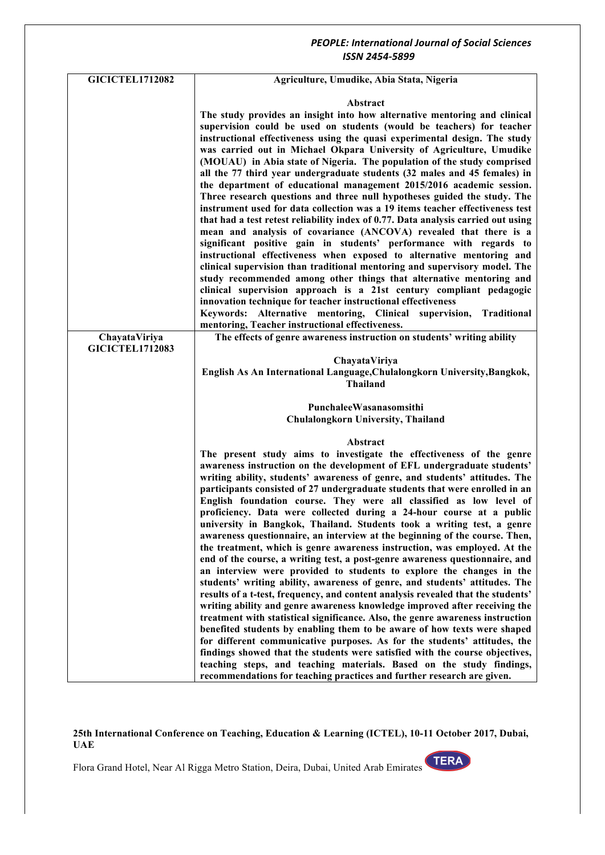| <b>GICICTEL1712082</b> | Agriculture, Umudike, Abia Stata, Nigeria                                                                                                                 |
|------------------------|-----------------------------------------------------------------------------------------------------------------------------------------------------------|
|                        | Abstract                                                                                                                                                  |
|                        | The study provides an insight into how alternative mentoring and clinical                                                                                 |
|                        | supervision could be used on students (would be teachers) for teacher                                                                                     |
|                        | instructional effectiveness using the quasi experimental design. The study                                                                                |
|                        | was carried out in Michael Okpara University of Agriculture, Umudike                                                                                      |
|                        | (MOUAU) in Abia state of Nigeria. The population of the study comprised                                                                                   |
|                        | all the 77 third year undergraduate students (32 males and 45 females) in                                                                                 |
|                        | the department of educational management 2015/2016 academic session.                                                                                      |
|                        | Three research questions and three null hypotheses guided the study. The                                                                                  |
|                        | instrument used for data collection was a 19 items teacher effectiveness test                                                                             |
|                        | that had a test retest reliability index of 0.77. Data analysis carried out using                                                                         |
|                        | mean and analysis of covariance (ANCOVA) revealed that there is a                                                                                         |
|                        | significant positive gain in students' performance with regards to                                                                                        |
|                        | instructional effectiveness when exposed to alternative mentoring and<br>clinical supervision than traditional mentoring and supervisory model. The       |
|                        | study recommended among other things that alternative mentoring and                                                                                       |
|                        | clinical supervision approach is a 21st century compliant pedagogic                                                                                       |
|                        | innovation technique for teacher instructional effectiveness                                                                                              |
|                        | Keywords: Alternative mentoring, Clinical supervision, Traditional                                                                                        |
|                        | mentoring, Teacher instructional effectiveness.                                                                                                           |
| ChayataViriya          | The effects of genre awareness instruction on students' writing ability                                                                                   |
| <b>GICICTEL1712083</b> |                                                                                                                                                           |
|                        | ChayataViriya                                                                                                                                             |
|                        | English As An International Language, Chulalongkorn University, Bangkok,<br><b>Thailand</b>                                                               |
|                        |                                                                                                                                                           |
|                        | PunchaleeWasanasomsithi                                                                                                                                   |
|                        | <b>Chulalongkorn University, Thailand</b>                                                                                                                 |
|                        | Abstract                                                                                                                                                  |
|                        | The present study aims to investigate the effectiveness of the genre                                                                                      |
|                        | awareness instruction on the development of EFL undergraduate students'                                                                                   |
|                        | writing ability, students' awareness of genre, and students' attitudes. The                                                                               |
|                        | participants consisted of 27 undergraduate students that were enrolled in an                                                                              |
|                        | English foundation course. They were all classified as low level of                                                                                       |
|                        | proficiency. Data were collected during a 24-hour course at a public                                                                                      |
|                        | university in Bangkok, Thailand. Students took a writing test, a genre                                                                                    |
|                        | awareness questionnaire, an interview at the beginning of the course. Then,                                                                               |
|                        | the treatment, which is genre awareness instruction, was employed. At the<br>end of the course, a writing test, a post-genre awareness questionnaire, and |
|                        | an interview were provided to students to explore the changes in the                                                                                      |
|                        | students' writing ability, awareness of genre, and students' attitudes. The                                                                               |
|                        | results of a t-test, frequency, and content analysis revealed that the students'                                                                          |
|                        | writing ability and genre awareness knowledge improved after receiving the                                                                                |
|                        | treatment with statistical significance. Also, the genre awareness instruction                                                                            |
|                        | benefited students by enabling them to be aware of how texts were shaped                                                                                  |
|                        | for different communicative purposes. As for the students' attitudes, the                                                                                 |
|                        | findings showed that the students were satisfied with the course objectives,                                                                              |
|                        | teaching steps, and teaching materials. Based on the study findings,<br>recommendations for teaching practices and further research are given.            |
|                        |                                                                                                                                                           |

#### **25th International Conference on Teaching, Education & Learning (ICTEL), 10-11 October 2017, Dubai, UAE**

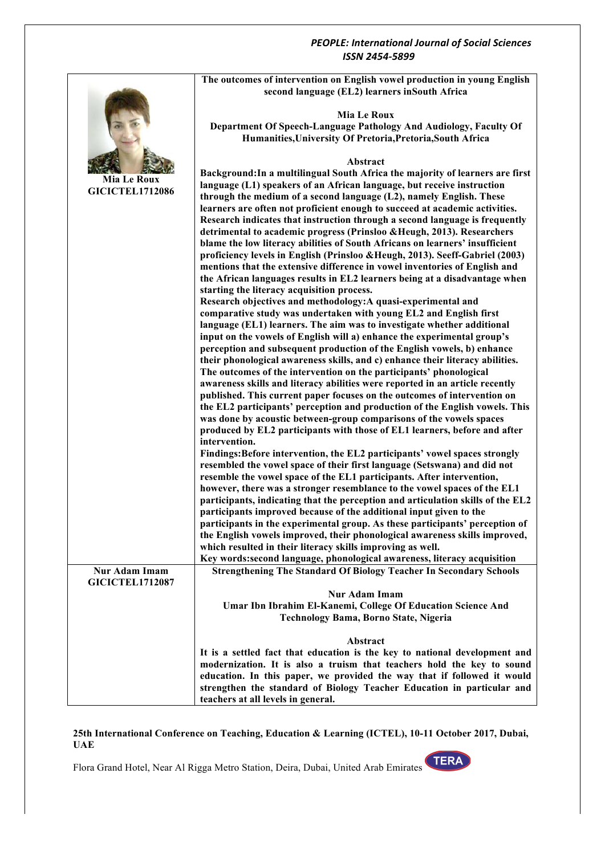

### **25th International Conference on Teaching, Education & Learning (ICTEL), 10-11 October 2017, Dubai, UAE**

Flora Grand Hotel, Near Al Rigga Metro Station, Deira, Dubai, United Arab Emirates

**TERA**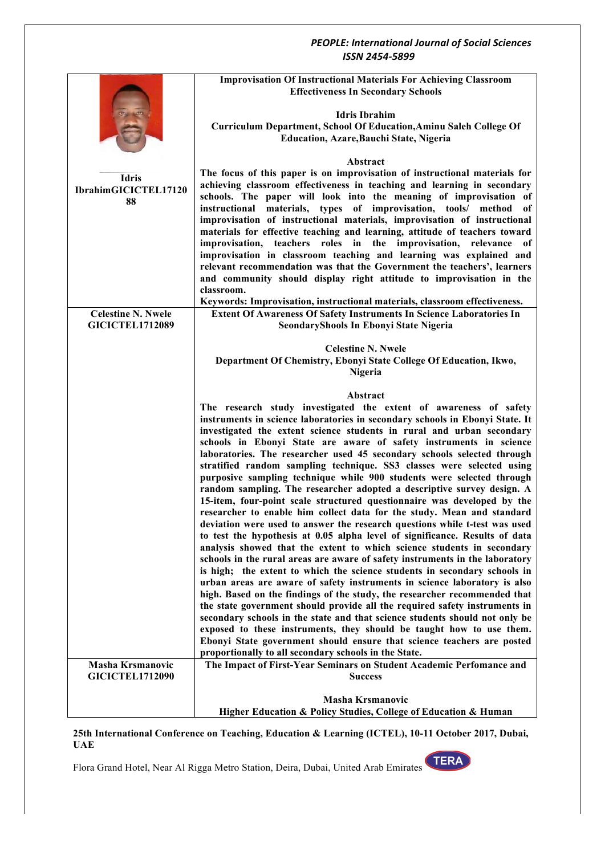|                           | <b>Improvisation Of Instructional Materials For Achieving Classroom</b>                                                                                |
|---------------------------|--------------------------------------------------------------------------------------------------------------------------------------------------------|
|                           | <b>Effectiveness In Secondary Schools</b>                                                                                                              |
|                           |                                                                                                                                                        |
|                           | <b>Idris Ibrahim</b>                                                                                                                                   |
|                           | Curriculum Department, School Of Education, Aminu Saleh College Of                                                                                     |
|                           | <b>Education, Azare, Bauchi State, Nigeria</b>                                                                                                         |
|                           |                                                                                                                                                        |
|                           | Abstract                                                                                                                                               |
| <b>Idris</b>              | The focus of this paper is on improvisation of instructional materials for                                                                             |
| IbrahimGICICTEL17120      | achieving classroom effectiveness in teaching and learning in secondary                                                                                |
| 88                        | schools. The paper will look into the meaning of improvisation of                                                                                      |
|                           | materials, types of improvisation, tools/ method<br>instructional<br>0f                                                                                |
|                           | improvisation of instructional materials, improvisation of instructional<br>materials for effective teaching and learning, attitude of teachers toward |
|                           | improvisation, teachers roles in the improvisation, relevance of                                                                                       |
|                           | improvisation in classroom teaching and learning was explained and                                                                                     |
|                           | relevant recommendation was that the Government the teachers', learners                                                                                |
|                           | and community should display right attitude to improvisation in the                                                                                    |
|                           | classroom.                                                                                                                                             |
|                           | Keywords: Improvisation, instructional materials, classroom effectiveness.                                                                             |
| <b>Celestine N. Nwele</b> | <b>Extent Of Awareness Of Safety Instruments In Science Laboratories In</b>                                                                            |
| <b>GICICTEL1712089</b>    | SeondaryShools In Ebonyi State Nigeria                                                                                                                 |
|                           |                                                                                                                                                        |
|                           | <b>Celestine N. Nwele</b>                                                                                                                              |
|                           | Department Of Chemistry, Ebonyi State College Of Education, Ikwo,                                                                                      |
|                           | Nigeria                                                                                                                                                |
|                           | Abstract                                                                                                                                               |
|                           | The research study investigated the extent of awareness of safety                                                                                      |
|                           | instruments in science laboratories in secondary schools in Ebonyi State. It                                                                           |
|                           | investigated the extent science students in rural and urban secondary                                                                                  |
|                           | schools in Ebonyi State are aware of safety instruments in science                                                                                     |
|                           | laboratories. The researcher used 45 secondary schools selected through                                                                                |
|                           | stratified random sampling technique. SS3 classes were selected using                                                                                  |
|                           | purposive sampling technique while 900 students were selected through                                                                                  |
|                           | random sampling. The researcher adopted a descriptive survey design. A                                                                                 |
|                           | 15-item, four-point scale structured questionnaire was developed by the                                                                                |
|                           | researcher to enable him collect data for the study. Mean and standard                                                                                 |
|                           | deviation were used to answer the research questions while t-test was used                                                                             |
|                           | to test the hypothesis at 0.05 alpha level of significance. Results of data                                                                            |
|                           | analysis showed that the extent to which science students in secondary<br>schools in the rural areas are aware of safety instruments in the laboratory |
|                           | is high; the extent to which the science students in secondary schools in                                                                              |
|                           | urban areas are aware of safety instruments in science laboratory is also                                                                              |
|                           | high. Based on the findings of the study, the researcher recommended that                                                                              |
|                           | the state government should provide all the required safety instruments in                                                                             |
|                           | secondary schools in the state and that science students should not only be                                                                            |
|                           | exposed to these instruments, they should be taught how to use them.                                                                                   |
|                           | Ebonyi State government should ensure that science teachers are posted                                                                                 |
|                           | proportionally to all secondary schools in the State.                                                                                                  |
| <b>Masha Krsmanovic</b>   | The Impact of First-Year Seminars on Student Academic Perfomance and                                                                                   |
| <b>GICICTEL1712090</b>    | <b>Success</b>                                                                                                                                         |
|                           |                                                                                                                                                        |
|                           | <b>Masha Krsmanovic</b><br>Higher Education & Policy Studies, College of Education & Human                                                             |
|                           |                                                                                                                                                        |

#### **25th International Conference on Teaching, Education & Learning (ICTEL), 10-11 October 2017, Dubai, UAE**

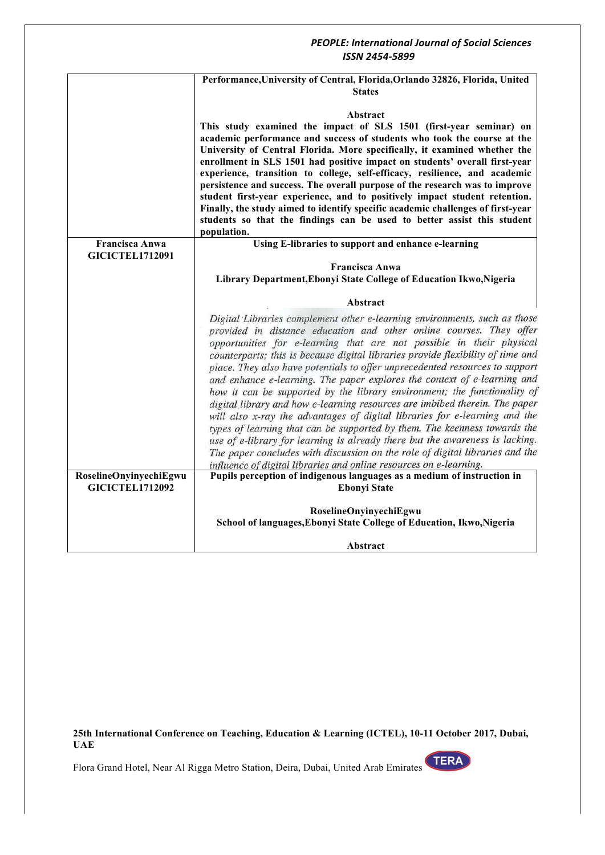### *ISSN 2454-5899* **Performance,University of Central, Florida,Orlando 32826, Florida, United States Abstract This study examined the impact of SLS 1501 (first-year seminar) on academic performance and success of students who took the course at the University of Central Florida. More specifically, it examined whether the enrollment in SLS 1501 had positive impact on students' overall first-year experience, transition to college, self-efficacy, resilience, and academic persistence and success. The overall purpose of the research was to improve student first-year experience, and to positively impact student retention. Finally, the study aimed to identify specific academic challenges of first-year students so that the findings can be used to better assist this student population. Using E-libraries to support and enhance e-learning Francisca Anwa GICICTEL1712091 Francisca Anwa Library Department,Ebonyi State College of Education Ikwo,Nigeria Abstract** Digital Libraries complement other e-learning environments, such as those provided in distance education and other online courses. They offer opportunities for e-learning that are not possible in their physical counterparts; this is because digital libraries provide flexibility of time and place. They also have potentials to offer unprecedented resources to support and enhance e-learning. The paper explores the context of e-learning and how it can be supported by the library environment; the functionality of digital library and how e-learning resources are imbibed therein. The paper will also x-ray the advantages of digital libraries for e-learning and the types of learning that can be supported by them. The keenness towards the use of e-library for learning is already there but the awareness is lacking. The paper concludes with discussion on the role of digital libraries and the influence of digital libraries and online resources on e-learning. **RoselineOnyinyechiEgwu Pupils perception of indigenous languages as a medium of instruction in GICICTEL1712092 Ebonyi State RoselineOnyinyechiEgwu School of languages,Ebonyi State College of Education, Ikwo,Nigeria Abstract**

*PEOPLE: International Journal of Social Sciences*

**25th International Conference on Teaching, Education & Learning (ICTEL), 10-11 October 2017, Dubai, UAE**

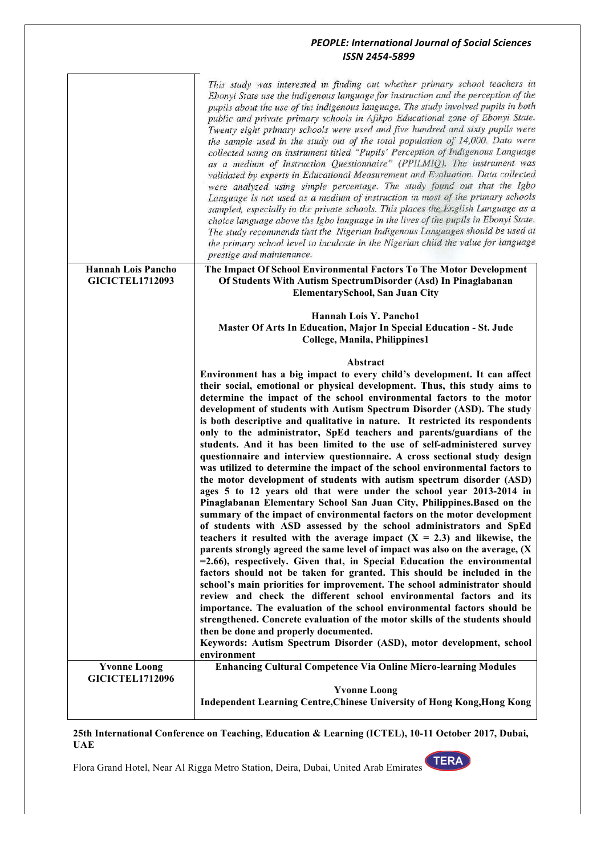|                                                     | This study was interested in finding out whether primary school teachers in<br>Ebonyi State use the indigenous language for instruction and the perception of the<br>pupils about the use of the indigenous language. The study involved pupils in both<br>public and private primary schools in Afikpo Educational zone of Ebonyi State.<br>Twenty eight primary schools were used and five hundred and sixty pupils were<br>the sample used in the study out of the total population of 14,000. Data were<br>collected using on instrument titled "Pupils' Perception of Indigenous Language<br>as a medium of Instruction Questionnaire" (PPILMIQ). The instrument was<br>validated by experts in Educational Measurement and Evaluation. Data collected<br>were analyzed using simple percentage. The study found out that the Igbo<br>Language is not used as a medium of instruction in most of the primary schools<br>sampled, especially in the private schools. This places the English Language as a<br>choice language above the Igbo language in the lives of the pupils in Ebonyi State.<br>The study recommends that the Nigerian Indigenous Languages should be used at<br>the primary school level to inculcate in the Nigerian child the value for language<br>prestige and maintenance.                                                                                                                                                                                                                                                                                                                                                                                                                                                                                                                                                                                                                                           |
|-----------------------------------------------------|-----------------------------------------------------------------------------------------------------------------------------------------------------------------------------------------------------------------------------------------------------------------------------------------------------------------------------------------------------------------------------------------------------------------------------------------------------------------------------------------------------------------------------------------------------------------------------------------------------------------------------------------------------------------------------------------------------------------------------------------------------------------------------------------------------------------------------------------------------------------------------------------------------------------------------------------------------------------------------------------------------------------------------------------------------------------------------------------------------------------------------------------------------------------------------------------------------------------------------------------------------------------------------------------------------------------------------------------------------------------------------------------------------------------------------------------------------------------------------------------------------------------------------------------------------------------------------------------------------------------------------------------------------------------------------------------------------------------------------------------------------------------------------------------------------------------------------------------------------------------------------------------------------------------------------------------------------|
| <b>Hannah Lois Pancho</b><br><b>GICICTEL1712093</b> | The Impact Of School Environmental Factors To The Motor Development<br>Of Students With Autism SpectrumDisorder (Asd) In Pinaglabanan<br><b>ElementarySchool, San Juan City</b>                                                                                                                                                                                                                                                                                                                                                                                                                                                                                                                                                                                                                                                                                                                                                                                                                                                                                                                                                                                                                                                                                                                                                                                                                                                                                                                                                                                                                                                                                                                                                                                                                                                                                                                                                                     |
|                                                     | Hannah Lois Y. Pancho1<br>Master Of Arts In Education, Major In Special Education - St. Jude<br>College, Manila, Philippines1                                                                                                                                                                                                                                                                                                                                                                                                                                                                                                                                                                                                                                                                                                                                                                                                                                                                                                                                                                                                                                                                                                                                                                                                                                                                                                                                                                                                                                                                                                                                                                                                                                                                                                                                                                                                                       |
| <b>Yvonne Loong</b>                                 | Abstract<br>Environment has a big impact to every child's development. It can affect<br>their social, emotional or physical development. Thus, this study aims to<br>determine the impact of the school environmental factors to the motor<br>development of students with Autism Spectrum Disorder (ASD). The study<br>is both descriptive and qualitative in nature. It restricted its respondents<br>only to the administrator, SpEd teachers and parents/guardians of the<br>students. And it has been limited to the use of self-administered survey<br>questionnaire and interview questionnaire. A cross sectional study design<br>was utilized to determine the impact of the school environmental factors to<br>the motor development of students with autism spectrum disorder (ASD)<br>ages 5 to 12 years old that were under the school year 2013-2014 in<br>Pinaglabanan Elementary School San Juan City, Philippines. Based on the<br>summary of the impact of environmental factors on the motor development<br>of students with ASD assessed by the school administrators and SpEd<br>teachers it resulted with the average impact $(X = 2.3)$ and likewise, the<br>parents strongly agreed the same level of impact was also on the average, (X<br>$=2.66$ ), respectively. Given that, in Special Education the environmental<br>factors should not be taken for granted. This should be included in the<br>school's main priorities for improvement. The school administrator should<br>review and check the different school environmental factors and its<br>importance. The evaluation of the school environmental factors should be<br>strengthened. Concrete evaluation of the motor skills of the students should<br>then be done and properly documented.<br>Keywords: Autism Spectrum Disorder (ASD), motor development, school<br>environment<br><b>Enhancing Cultural Competence Via Online Micro-learning Modules</b> |
| <b>GICICTEL1712096</b>                              | <b>Yvonne Loong</b><br>Independent Learning Centre, Chinese University of Hong Kong, Hong Kong                                                                                                                                                                                                                                                                                                                                                                                                                                                                                                                                                                                                                                                                                                                                                                                                                                                                                                                                                                                                                                                                                                                                                                                                                                                                                                                                                                                                                                                                                                                                                                                                                                                                                                                                                                                                                                                      |

#### **25th International Conference on Teaching, Education & Learning (ICTEL), 10-11 October 2017, Dubai, UAE**

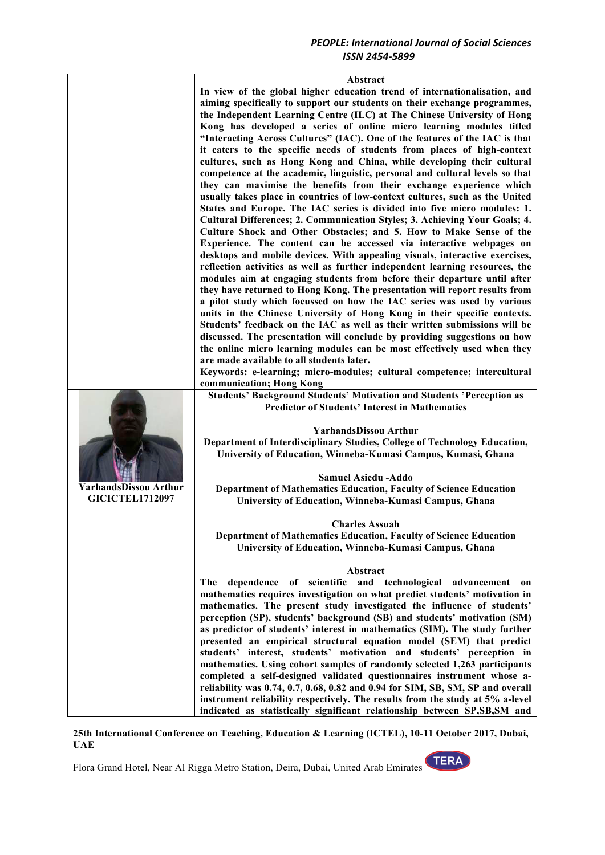**In view of the global higher education trend of internationalisation, and aiming specifically to support our students on their exchange programmes, the Independent Learning Centre (ILC) at The Chinese University of Hong Kong has developed a series of online micro learning modules titled "Interacting Across Cultures" (IAC). One of the features of the IAC is that it caters to the specific needs of students from places of high-context cultures, such as Hong Kong and China, while developing their cultural competence at the academic, linguistic, personal and cultural levels so that they can maximise the benefits from their exchange experience which usually takes place in countries of low-context cultures, such as the United States and Europe. The IAC series is divided into five micro modules: 1. Cultural Differences; 2. Communication Styles; 3. Achieving Your Goals; 4. Culture Shock and Other Obstacles; and 5. How to Make Sense of the Experience. The content can be accessed via interactive webpages on desktops and mobile devices. With appealing visuals, interactive exercises, reflection activities as well as further independent learning resources, the modules aim at engaging students from before their departure until after they have returned to Hong Kong. The presentation will report results from a pilot study which focussed on how the IAC series was used by various units in the Chinese University of Hong Kong in their specific contexts. Students' feedback on the IAC as well as their written submissions will be discussed. The presentation will conclude by providing suggestions on how the online micro learning modules can be most effectively used when they are made available to all students later.**

**Keywords: e-learning; micro-modules; cultural competence; intercultural communication; Hong Kong**

**Students' Background Students' Motivation and Students 'Perception as Predictor of Students' Interest in Mathematics**

**YarhandsDissou Arthur Department of Interdisciplinary Studies, College of Technology Education, University of Education, Winneba-Kumasi Campus, Kumasi, Ghana**

**Samuel Asiedu -Addo Department of Mathematics Education, Faculty of Science Education University of Education, Winneba-Kumasi Campus, Ghana**

**Charles Assuah Department of Mathematics Education, Faculty of Science Education University of Education, Winneba-Kumasi Campus, Ghana**

#### **Abstract**

**The dependence of scientific and technological advancement on mathematics requires investigation on what predict students' motivation in mathematics. The present study investigated the influence of students' perception (SP), students' background (SB) and students' motivation (SM) as predictor of students' interest in mathematics (SIM). The study further presented an empirical structural equation model (SEM) that predict students' interest, students' motivation and students' perception in mathematics. Using cohort samples of randomly selected 1,263 participants completed a self-designed validated questionnaires instrument whose areliability was 0.74, 0.7, 0.68, 0.82 and 0.94 for SIM, SB, SM, SP and overall instrument reliability respectively. The results from the study at 5% a-level indicated as statistically significant relationship between SP,SB,SM and** 

**25th International Conference on Teaching, Education & Learning (ICTEL), 10-11 October 2017, Dubai, UAE**





**GICICTEL1712097**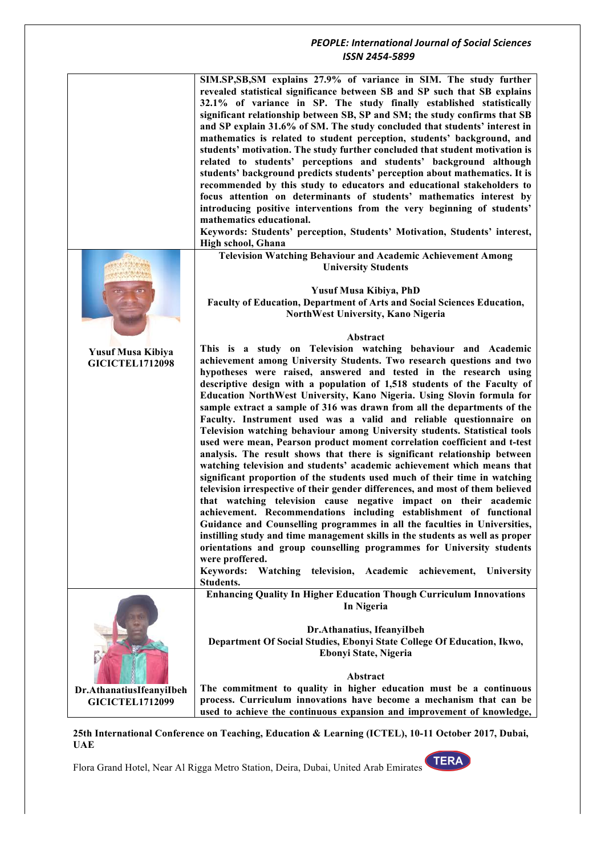|                                             | SIM.SP, SB, SM explains 27.9% of variance in SIM. The study further<br>revealed statistical significance between SB and SP such that SB explains<br>32.1% of variance in SP. The study finally established statistically<br>significant relationship between SB, SP and SM; the study confirms that SB<br>and SP explain 31.6% of SM. The study concluded that students' interest in<br>mathematics is related to student perception, students' background, and<br>students' motivation. The study further concluded that student motivation is<br>related to students' perceptions and students' background although<br>students' background predicts students' perception about mathematics. It is<br>recommended by this study to educators and educational stakeholders to<br>focus attention on determinants of students' mathematics interest by<br>introducing positive interventions from the very beginning of students'<br>mathematics educational.<br>Keywords: Students' perception, Students' Motivation, Students' interest,<br>High school, Ghana                                                                                                                                                                                                                                                                                                                                                                                                                                        |
|---------------------------------------------|---------------------------------------------------------------------------------------------------------------------------------------------------------------------------------------------------------------------------------------------------------------------------------------------------------------------------------------------------------------------------------------------------------------------------------------------------------------------------------------------------------------------------------------------------------------------------------------------------------------------------------------------------------------------------------------------------------------------------------------------------------------------------------------------------------------------------------------------------------------------------------------------------------------------------------------------------------------------------------------------------------------------------------------------------------------------------------------------------------------------------------------------------------------------------------------------------------------------------------------------------------------------------------------------------------------------------------------------------------------------------------------------------------------------------------------------------------------------------------------------------------|
|                                             | <b>Television Watching Behaviour and Academic Achievement Among</b><br><b>University Students</b>                                                                                                                                                                                                                                                                                                                                                                                                                                                                                                                                                                                                                                                                                                                                                                                                                                                                                                                                                                                                                                                                                                                                                                                                                                                                                                                                                                                                       |
|                                             |                                                                                                                                                                                                                                                                                                                                                                                                                                                                                                                                                                                                                                                                                                                                                                                                                                                                                                                                                                                                                                                                                                                                                                                                                                                                                                                                                                                                                                                                                                         |
|                                             | <b>Yusuf Musa Kibiya, PhD</b><br>Faculty of Education, Department of Arts and Social Sciences Education,<br>NorthWest University, Kano Nigeria                                                                                                                                                                                                                                                                                                                                                                                                                                                                                                                                                                                                                                                                                                                                                                                                                                                                                                                                                                                                                                                                                                                                                                                                                                                                                                                                                          |
|                                             | Abstract                                                                                                                                                                                                                                                                                                                                                                                                                                                                                                                                                                                                                                                                                                                                                                                                                                                                                                                                                                                                                                                                                                                                                                                                                                                                                                                                                                                                                                                                                                |
| Yusuf Musa Kibiya<br><b>GICICTEL1712098</b> | This is a study on Television watching behaviour and Academic<br>achievement among University Students. Two research questions and two<br>hypotheses were raised, answered and tested in the research using<br>descriptive design with a population of 1,518 students of the Faculty of<br>Education NorthWest University, Kano Nigeria. Using Slovin formula for<br>sample extract a sample of 316 was drawn from all the departments of the<br>Faculty. Instrument used was a valid and reliable questionnaire on<br>Television watching behaviour among University students. Statistical tools<br>used were mean, Pearson product moment correlation coefficient and t-test<br>analysis. The result shows that there is significant relationship between<br>watching television and students' academic achievement which means that<br>significant proportion of the students used much of their time in watching<br>television irrespective of their gender differences, and most of them believed<br>that watching television cause negative impact on their academic<br>achievement. Recommendations including establishment of functional<br>Guidance and Counselling programmes in all the faculties in Universities,<br>instilling study and time management skills in the students as well as proper<br>orientations and group counselling programmes for University students<br>were proffered.<br><b>Keywords:</b><br>Watching television, Academic achievement,<br>University<br>Students. |
|                                             | <b>Enhancing Quality In Higher Education Though Curriculum Innovations</b><br>In Nigeria<br>Dr.Athanatius, IfeanyiIbeh<br>Department Of Social Studies, Ebonyi State College Of Education, Ikwo,<br>Ebonyi State, Nigeria                                                                                                                                                                                                                                                                                                                                                                                                                                                                                                                                                                                                                                                                                                                                                                                                                                                                                                                                                                                                                                                                                                                                                                                                                                                                               |
| Dr.AthanatiusIfeanyiIbeh                    | Abstract<br>The commitment to quality in higher education must be a continuous                                                                                                                                                                                                                                                                                                                                                                                                                                                                                                                                                                                                                                                                                                                                                                                                                                                                                                                                                                                                                                                                                                                                                                                                                                                                                                                                                                                                                          |
| <b>GICICTEL1712099</b>                      | process. Curriculum innovations have become a mechanism that can be                                                                                                                                                                                                                                                                                                                                                                                                                                                                                                                                                                                                                                                                                                                                                                                                                                                                                                                                                                                                                                                                                                                                                                                                                                                                                                                                                                                                                                     |
|                                             | used to achieve the continuous expansion and improvement of knowledge,                                                                                                                                                                                                                                                                                                                                                                                                                                                                                                                                                                                                                                                                                                                                                                                                                                                                                                                                                                                                                                                                                                                                                                                                                                                                                                                                                                                                                                  |

**25th International Conference on Teaching, Education & Learning (ICTEL), 10-11 October 2017, Dubai, UAE**

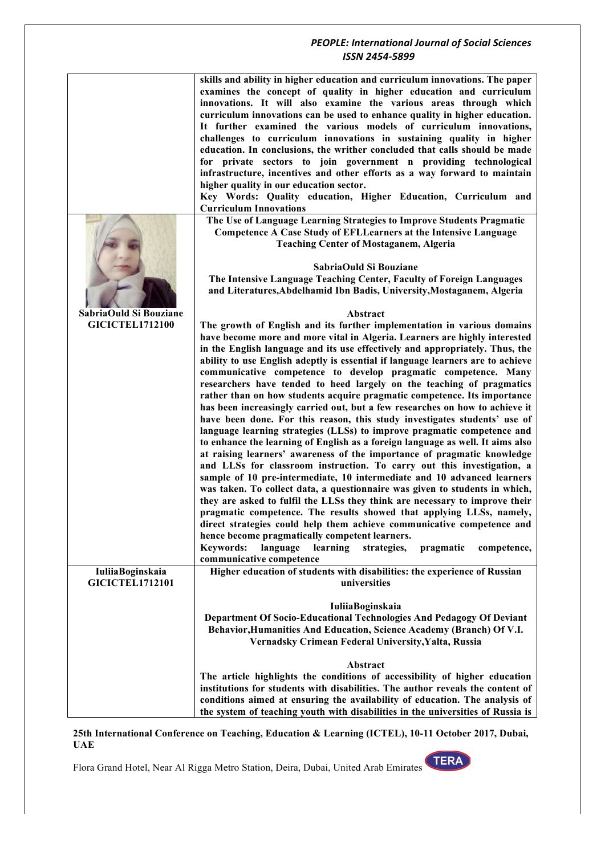|                                                  | skills and ability in higher education and curriculum innovations. The paper<br>examines the concept of quality in higher education and curriculum<br>innovations. It will also examine the various areas through which<br>curriculum innovations can be used to enhance quality in higher education.<br>It further examined the various models of curriculum innovations,<br>challenges to curriculum innovations in sustaining quality in higher<br>education. In conclusions, the writher concluded that calls should be made<br>for private sectors to join government n providing technological<br>infrastructure, incentives and other efforts as a way forward to maintain<br>higher quality in our education sector.<br>Key Words: Quality education, Higher Education, Curriculum and<br><b>Curriculum Innovations</b><br>The Use of Language Learning Strategies to Improve Students Pragmatic |
|--------------------------------------------------|----------------------------------------------------------------------------------------------------------------------------------------------------------------------------------------------------------------------------------------------------------------------------------------------------------------------------------------------------------------------------------------------------------------------------------------------------------------------------------------------------------------------------------------------------------------------------------------------------------------------------------------------------------------------------------------------------------------------------------------------------------------------------------------------------------------------------------------------------------------------------------------------------------|
|                                                  | Competence A Case Study of EFLLearners at the Intensive Language<br><b>Teaching Center of Mostaganem, Algeria</b><br>SabriaOuld Si Bouziane<br>The Intensive Language Teaching Center, Faculty of Foreign Languages                                                                                                                                                                                                                                                                                                                                                                                                                                                                                                                                                                                                                                                                                      |
|                                                  | and Literatures, Abdelhamid Ibn Badis, University, Mostaganem, Algeria                                                                                                                                                                                                                                                                                                                                                                                                                                                                                                                                                                                                                                                                                                                                                                                                                                   |
| SabriaOuld Si Bouziane<br><b>GICICTEL1712100</b> | Abstract                                                                                                                                                                                                                                                                                                                                                                                                                                                                                                                                                                                                                                                                                                                                                                                                                                                                                                 |
|                                                  | The growth of English and its further implementation in various domains<br>have become more and more vital in Algeria. Learners are highly interested                                                                                                                                                                                                                                                                                                                                                                                                                                                                                                                                                                                                                                                                                                                                                    |
|                                                  | in the English language and its use effectively and appropriately. Thus, the                                                                                                                                                                                                                                                                                                                                                                                                                                                                                                                                                                                                                                                                                                                                                                                                                             |
|                                                  | ability to use English adeptly is essential if language learners are to achieve<br>communicative competence to develop pragmatic competence. Many                                                                                                                                                                                                                                                                                                                                                                                                                                                                                                                                                                                                                                                                                                                                                        |
|                                                  | researchers have tended to heed largely on the teaching of pragmatics                                                                                                                                                                                                                                                                                                                                                                                                                                                                                                                                                                                                                                                                                                                                                                                                                                    |
|                                                  | rather than on how students acquire pragmatic competence. Its importance                                                                                                                                                                                                                                                                                                                                                                                                                                                                                                                                                                                                                                                                                                                                                                                                                                 |
|                                                  | has been increasingly carried out, but a few researches on how to achieve it<br>have been done. For this reason, this study investigates students' use of                                                                                                                                                                                                                                                                                                                                                                                                                                                                                                                                                                                                                                                                                                                                                |
|                                                  | language learning strategies (LLSs) to improve pragmatic competence and                                                                                                                                                                                                                                                                                                                                                                                                                                                                                                                                                                                                                                                                                                                                                                                                                                  |
|                                                  | to enhance the learning of English as a foreign language as well. It aims also                                                                                                                                                                                                                                                                                                                                                                                                                                                                                                                                                                                                                                                                                                                                                                                                                           |
|                                                  | at raising learners' awareness of the importance of pragmatic knowledge<br>and LLSs for classroom instruction. To carry out this investigation, a                                                                                                                                                                                                                                                                                                                                                                                                                                                                                                                                                                                                                                                                                                                                                        |
|                                                  | sample of 10 pre-intermediate, 10 intermediate and 10 advanced learners                                                                                                                                                                                                                                                                                                                                                                                                                                                                                                                                                                                                                                                                                                                                                                                                                                  |
|                                                  | was taken. To collect data, a questionnaire was given to students in which,<br>they are asked to fulfil the LLSs they think are necessary to improve their                                                                                                                                                                                                                                                                                                                                                                                                                                                                                                                                                                                                                                                                                                                                               |
|                                                  | pragmatic competence. The results showed that applying LLSs, namely,                                                                                                                                                                                                                                                                                                                                                                                                                                                                                                                                                                                                                                                                                                                                                                                                                                     |
|                                                  | direct strategies could help them achieve communicative competence and                                                                                                                                                                                                                                                                                                                                                                                                                                                                                                                                                                                                                                                                                                                                                                                                                                   |
|                                                  | hence become pragmatically competent learners.<br><b>Keywords:</b><br>language<br>learning<br>strategies,<br>pragmatic<br>competence,                                                                                                                                                                                                                                                                                                                                                                                                                                                                                                                                                                                                                                                                                                                                                                    |
|                                                  | communicative competence                                                                                                                                                                                                                                                                                                                                                                                                                                                                                                                                                                                                                                                                                                                                                                                                                                                                                 |
| IuliiaBoginskaia<br><b>GICICTEL1712101</b>       | Higher education of students with disabilities: the experience of Russian<br>universities                                                                                                                                                                                                                                                                                                                                                                                                                                                                                                                                                                                                                                                                                                                                                                                                                |
|                                                  | IuliiaBoginskaia                                                                                                                                                                                                                                                                                                                                                                                                                                                                                                                                                                                                                                                                                                                                                                                                                                                                                         |
|                                                  | Department Of Socio-Educational Technologies And Pedagogy Of Deviant                                                                                                                                                                                                                                                                                                                                                                                                                                                                                                                                                                                                                                                                                                                                                                                                                                     |
|                                                  | Behavior, Humanities And Education, Science Academy (Branch) Of V.I.<br>Vernadsky Crimean Federal University, Yalta, Russia                                                                                                                                                                                                                                                                                                                                                                                                                                                                                                                                                                                                                                                                                                                                                                              |
|                                                  | Abstract                                                                                                                                                                                                                                                                                                                                                                                                                                                                                                                                                                                                                                                                                                                                                                                                                                                                                                 |
|                                                  | The article highlights the conditions of accessibility of higher education                                                                                                                                                                                                                                                                                                                                                                                                                                                                                                                                                                                                                                                                                                                                                                                                                               |
|                                                  | institutions for students with disabilities. The author reveals the content of<br>conditions aimed at ensuring the availability of education. The analysis of                                                                                                                                                                                                                                                                                                                                                                                                                                                                                                                                                                                                                                                                                                                                            |
|                                                  | the system of teaching youth with disabilities in the universities of Russia is                                                                                                                                                                                                                                                                                                                                                                                                                                                                                                                                                                                                                                                                                                                                                                                                                          |

**25th International Conference on Teaching, Education & Learning (ICTEL), 10-11 October 2017, Dubai, UAE**

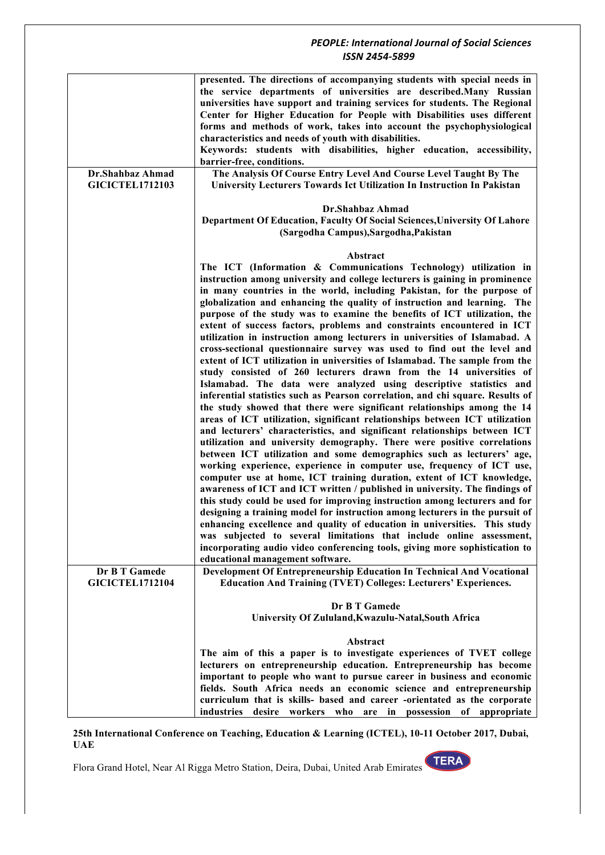|                                            | presented. The directions of accompanying students with special needs in<br>the service departments of universities are described. Many Russian<br>universities have support and training services for students. The Regional<br>Center for Higher Education for People with Disabilities uses different<br>forms and methods of work, takes into account the psychophysiological<br>characteristics and needs of youth with disabilities.<br>Keywords: students with disabilities, higher education, accessibility,<br>barrier-free, conditions.                                                                                                                                                                                                                                                                                                                                                                                                                                                                                                                                                                                                                                                                                                                                                                                                                                                                                                                                                                                                                                                                                                                                                                                                                                                                                                                                                                                                                                                               |
|--------------------------------------------|-----------------------------------------------------------------------------------------------------------------------------------------------------------------------------------------------------------------------------------------------------------------------------------------------------------------------------------------------------------------------------------------------------------------------------------------------------------------------------------------------------------------------------------------------------------------------------------------------------------------------------------------------------------------------------------------------------------------------------------------------------------------------------------------------------------------------------------------------------------------------------------------------------------------------------------------------------------------------------------------------------------------------------------------------------------------------------------------------------------------------------------------------------------------------------------------------------------------------------------------------------------------------------------------------------------------------------------------------------------------------------------------------------------------------------------------------------------------------------------------------------------------------------------------------------------------------------------------------------------------------------------------------------------------------------------------------------------------------------------------------------------------------------------------------------------------------------------------------------------------------------------------------------------------------------------------------------------------------------------------------------------------|
| Dr.Shahbaz Ahmad<br><b>GICICTEL1712103</b> | The Analysis Of Course Entry Level And Course Level Taught By The<br>University Lecturers Towards Ict Utilization In Instruction In Pakistan                                                                                                                                                                                                                                                                                                                                                                                                                                                                                                                                                                                                                                                                                                                                                                                                                                                                                                                                                                                                                                                                                                                                                                                                                                                                                                                                                                                                                                                                                                                                                                                                                                                                                                                                                                                                                                                                    |
|                                            | Dr.Shahbaz Ahmad<br>Department Of Education, Faculty Of Social Sciences, University Of Lahore<br>(Sargodha Campus), Sargodha, Pakistan                                                                                                                                                                                                                                                                                                                                                                                                                                                                                                                                                                                                                                                                                                                                                                                                                                                                                                                                                                                                                                                                                                                                                                                                                                                                                                                                                                                                                                                                                                                                                                                                                                                                                                                                                                                                                                                                          |
|                                            | Abstract<br>The ICT (Information & Communications Technology) utilization in<br>instruction among university and college lecturers is gaining in prominence<br>in many countries in the world, including Pakistan, for the purpose of<br>globalization and enhancing the quality of instruction and learning. The<br>purpose of the study was to examine the benefits of ICT utilization, the<br>extent of success factors, problems and constraints encountered in ICT<br>utilization in instruction among lecturers in universities of Islamabad. A<br>cross-sectional questionnaire survey was used to find out the level and<br>extent of ICT utilization in universities of Islamabad. The sample from the<br>study consisted of 260 lecturers drawn from the 14 universities of<br>Islamabad. The data were analyzed using descriptive statistics and<br>inferential statistics such as Pearson correlation, and chi square. Results of<br>the study showed that there were significant relationships among the 14<br>areas of ICT utilization, significant relationships between ICT utilization<br>and lecturers' characteristics, and significant relationships between ICT<br>utilization and university demography. There were positive correlations<br>between ICT utilization and some demographics such as lecturers' age,<br>working experience, experience in computer use, frequency of ICT use,<br>computer use at home, ICT training duration, extent of ICT knowledge,<br>awareness of ICT and ICT written / published in university. The findings of<br>this study could be used for improving instruction among lecturers and for<br>designing a training model for instruction among lecturers in the pursuit of<br>enhancing excellence and quality of education in universities. This study<br>was subjected to several limitations that include online assessment,<br>incorporating audio video conferencing tools, giving more sophistication to<br>educational management software. |
| Dr B T Gamede<br><b>GICICTEL1712104</b>    | Development Of Entrepreneurship Education In Technical And Vocational<br><b>Education And Training (TVET) Colleges: Lecturers' Experiences.</b>                                                                                                                                                                                                                                                                                                                                                                                                                                                                                                                                                                                                                                                                                                                                                                                                                                                                                                                                                                                                                                                                                                                                                                                                                                                                                                                                                                                                                                                                                                                                                                                                                                                                                                                                                                                                                                                                 |
|                                            | Dr B T Gamede<br>University Of Zululand, Kwazulu-Natal, South Africa                                                                                                                                                                                                                                                                                                                                                                                                                                                                                                                                                                                                                                                                                                                                                                                                                                                                                                                                                                                                                                                                                                                                                                                                                                                                                                                                                                                                                                                                                                                                                                                                                                                                                                                                                                                                                                                                                                                                            |
|                                            | Abstract<br>The aim of this a paper is to investigate experiences of TVET college<br>lecturers on entrepreneurship education. Entrepreneurship has become<br>important to people who want to pursue career in business and economic<br>fields. South Africa needs an economic science and entrepreneurship<br>curriculum that is skills- based and career -orientated as the corporate<br>industries desire workers who are in possession of appropriate                                                                                                                                                                                                                                                                                                                                                                                                                                                                                                                                                                                                                                                                                                                                                                                                                                                                                                                                                                                                                                                                                                                                                                                                                                                                                                                                                                                                                                                                                                                                                        |

**25th International Conference on Teaching, Education & Learning (ICTEL), 10-11 October 2017, Dubai, UAE**

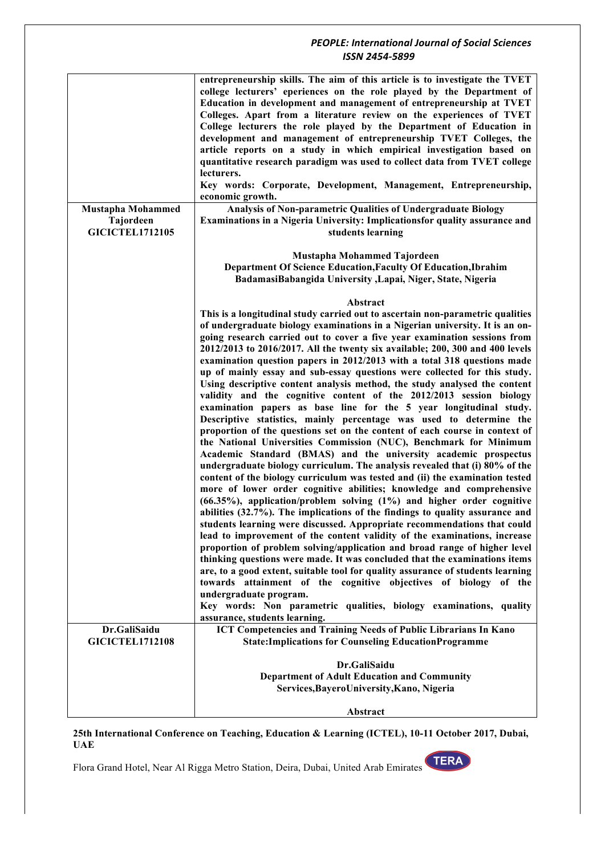|                                                                 | entrepreneurship skills. The aim of this article is to investigate the TVET<br>college lecturers' eperiences on the role played by the Department of<br>Education in development and management of entrepreneurship at TVET<br>Colleges. Apart from a literature review on the experiences of TVET<br>College lecturers the role played by the Department of Education in<br>development and management of entrepreneurship TVET Colleges, the<br>article reports on a study in which empirical investigation based on<br>quantitative research paradigm was used to collect data from TVET college<br>lecturers.<br>Key words: Corporate, Development, Management, Entrepreneurship,<br>economic growth.                                                                                                                                                                                                                                                                                                                                                                                                                                                                                                                                                                                                                                                                                                                                                                                                                                                                                                                                                                                                                                                                                                                                                                                                                                                                                                                             |
|-----------------------------------------------------------------|---------------------------------------------------------------------------------------------------------------------------------------------------------------------------------------------------------------------------------------------------------------------------------------------------------------------------------------------------------------------------------------------------------------------------------------------------------------------------------------------------------------------------------------------------------------------------------------------------------------------------------------------------------------------------------------------------------------------------------------------------------------------------------------------------------------------------------------------------------------------------------------------------------------------------------------------------------------------------------------------------------------------------------------------------------------------------------------------------------------------------------------------------------------------------------------------------------------------------------------------------------------------------------------------------------------------------------------------------------------------------------------------------------------------------------------------------------------------------------------------------------------------------------------------------------------------------------------------------------------------------------------------------------------------------------------------------------------------------------------------------------------------------------------------------------------------------------------------------------------------------------------------------------------------------------------------------------------------------------------------------------------------------------------|
| <b>Mustapha Mohammed</b><br>Tajordeen<br><b>GICICTEL1712105</b> | Analysis of Non-parametric Qualities of Undergraduate Biology<br>Examinations in a Nigeria University: Implicationsfor quality assurance and<br>students learning                                                                                                                                                                                                                                                                                                                                                                                                                                                                                                                                                                                                                                                                                                                                                                                                                                                                                                                                                                                                                                                                                                                                                                                                                                                                                                                                                                                                                                                                                                                                                                                                                                                                                                                                                                                                                                                                     |
|                                                                 | Mustapha Mohammed Tajordeen<br>Department Of Science Education, Faculty Of Education, Ibrahim<br>BadamasiBabangida University ,Lapai, Niger, State, Nigeria                                                                                                                                                                                                                                                                                                                                                                                                                                                                                                                                                                                                                                                                                                                                                                                                                                                                                                                                                                                                                                                                                                                                                                                                                                                                                                                                                                                                                                                                                                                                                                                                                                                                                                                                                                                                                                                                           |
|                                                                 | Abstract<br>This is a longitudinal study carried out to ascertain non-parametric qualities<br>of undergraduate biology examinations in a Nigerian university. It is an on-<br>going research carried out to cover a five year examination sessions from<br>2012/2013 to 2016/2017. All the twenty six available; 200, 300 and 400 levels<br>examination question papers in 2012/2013 with a total 318 questions made<br>up of mainly essay and sub-essay questions were collected for this study.<br>Using descriptive content analysis method, the study analysed the content<br>validity and the cognitive content of the 2012/2013 session biology<br>examination papers as base line for the 5 year longitudinal study.<br>Descriptive statistics, mainly percentage was used to determine the<br>proportion of the questions set on the content of each course in context of<br>the National Universities Commission (NUC), Benchmark for Minimum<br>Academic Standard (BMAS) and the university academic prospectus<br>undergraduate biology curriculum. The analysis revealed that (i) 80% of the<br>content of the biology curriculum was tested and (ii) the examination tested<br>more of lower order cognitive abilities; knowledge and comprehensive<br>(66.35%), application/problem solving (1%) and higher order cognitive<br>abilities (32.7%). The implications of the findings to quality assurance and<br>students learning were discussed. Appropriate recommendations that could<br>lead to improvement of the content validity of the examinations, increase<br>proportion of problem solving/application and broad range of higher level<br>thinking questions were made. It was concluded that the examinations items<br>are, to a good extent, suitable tool for quality assurance of students learning<br>towards attainment of the cognitive objectives of biology of the<br>undergraduate program.<br>Key words: Non parametric qualities, biology examinations, quality<br>assurance, students learning. |
| Dr.GaliSaidu<br><b>GICICTEL1712108</b>                          | ICT Competencies and Training Needs of Public Librarians In Kano<br><b>State:Implications for Counseling EducationProgramme</b>                                                                                                                                                                                                                                                                                                                                                                                                                                                                                                                                                                                                                                                                                                                                                                                                                                                                                                                                                                                                                                                                                                                                                                                                                                                                                                                                                                                                                                                                                                                                                                                                                                                                                                                                                                                                                                                                                                       |
|                                                                 | Dr.GaliSaidu<br><b>Department of Adult Education and Community</b><br>Services, Bayero University, Kano, Nigeria                                                                                                                                                                                                                                                                                                                                                                                                                                                                                                                                                                                                                                                                                                                                                                                                                                                                                                                                                                                                                                                                                                                                                                                                                                                                                                                                                                                                                                                                                                                                                                                                                                                                                                                                                                                                                                                                                                                      |
|                                                                 | Abstract                                                                                                                                                                                                                                                                                                                                                                                                                                                                                                                                                                                                                                                                                                                                                                                                                                                                                                                                                                                                                                                                                                                                                                                                                                                                                                                                                                                                                                                                                                                                                                                                                                                                                                                                                                                                                                                                                                                                                                                                                              |

**25th International Conference on Teaching, Education & Learning (ICTEL), 10-11 October 2017, Dubai, UAE**

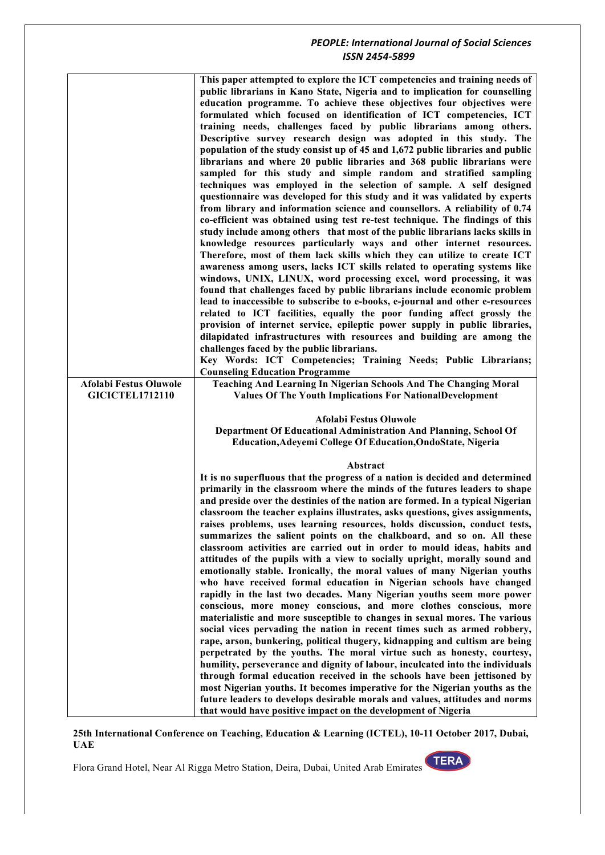|                        | This paper attempted to explore the ICT competencies and training needs of     |
|------------------------|--------------------------------------------------------------------------------|
|                        | public librarians in Kano State, Nigeria and to implication for counselling    |
|                        | education programme. To achieve these objectives four objectives were          |
|                        | formulated which focused on identification of ICT competencies, ICT            |
|                        | training needs, challenges faced by public librarians among others.            |
|                        | Descriptive survey research design was adopted in this study. The              |
|                        | population of the study consist up of 45 and 1,672 public libraries and public |
|                        | librarians and where 20 public libraries and 368 public librarians were        |
|                        | sampled for this study and simple random and stratified sampling               |
|                        | techniques was employed in the selection of sample. A self designed            |
|                        | questionnaire was developed for this study and it was validated by experts     |
|                        | from library and information science and counsellors. A reliability of 0.74    |
|                        | co-efficient was obtained using test re-test technique. The findings of this   |
|                        | study include among others that most of the public librarians lacks skills in  |
|                        | knowledge resources particularly ways and other internet resources.            |
|                        | Therefore, most of them lack skills which they can utilize to create ICT       |
|                        | awareness among users, lacks ICT skills related to operating systems like      |
|                        | windows, UNIX, LINUX, word processing excel, word processing, it was           |
|                        | found that challenges faced by public librarians include economic problem      |
|                        | lead to inaccessible to subscribe to e-books, e-journal and other e-resources  |
|                        | related to ICT facilities, equally the poor funding affect grossly the         |
|                        | provision of internet service, epileptic power supply in public libraries,     |
|                        | dilapidated infrastructures with resources and building are among the          |
|                        | challenges faced by the public librarians.                                     |
|                        | Key Words: ICT Competencies; Training Needs; Public Librarians;                |
|                        | <b>Counseling Education Programme</b>                                          |
| Afolabi Festus Oluwole | Teaching And Learning In Nigerian Schools And The Changing Moral               |
| <b>GICICTEL1712110</b> | <b>Values Of The Youth Implications For NationalDevelopment</b>                |
|                        |                                                                                |
|                        |                                                                                |
|                        |                                                                                |
|                        | Afolabi Festus Oluwole                                                         |
|                        | Department Of Educational Administration And Planning, School Of               |
|                        | Education, Adeyemi College Of Education, OndoState, Nigeria                    |
|                        | Abstract                                                                       |
|                        | It is no superfluous that the progress of a nation is decided and determined   |
|                        | primarily in the classroom where the minds of the futures leaders to shape     |
|                        | and preside over the destinies of the nation are formed. In a typical Nigerian |
|                        | classroom the teacher explains illustrates, asks questions, gives assignments, |
|                        | raises problems, uses learning resources, holds discussion, conduct tests,     |
|                        | summarizes the salient points on the chalkboard, and so on. All these          |
|                        | classroom activities are carried out in order to mould ideas, habits and       |
|                        | attitudes of the pupils with a view to socially upright, morally sound and     |
|                        | emotionally stable. Ironically, the moral values of many Nigerian youths       |
|                        | who have received formal education in Nigerian schools have changed            |
|                        | rapidly in the last two decades. Many Nigerian youths seem more power          |
|                        | conscious, more money conscious, and more clothes conscious, more              |
|                        | materialistic and more susceptible to changes in sexual mores. The various     |
|                        | social vices pervading the nation in recent times such as armed robbery,       |
|                        | rape, arson, bunkering, political thugery, kidnapping and cultism are being    |
|                        | perpetrated by the youths. The moral virtue such as honesty, courtesy,         |
|                        | humility, perseverance and dignity of labour, inculcated into the individuals  |
|                        | through formal education received in the schools have been jettisoned by       |
|                        | most Nigerian youths. It becomes imperative for the Nigerian youths as the     |
|                        | future leaders to develops desirable morals and values, attitudes and norms    |

#### **25th International Conference on Teaching, Education & Learning (ICTEL), 10-11 October 2017, Dubai, UAE**

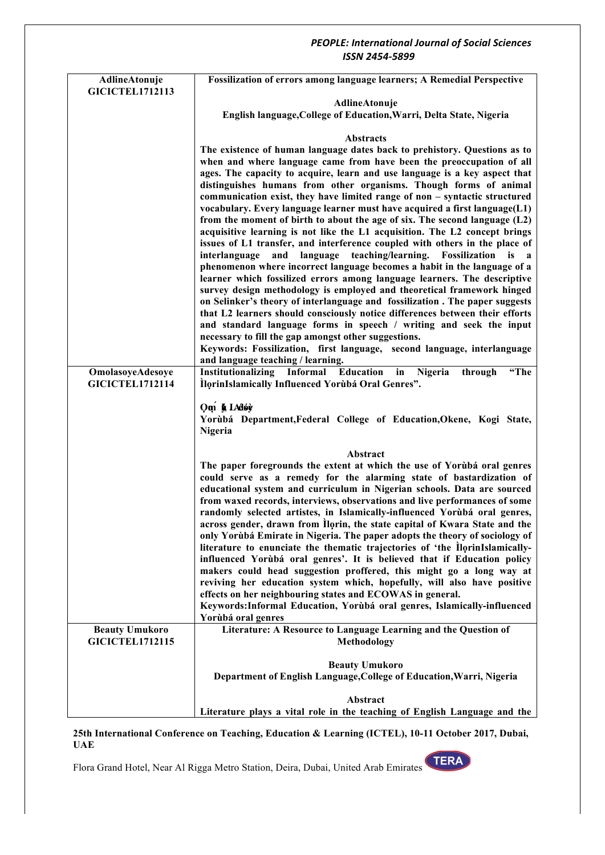| AdlineAtonuje                              | Fossilization of errors among language learners; A Remedial Perspective                                                                                                                                                                                                                                                                                                                                                                                                                                                                                                                                                                                                                                                                                                                                                                                                                                                                                                                                                                                                                                      |
|--------------------------------------------|--------------------------------------------------------------------------------------------------------------------------------------------------------------------------------------------------------------------------------------------------------------------------------------------------------------------------------------------------------------------------------------------------------------------------------------------------------------------------------------------------------------------------------------------------------------------------------------------------------------------------------------------------------------------------------------------------------------------------------------------------------------------------------------------------------------------------------------------------------------------------------------------------------------------------------------------------------------------------------------------------------------------------------------------------------------------------------------------------------------|
| <b>GICICTEL1712113</b>                     | AdlineAtonuje                                                                                                                                                                                                                                                                                                                                                                                                                                                                                                                                                                                                                                                                                                                                                                                                                                                                                                                                                                                                                                                                                                |
|                                            | English language, College of Education, Warri, Delta State, Nigeria                                                                                                                                                                                                                                                                                                                                                                                                                                                                                                                                                                                                                                                                                                                                                                                                                                                                                                                                                                                                                                          |
|                                            | <b>Abstracts</b>                                                                                                                                                                                                                                                                                                                                                                                                                                                                                                                                                                                                                                                                                                                                                                                                                                                                                                                                                                                                                                                                                             |
|                                            | The existence of human language dates back to prehistory. Questions as to                                                                                                                                                                                                                                                                                                                                                                                                                                                                                                                                                                                                                                                                                                                                                                                                                                                                                                                                                                                                                                    |
|                                            | when and where language came from have been the preoccupation of all                                                                                                                                                                                                                                                                                                                                                                                                                                                                                                                                                                                                                                                                                                                                                                                                                                                                                                                                                                                                                                         |
|                                            | ages. The capacity to acquire, learn and use language is a key aspect that<br>distinguishes humans from other organisms. Though forms of animal<br>communication exist, they have limited range of non - syntactic structured<br>vocabulary. Every language learner must have acquired a first language(L1)<br>from the moment of birth to about the age of six. The second language $(L2)$<br>acquisitive learning is not like the L1 acquisition. The L2 concept brings<br>issues of L1 transfer, and interference coupled with others in the place of<br>interlanguage<br>language teaching/learning. Fossilization<br>and<br>is a<br>phenomenon where incorrect language becomes a habit in the language of a<br>learner which fossilized errors among language learners. The descriptive<br>survey design methodology is employed and theoretical framework hinged<br>on Selinker's theory of interlanguage and fossilization. The paper suggests<br>that L2 learners should consciously notice differences between their efforts<br>and standard language forms in speech / writing and seek the input |
|                                            | necessary to fill the gap amongst other suggestions.<br>Keywords: Fossilization, first language, second language, interlanguage                                                                                                                                                                                                                                                                                                                                                                                                                                                                                                                                                                                                                                                                                                                                                                                                                                                                                                                                                                              |
|                                            | and language teaching / learning.                                                                                                                                                                                                                                                                                                                                                                                                                                                                                                                                                                                                                                                                                                                                                                                                                                                                                                                                                                                                                                                                            |
| OmolasoyeAdesoye<br><b>GICICTEL1712114</b> | Institutionalizing Informal Education<br>Nigeria<br>"The<br>in<br>through<br>IlorinIslamically Influenced Yorubá Oral Genres".                                                                                                                                                                                                                                                                                                                                                                                                                                                                                                                                                                                                                                                                                                                                                                                                                                                                                                                                                                               |
|                                            | Om § LAdov<br>Yorùbá Department, Federal College of Education, Okene, Kogi State,<br>Nigeria                                                                                                                                                                                                                                                                                                                                                                                                                                                                                                                                                                                                                                                                                                                                                                                                                                                                                                                                                                                                                 |
|                                            | Abstract                                                                                                                                                                                                                                                                                                                                                                                                                                                                                                                                                                                                                                                                                                                                                                                                                                                                                                                                                                                                                                                                                                     |
|                                            | The paper foregrounds the extent at which the use of Yorùbá oral genres<br>could serve as a remedy for the alarming state of bastardization of<br>educational system and curriculum in Nigerian schools. Data are sourced<br>from waxed records, interviews, observations and live performances of some<br>randomly selected artistes, in Islamically-influenced Yorùbá oral genres,<br>across gender, drawn from Ilorin, the state capital of Kwara State and the<br>only Yorùbá Emirate in Nigeria. The paper adopts the theory of sociology of<br>literature to enunciate the thematic trajectories of 'the llorinIslamically-<br>influenced Yorùbá oral genres'. It is believed that if Education policy<br>makers could head suggestion proffered, this might go a long way at<br>reviving her education system which, hopefully, will also have positive<br>effects on her neighbouring states and ECOWAS in general.<br>Keywords: Informal Education, Yorùbá oral genres, Islamically-influenced<br>Yorùbá oral genres                                                                                |
| <b>Beauty Umukoro</b>                      | Literature: A Resource to Language Learning and the Question of                                                                                                                                                                                                                                                                                                                                                                                                                                                                                                                                                                                                                                                                                                                                                                                                                                                                                                                                                                                                                                              |
| <b>GICICTEL1712115</b>                     | Methodology                                                                                                                                                                                                                                                                                                                                                                                                                                                                                                                                                                                                                                                                                                                                                                                                                                                                                                                                                                                                                                                                                                  |
|                                            | <b>Beauty Umukoro</b>                                                                                                                                                                                                                                                                                                                                                                                                                                                                                                                                                                                                                                                                                                                                                                                                                                                                                                                                                                                                                                                                                        |
|                                            | Department of English Language, College of Education, Warri, Nigeria                                                                                                                                                                                                                                                                                                                                                                                                                                                                                                                                                                                                                                                                                                                                                                                                                                                                                                                                                                                                                                         |
|                                            | Abstract                                                                                                                                                                                                                                                                                                                                                                                                                                                                                                                                                                                                                                                                                                                                                                                                                                                                                                                                                                                                                                                                                                     |
|                                            | Literature plays a vital role in the teaching of English Language and the                                                                                                                                                                                                                                                                                                                                                                                                                                                                                                                                                                                                                                                                                                                                                                                                                                                                                                                                                                                                                                    |

**25th International Conference on Teaching, Education & Learning (ICTEL), 10-11 October 2017, Dubai, UAE**

Flora Grand Hotel, Near Al Rigga Metro Station, Deira, Dubai, United Arab Emirates

TERA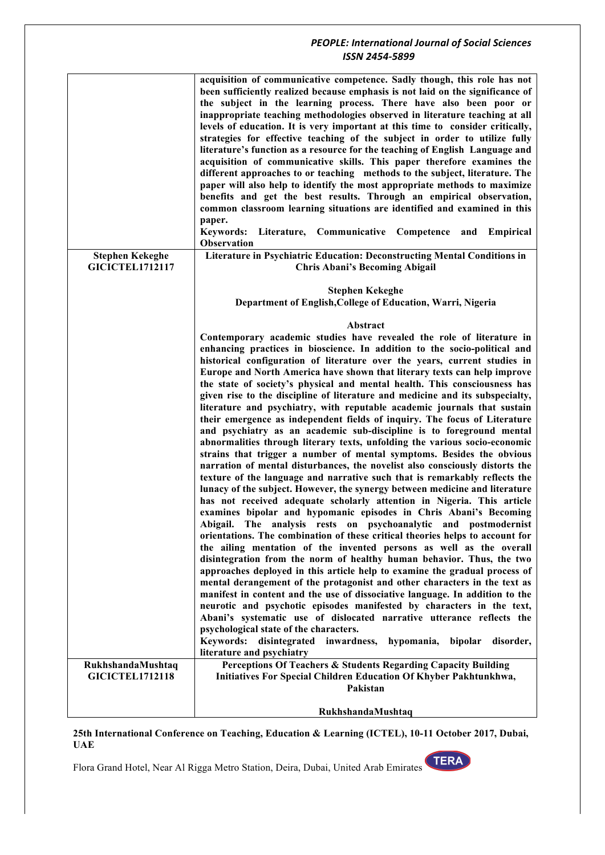|                                             | acquisition of communicative competence. Sadly though, this role has not<br>been sufficiently realized because emphasis is not laid on the significance of<br>the subject in the learning process. There have also been poor or<br>inappropriate teaching methodologies observed in literature teaching at all<br>levels of education. It is very important at this time to consider critically,<br>strategies for effective teaching of the subject in order to utilize fully<br>literature's function as a resource for the teaching of English Language and<br>acquisition of communicative skills. This paper therefore examines the<br>different approaches to or teaching methods to the subject, literature. The<br>paper will also help to identify the most appropriate methods to maximize<br>benefits and get the best results. Through an empirical observation,<br>common classroom learning situations are identified and examined in this<br>paper.<br><b>Keywords:</b><br>Literature, Communicative<br>Competence<br>and Empirical<br><b>Observation</b>                                                                                                                                                                                                                                                                                                                                                                                                                                                                                                                                                                                                                                                                                                                                                                                                                                                                                                                                                                                                                                              |
|---------------------------------------------|-----------------------------------------------------------------------------------------------------------------------------------------------------------------------------------------------------------------------------------------------------------------------------------------------------------------------------------------------------------------------------------------------------------------------------------------------------------------------------------------------------------------------------------------------------------------------------------------------------------------------------------------------------------------------------------------------------------------------------------------------------------------------------------------------------------------------------------------------------------------------------------------------------------------------------------------------------------------------------------------------------------------------------------------------------------------------------------------------------------------------------------------------------------------------------------------------------------------------------------------------------------------------------------------------------------------------------------------------------------------------------------------------------------------------------------------------------------------------------------------------------------------------------------------------------------------------------------------------------------------------------------------------------------------------------------------------------------------------------------------------------------------------------------------------------------------------------------------------------------------------------------------------------------------------------------------------------------------------------------------------------------------------------------------------------------------------------------------------------------------------|
| <b>Stephen Kekeghe</b>                      | Literature in Psychiatric Education: Deconstructing Mental Conditions in                                                                                                                                                                                                                                                                                                                                                                                                                                                                                                                                                                                                                                                                                                                                                                                                                                                                                                                                                                                                                                                                                                                                                                                                                                                                                                                                                                                                                                                                                                                                                                                                                                                                                                                                                                                                                                                                                                                                                                                                                                              |
| <b>GICICTEL1712117</b>                      | <b>Chris Abani's Becoming Abigail</b>                                                                                                                                                                                                                                                                                                                                                                                                                                                                                                                                                                                                                                                                                                                                                                                                                                                                                                                                                                                                                                                                                                                                                                                                                                                                                                                                                                                                                                                                                                                                                                                                                                                                                                                                                                                                                                                                                                                                                                                                                                                                                 |
|                                             | <b>Stephen Kekeghe</b><br>Department of English, College of Education, Warri, Nigeria                                                                                                                                                                                                                                                                                                                                                                                                                                                                                                                                                                                                                                                                                                                                                                                                                                                                                                                                                                                                                                                                                                                                                                                                                                                                                                                                                                                                                                                                                                                                                                                                                                                                                                                                                                                                                                                                                                                                                                                                                                 |
|                                             | Abstract                                                                                                                                                                                                                                                                                                                                                                                                                                                                                                                                                                                                                                                                                                                                                                                                                                                                                                                                                                                                                                                                                                                                                                                                                                                                                                                                                                                                                                                                                                                                                                                                                                                                                                                                                                                                                                                                                                                                                                                                                                                                                                              |
|                                             | Contemporary academic studies have revealed the role of literature in<br>enhancing practices in bioscience. In addition to the socio-political and<br>historical configuration of literature over the years, current studies in<br>Europe and North America have shown that literary texts can help improve<br>the state of society's physical and mental health. This consciousness has<br>given rise to the discipline of literature and medicine and its subspecialty,<br>literature and psychiatry, with reputable academic journals that sustain<br>their emergence as independent fields of inquiry. The focus of Literature<br>and psychiatry as an academic sub-discipline is to foreground mental<br>abnormalities through literary texts, unfolding the various socio-economic<br>strains that trigger a number of mental symptoms. Besides the obvious<br>narration of mental disturbances, the novelist also consciously distorts the<br>texture of the language and narrative such that is remarkably reflects the<br>lunacy of the subject. However, the synergy between medicine and literature<br>has not received adequate scholarly attention in Nigeria. This article<br>examines bipolar and hypomanic episodes in Chris Abani's Becoming<br>Abigail. The analysis rests on psychoanalytic and postmodernist<br>orientations. The combination of these critical theories helps to account for<br>the ailing mentation of the invented persons as well as the overall<br>disintegration from the norm of healthy human behavior. Thus, the two<br>approaches deployed in this article help to examine the gradual process of<br>mental derangement of the protagonist and other characters in the text as<br>manifest in content and the use of dissociative language. In addition to the<br>neurotic and psychotic episodes manifested by characters in the text,<br>Abani's systematic use of dislocated narrative utterance reflects the<br>psychological state of the characters.<br>disintegrated inwardness,<br>Keywords:<br>hypomania,<br>bipolar<br>disorder,<br>literature and psychiatry |
| RukhshandaMushtaq<br><b>GICICTEL1712118</b> | Perceptions Of Teachers & Students Regarding Capacity Building<br>Initiatives For Special Children Education Of Khyber Pakhtunkhwa,                                                                                                                                                                                                                                                                                                                                                                                                                                                                                                                                                                                                                                                                                                                                                                                                                                                                                                                                                                                                                                                                                                                                                                                                                                                                                                                                                                                                                                                                                                                                                                                                                                                                                                                                                                                                                                                                                                                                                                                   |
|                                             | Pakistan                                                                                                                                                                                                                                                                                                                                                                                                                                                                                                                                                                                                                                                                                                                                                                                                                                                                                                                                                                                                                                                                                                                                                                                                                                                                                                                                                                                                                                                                                                                                                                                                                                                                                                                                                                                                                                                                                                                                                                                                                                                                                                              |
|                                             | RukhshandaMushtaq                                                                                                                                                                                                                                                                                                                                                                                                                                                                                                                                                                                                                                                                                                                                                                                                                                                                                                                                                                                                                                                                                                                                                                                                                                                                                                                                                                                                                                                                                                                                                                                                                                                                                                                                                                                                                                                                                                                                                                                                                                                                                                     |

#### **25th International Conference on Teaching, Education & Learning (ICTEL), 10-11 October 2017, Dubai, UAE**

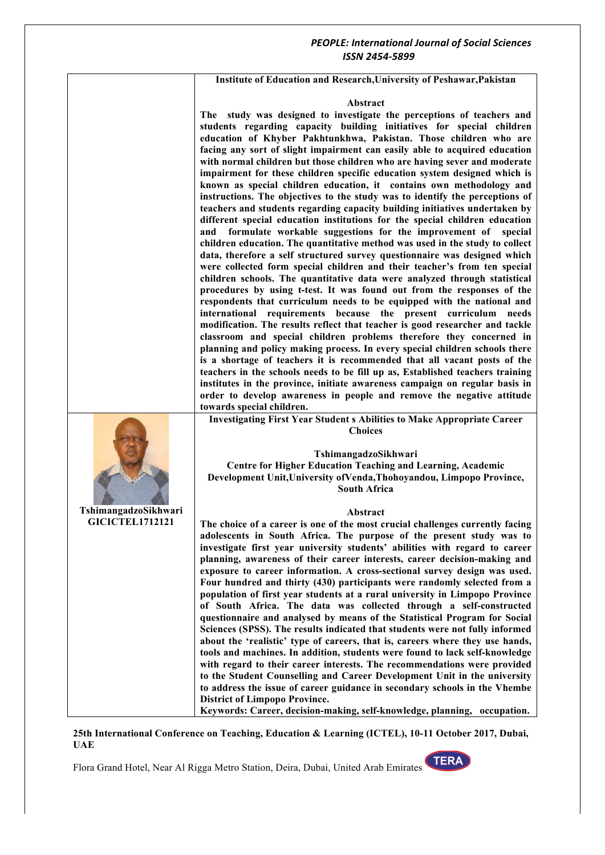**Institute of Education and Research,University of Peshawar,Pakistan**

#### **Abstract**

**The study was designed to investigate the perceptions of teachers and students regarding capacity building initiatives for special children education of Khyber Pakhtunkhwa, Pakistan. Those children who are facing any sort of slight impairment can easily able to acquired education with normal children but those children who are having sever and moderate impairment for these children specific education system designed which is known as special children education, it contains own methodology and instructions. The objectives to the study was to identify the perceptions of teachers and students regarding capacity building initiatives undertaken by different special education institutions for the special children education and formulate workable suggestions for the improvement of special children education. The quantitative method was used in the study to collect data, therefore a self structured survey questionnaire was designed which were collected form special children and their teacher's from ten special children schools. The quantitative data were analyzed through statistical procedures by using t-test. It was found out from the responses of the respondents that curriculum needs to be equipped with the national and international requirements because the present curriculum needs modification. The results reflect that teacher is good researcher and tackle classroom and special children problems therefore they concerned in planning and policy making process. In every special children schools there is a shortage of teachers it is recommended that all vacant posts of the teachers in the schools needs to be fill up as, Established teachers training institutes in the province, initiate awareness campaign on regular basis in order to develop awareness in people and remove the negative attitude towards special children.**

**Investigating First Year Student s Abilities to Make Appropriate Career Choices**

**TshimangadzoSikhwari Centre for Higher Education Teaching and Learning, Academic Development Unit,University ofVenda,Thohoyandou, Limpopo Province, South Africa**

#### **Abstract**

**The choice of a career is one of the most crucial challenges currently facing adolescents in South Africa. The purpose of the present study was to investigate first year university students' abilities with regard to career planning, awareness of their career interests, career decision-making and exposure to career information. A cross-sectional survey design was used. Four hundred and thirty (430) participants were randomly selected from a population of first year students at a rural university in Limpopo Province of South Africa. The data was collected through a self-constructed questionnaire and analysed by means of the Statistical Program for Social Sciences (SPSS). The results indicated that students were not fully informed about the 'realistic' type of careers, that is, careers where they use hands, tools and machines. In addition, students were found to lack self-knowledge with regard to their career interests. The recommendations were provided to the Student Counselling and Career Development Unit in the university to address the issue of career guidance in secondary schools in the Vhembe District of Limpopo Province.**

**Keywords: Career, decision-making, self-knowledge, planning, occupation.**

**25th International Conference on Teaching, Education & Learning (ICTEL), 10-11 October 2017, Dubai, UAE**

Flora Grand Hotel, Near Al Rigga Metro Station, Deira, Dubai, United Arab Emirates





**GICICTEL1712121**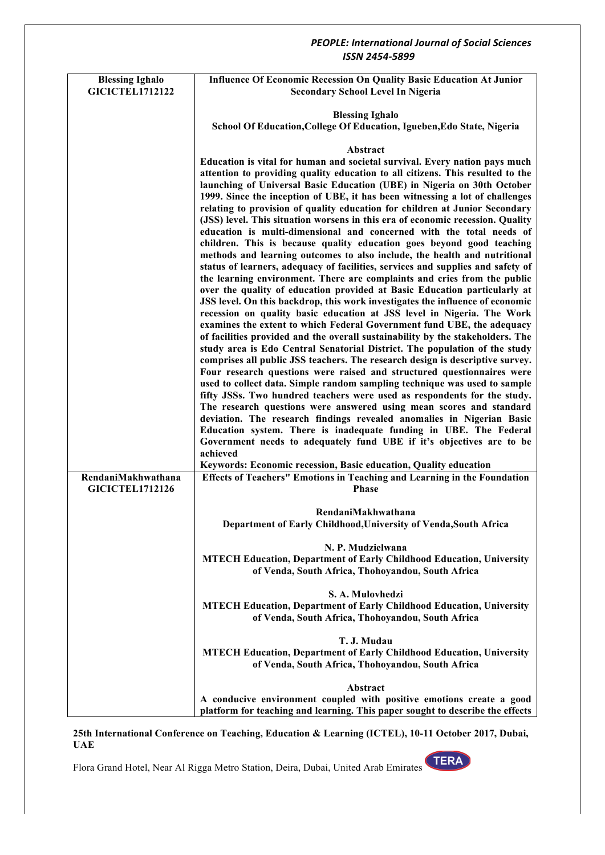## *ISSN 2454-5899* **Blessing Ighalo GICICTEL1712122 Influence Of Economic Recession On Quality Basic Education At Junior Secondary School Level In Nigeria Blessing Ighalo School Of Education,College Of Education, Igueben,Edo State, Nigeria Abstract Education is vital for human and societal survival. Every nation pays much attention to providing quality education to all citizens. This resulted to the launching of Universal Basic Education (UBE) in Nigeria on 30th October 1999. Since the inception of UBE, it has been witnessing a lot of challenges relating to provision of quality education for children at Junior Secondary (JSS) level. This situation worsens in this era of economic recession. Quality education is multi-dimensional and concerned with the total needs of children. This is because quality education goes beyond good teaching methods and learning outcomes to also include, the health and nutritional status of learners, adequacy of facilities, services and supplies and safety of the learning environment. There are complaints and cries from the public over the quality of education provided at Basic Education particularly at JSS level. On this backdrop, this work investigates the influence of economic recession on quality basic education at JSS level in Nigeria. The Work examines the extent to which Federal Government fund UBE, the adequacy of facilities provided and the overall sustainability by the stakeholders. The study area is Edo Central Senatorial District. The population of the study comprises all public JSS teachers. The research design is descriptive survey. Four research questions were raised and structured questionnaires were used to collect data. Simple random sampling technique was used to sample fifty JSSs. Two hundred teachers were used as respondents for the study. The research questions were answered using mean scores and standard deviation. The research findings revealed anomalies in Nigerian Basic Education system. There is inadequate funding in UBE. The Federal Government needs to adequately fund UBE if it's objectives are to be achieved Keywords: Economic recession, Basic education, Quality education RendaniMakhwathana GICICTEL1712126 Effects of Teachers" Emotions in Teaching and Learning in the Foundation Phase RendaniMakhwathana Department of Early Childhood,University of Venda,South Africa N. P. Mudzielwana MTECH Education, Department of Early Childhood Education, University of Venda, South Africa, Thohoyandou, South Africa S. A. Mulovhedzi MTECH Education, Department of Early Childhood Education, University of Venda, South Africa, Thohoyandou, South Africa T. J. Mudau MTECH Education, Department of Early Childhood Education, University of Venda, South Africa, Thohoyandou, South Africa Abstract A conducive environment coupled with positive emotions create a good platform for teaching and learning. This paper sought to describe the effects**

**25th International Conference on Teaching, Education & Learning (ICTEL), 10-11 October 2017, Dubai, UAE**

Flora Grand Hotel, Near Al Rigga Metro Station, Deira, Dubai, United Arab Emirates



*PEOPLE: International Journal of Social Sciences*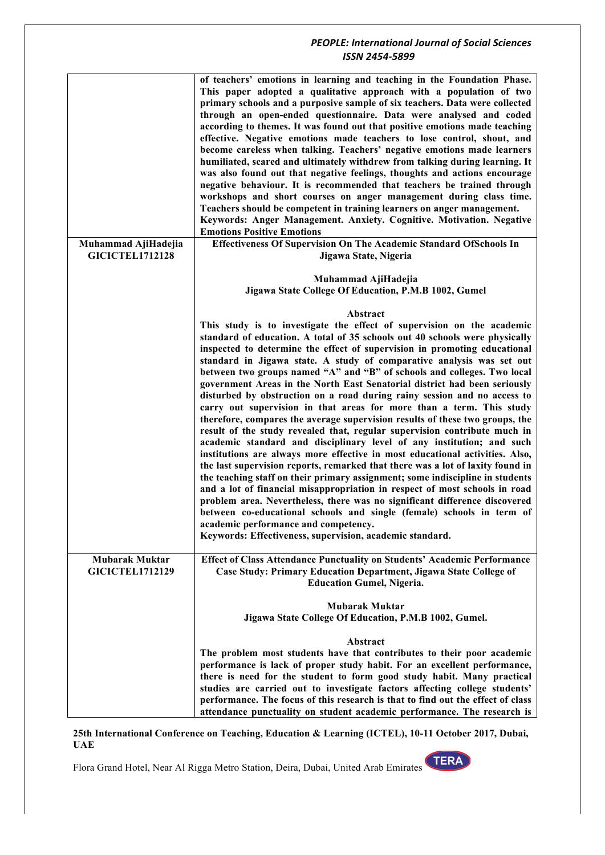|                                                 | of teachers' emotions in learning and teaching in the Foundation Phase.<br>This paper adopted a qualitative approach with a population of two<br>primary schools and a purposive sample of six teachers. Data were collected<br>through an open-ended questionnaire. Data were analysed and coded<br>according to themes. It was found out that positive emotions made teaching<br>effective. Negative emotions made teachers to lose control, shout, and<br>become careless when talking. Teachers' negative emotions made learners<br>humiliated, scared and ultimately withdrew from talking during learning. It<br>was also found out that negative feelings, thoughts and actions encourage<br>negative behaviour. It is recommended that teachers be trained through<br>workshops and short courses on anger management during class time.<br>Teachers should be competent in training learners on anger management.<br>Keywords: Anger Management. Anxiety. Cognitive. Motivation. Negative<br><b>Emotions Positive Emotions</b>                                                                                                                                                                                                                                                                                                                                                                                                                               |
|-------------------------------------------------|-----------------------------------------------------------------------------------------------------------------------------------------------------------------------------------------------------------------------------------------------------------------------------------------------------------------------------------------------------------------------------------------------------------------------------------------------------------------------------------------------------------------------------------------------------------------------------------------------------------------------------------------------------------------------------------------------------------------------------------------------------------------------------------------------------------------------------------------------------------------------------------------------------------------------------------------------------------------------------------------------------------------------------------------------------------------------------------------------------------------------------------------------------------------------------------------------------------------------------------------------------------------------------------------------------------------------------------------------------------------------------------------------------------------------------------------------------------------------|
| Muhammad AjiHadejia<br><b>GICICTEL1712128</b>   | Effectiveness Of Supervision On The Academic Standard OfSchools In<br>Jigawa State, Nigeria                                                                                                                                                                                                                                                                                                                                                                                                                                                                                                                                                                                                                                                                                                                                                                                                                                                                                                                                                                                                                                                                                                                                                                                                                                                                                                                                                                           |
|                                                 | Muhammad AjiHadejia<br>Jigawa State College Of Education, P.M.B 1002, Gumel                                                                                                                                                                                                                                                                                                                                                                                                                                                                                                                                                                                                                                                                                                                                                                                                                                                                                                                                                                                                                                                                                                                                                                                                                                                                                                                                                                                           |
|                                                 | Abstract<br>This study is to investigate the effect of supervision on the academic<br>standard of education. A total of 35 schools out 40 schools were physically<br>inspected to determine the effect of supervision in promoting educational<br>standard in Jigawa state. A study of comparative analysis was set out<br>between two groups named "A" and "B" of schools and colleges. Two local<br>government Areas in the North East Senatorial district had been seriously<br>disturbed by obstruction on a road during rainy session and no access to<br>carry out supervision in that areas for more than a term. This study<br>therefore, compares the average supervision results of these two groups, the<br>result of the study revealed that, regular supervision contribute much in<br>academic standard and disciplinary level of any institution; and such<br>institutions are always more effective in most educational activities. Also,<br>the last supervision reports, remarked that there was a lot of laxity found in<br>the teaching staff on their primary assignment; some indiscipline in students<br>and a lot of financial misappropriation in respect of most schools in road<br>problem area. Nevertheless, there was no significant difference discovered<br>between co-educational schools and single (female) schools in term of<br>academic performance and competency.<br>Keywords: Effectiveness, supervision, academic standard. |
| <b>Mubarak Muktar</b><br><b>GICICTEL1712129</b> | <b>Effect of Class Attendance Punctuality on Students' Academic Performance</b><br>Case Study: Primary Education Department, Jigawa State College of<br><b>Education Gumel, Nigeria.</b>                                                                                                                                                                                                                                                                                                                                                                                                                                                                                                                                                                                                                                                                                                                                                                                                                                                                                                                                                                                                                                                                                                                                                                                                                                                                              |
|                                                 | <b>Mubarak Muktar</b><br>Jigawa State College Of Education, P.M.B 1002, Gumel.                                                                                                                                                                                                                                                                                                                                                                                                                                                                                                                                                                                                                                                                                                                                                                                                                                                                                                                                                                                                                                                                                                                                                                                                                                                                                                                                                                                        |
|                                                 | Abstract<br>The problem most students have that contributes to their poor academic<br>performance is lack of proper study habit. For an excellent performance,<br>there is need for the student to form good study habit. Many practical<br>studies are carried out to investigate factors affecting college students'<br>performance. The focus of this research is that to find out the effect of class<br>attendance punctuality on student academic performance. The research is                                                                                                                                                                                                                                                                                                                                                                                                                                                                                                                                                                                                                                                                                                                                                                                                                                                                                                                                                                                  |

**25th International Conference on Teaching, Education & Learning (ICTEL), 10-11 October 2017, Dubai, UAE**

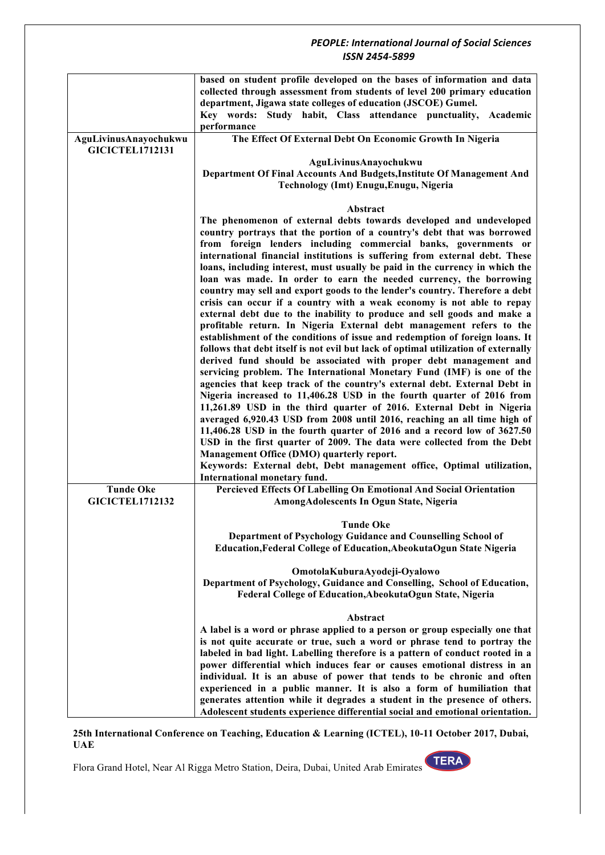|                        | based on student profile developed on the bases of information and data<br>collected through assessment from students of level 200 primary education<br>department, Jigawa state colleges of education (JSCOE) Gumel.<br>Key words: Study habit, Class attendance punctuality,<br>Academic<br>performance |
|------------------------|-----------------------------------------------------------------------------------------------------------------------------------------------------------------------------------------------------------------------------------------------------------------------------------------------------------|
| AguLivinusAnayochukwu  | The Effect Of External Debt On Economic Growth In Nigeria                                                                                                                                                                                                                                                 |
| <b>GICICTEL1712131</b> |                                                                                                                                                                                                                                                                                                           |
|                        | AguLivinusAnayochukwu<br>Department Of Final Accounts And Budgets, Institute Of Management And                                                                                                                                                                                                            |
|                        | Technology (Imt) Enugu, Enugu, Nigeria                                                                                                                                                                                                                                                                    |
|                        |                                                                                                                                                                                                                                                                                                           |
|                        | Abstract                                                                                                                                                                                                                                                                                                  |
|                        | The phenomenon of external debts towards developed and undeveloped                                                                                                                                                                                                                                        |
|                        | country portrays that the portion of a country's debt that was borrowed                                                                                                                                                                                                                                   |
|                        | from foreign lenders including commercial banks, governments or<br>international financial institutions is suffering from external debt. These                                                                                                                                                            |
|                        | loans, including interest, must usually be paid in the currency in which the                                                                                                                                                                                                                              |
|                        | loan was made. In order to earn the needed currency, the borrowing                                                                                                                                                                                                                                        |
|                        | country may sell and export goods to the lender's country. Therefore a debt                                                                                                                                                                                                                               |
|                        | crisis can occur if a country with a weak economy is not able to repay                                                                                                                                                                                                                                    |
|                        | external debt due to the inability to produce and sell goods and make a<br>profitable return. In Nigeria External debt management refers to the                                                                                                                                                           |
|                        | establishment of the conditions of issue and redemption of foreign loans. It                                                                                                                                                                                                                              |
|                        | follows that debt itself is not evil but lack of optimal utilization of externally                                                                                                                                                                                                                        |
|                        | derived fund should be associated with proper debt management and                                                                                                                                                                                                                                         |
|                        | servicing problem. The International Monetary Fund (IMF) is one of the                                                                                                                                                                                                                                    |
|                        | agencies that keep track of the country's external debt. External Debt in<br>Nigeria increased to 11,406.28 USD in the fourth quarter of 2016 from                                                                                                                                                        |
|                        | 11,261.89 USD in the third quarter of 2016. External Debt in Nigeria                                                                                                                                                                                                                                      |
|                        | averaged 6,920.43 USD from 2008 until 2016, reaching an all time high of                                                                                                                                                                                                                                  |
|                        | 11,406.28 USD in the fourth quarter of 2016 and a record low of 3627.50                                                                                                                                                                                                                                   |
|                        | USD in the first quarter of 2009. The data were collected from the Debt                                                                                                                                                                                                                                   |
|                        | Management Office (DMO) quarterly report.                                                                                                                                                                                                                                                                 |
|                        | Keywords: External debt, Debt management office, Optimal utilization,<br>International monetary fund.                                                                                                                                                                                                     |
| <b>Tunde Oke</b>       | Percieved Effects Of Labelling On Emotional And Social Orientation                                                                                                                                                                                                                                        |
| <b>GICICTEL1712132</b> | AmongAdolescents In Ogun State, Nigeria                                                                                                                                                                                                                                                                   |
|                        |                                                                                                                                                                                                                                                                                                           |
|                        | <b>Tunde Oke</b>                                                                                                                                                                                                                                                                                          |
|                        | Department of Psychology Guidance and Counselling School of<br>Education, Federal College of Education, Abeokuta Ogun State Nigeria                                                                                                                                                                       |
|                        |                                                                                                                                                                                                                                                                                                           |
|                        | OmotolaKuburaAyodeji-Oyalowo                                                                                                                                                                                                                                                                              |
|                        | Department of Psychology, Guidance and Conselling, School of Education,                                                                                                                                                                                                                                   |
|                        | Federal College of Education, Abeokuta Ogun State, Nigeria                                                                                                                                                                                                                                                |
|                        | Abstract                                                                                                                                                                                                                                                                                                  |
|                        | A label is a word or phrase applied to a person or group especially one that                                                                                                                                                                                                                              |
|                        | is not quite accurate or true, such a word or phrase tend to portray the                                                                                                                                                                                                                                  |
|                        | labeled in bad light. Labelling therefore is a pattern of conduct rooted in a                                                                                                                                                                                                                             |
|                        | power differential which induces fear or causes emotional distress in an<br>individual. It is an abuse of power that tends to be chronic and often                                                                                                                                                        |
|                        | experienced in a public manner. It is also a form of humiliation that                                                                                                                                                                                                                                     |
|                        | generates attention while it degrades a student in the presence of others.                                                                                                                                                                                                                                |
|                        | Adolescent students experience differential social and emotional orientation.                                                                                                                                                                                                                             |

**25th International Conference on Teaching, Education & Learning (ICTEL), 10-11 October 2017, Dubai, UAE**

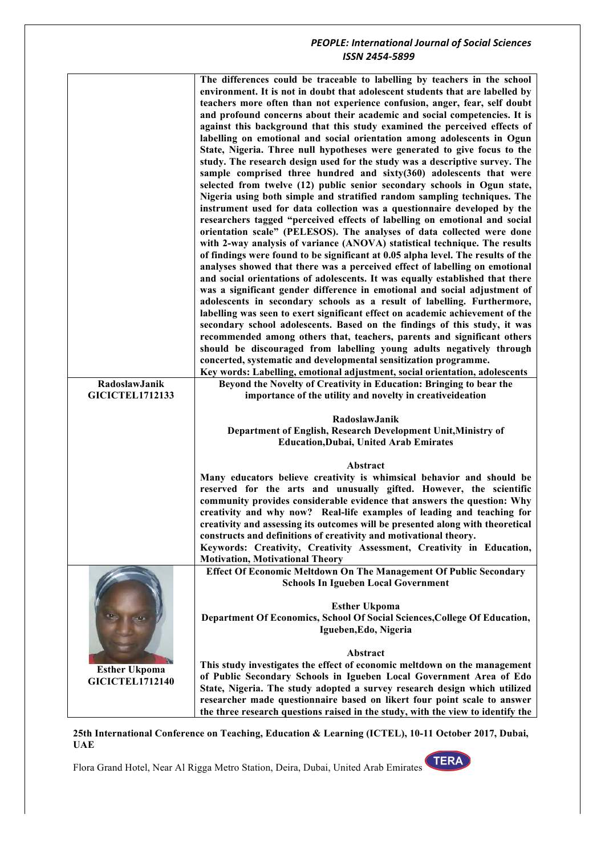|                                                | The differences could be traceable to labelling by teachers in the school<br>environment. It is not in doubt that adolescent students that are labelled by<br>teachers more often than not experience confusion, anger, fear, self doubt<br>and profound concerns about their academic and social competencies. It is<br>against this background that this study examined the perceived effects of<br>labelling on emotional and social orientation among adolescents in Ogun<br>State, Nigeria. Three null hypotheses were generated to give focus to the<br>study. The research design used for the study was a descriptive survey. The<br>sample comprised three hundred and sixty(360) adolescents that were<br>selected from twelve (12) public senior secondary schools in Ogun state,<br>Nigeria using both simple and stratified random sampling techniques. The<br>instrument used for data collection was a questionnaire developed by the<br>researchers tagged "perceived effects of labelling on emotional and social<br>orientation scale" (PELESOS). The analyses of data collected were done<br>with 2-way analysis of variance (ANOVA) statistical technique. The results<br>of findings were found to be significant at 0.05 alpha level. The results of the<br>analyses showed that there was a perceived effect of labelling on emotional<br>and social orientations of adolescents. It was equally established that there<br>was a significant gender difference in emotional and social adjustment of<br>adolescents in secondary schools as a result of labelling. Furthermore,<br>labelling was seen to exert significant effect on academic achievement of the<br>secondary school adolescents. Based on the findings of this study, it was<br>recommended among others that, teachers, parents and significant others<br>should be discouraged from labelling young adults negatively through<br>concerted, systematic and developmental sensitization programme.<br>Key words: Labelling, emotional adjustment, social orientation, adolescents |
|------------------------------------------------|----------------------------------------------------------------------------------------------------------------------------------------------------------------------------------------------------------------------------------------------------------------------------------------------------------------------------------------------------------------------------------------------------------------------------------------------------------------------------------------------------------------------------------------------------------------------------------------------------------------------------------------------------------------------------------------------------------------------------------------------------------------------------------------------------------------------------------------------------------------------------------------------------------------------------------------------------------------------------------------------------------------------------------------------------------------------------------------------------------------------------------------------------------------------------------------------------------------------------------------------------------------------------------------------------------------------------------------------------------------------------------------------------------------------------------------------------------------------------------------------------------------------------------------------------------------------------------------------------------------------------------------------------------------------------------------------------------------------------------------------------------------------------------------------------------------------------------------------------------------------------------------------------------------------------------------------------------------------------------------------------------------------------------------------------------------------------|
| RadoslawJanik<br><b>GICICTEL1712133</b>        | Beyond the Novelty of Creativity in Education: Bringing to bear the<br>importance of the utility and novelty in creativeideation                                                                                                                                                                                                                                                                                                                                                                                                                                                                                                                                                                                                                                                                                                                                                                                                                                                                                                                                                                                                                                                                                                                                                                                                                                                                                                                                                                                                                                                                                                                                                                                                                                                                                                                                                                                                                                                                                                                                           |
|                                                | RadoslawJanik<br>Department of English, Research Development Unit, Ministry of<br><b>Education, Dubai, United Arab Emirates</b>                                                                                                                                                                                                                                                                                                                                                                                                                                                                                                                                                                                                                                                                                                                                                                                                                                                                                                                                                                                                                                                                                                                                                                                                                                                                                                                                                                                                                                                                                                                                                                                                                                                                                                                                                                                                                                                                                                                                            |
|                                                | Abstract<br>Many educators believe creativity is whimsical behavior and should be<br>reserved for the arts and unusually gifted. However, the scientific<br>community provides considerable evidence that answers the question: Why<br>creativity and why now? Real-life examples of leading and teaching for<br>creativity and assessing its outcomes will be presented along with theoretical<br>constructs and definitions of creativity and motivational theory.<br>Keywords: Creativity, Creativity Assessment, Creativity in Education,<br><b>Motivation, Motivational Theory</b>                                                                                                                                                                                                                                                                                                                                                                                                                                                                                                                                                                                                                                                                                                                                                                                                                                                                                                                                                                                                                                                                                                                                                                                                                                                                                                                                                                                                                                                                                    |
|                                                | <b>Effect Of Economic Meltdown On The Management Of Public Secondary</b><br><b>Schools In Igueben Local Government</b>                                                                                                                                                                                                                                                                                                                                                                                                                                                                                                                                                                                                                                                                                                                                                                                                                                                                                                                                                                                                                                                                                                                                                                                                                                                                                                                                                                                                                                                                                                                                                                                                                                                                                                                                                                                                                                                                                                                                                     |
|                                                | <b>Esther Ukpoma</b><br>Department Of Economics, School Of Social Sciences, College Of Education,<br>Igueben, Edo, Nigeria                                                                                                                                                                                                                                                                                                                                                                                                                                                                                                                                                                                                                                                                                                                                                                                                                                                                                                                                                                                                                                                                                                                                                                                                                                                                                                                                                                                                                                                                                                                                                                                                                                                                                                                                                                                                                                                                                                                                                 |
| <b>Esther Ukpoma</b><br><b>GICICTEL1712140</b> | Abstract                                                                                                                                                                                                                                                                                                                                                                                                                                                                                                                                                                                                                                                                                                                                                                                                                                                                                                                                                                                                                                                                                                                                                                                                                                                                                                                                                                                                                                                                                                                                                                                                                                                                                                                                                                                                                                                                                                                                                                                                                                                                   |

**25th International Conference on Teaching, Education & Learning (ICTEL), 10-11 October 2017, Dubai, UAE**

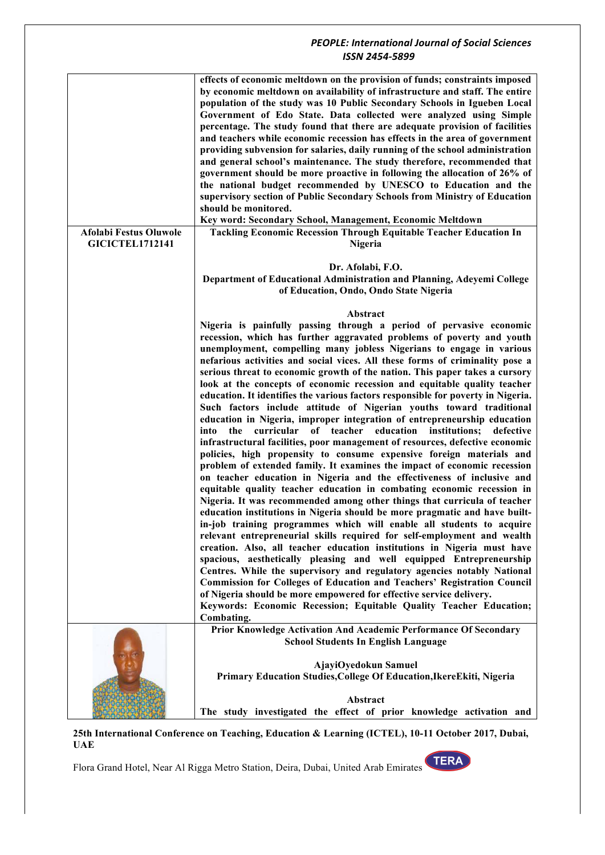|                               | effects of economic meltdown on the provision of funds; constraints imposed<br>by economic meltdown on availability of infrastructure and staff. The entire<br>population of the study was 10 Public Secondary Schools in Igueben Local<br>Government of Edo State. Data collected were analyzed using Simple<br>percentage. The study found that there are adequate provision of facilities<br>and teachers while economic recession has effects in the area of government<br>providing subvension for salaries, daily running of the school administration<br>and general school's maintenance. The study therefore, recommended that<br>government should be more proactive in following the allocation of 26% of<br>the national budget recommended by UNESCO to Education and the<br>supervisory section of Public Secondary Schools from Ministry of Education<br>should be monitored.<br>Key word: Secondary School, Management, Economic Meltdown                                                                                                                                                                                                                                                                                                                                                                                                                                                                                                                                                                                                                                                                                                                                                                                                                                                                                                                                                                                                    |
|-------------------------------|--------------------------------------------------------------------------------------------------------------------------------------------------------------------------------------------------------------------------------------------------------------------------------------------------------------------------------------------------------------------------------------------------------------------------------------------------------------------------------------------------------------------------------------------------------------------------------------------------------------------------------------------------------------------------------------------------------------------------------------------------------------------------------------------------------------------------------------------------------------------------------------------------------------------------------------------------------------------------------------------------------------------------------------------------------------------------------------------------------------------------------------------------------------------------------------------------------------------------------------------------------------------------------------------------------------------------------------------------------------------------------------------------------------------------------------------------------------------------------------------------------------------------------------------------------------------------------------------------------------------------------------------------------------------------------------------------------------------------------------------------------------------------------------------------------------------------------------------------------------------------------------------------------------------------------------------------------------|
| <b>Afolabi Festus Oluwole</b> | <b>Tackling Economic Recession Through Equitable Teacher Education In</b>                                                                                                                                                                                                                                                                                                                                                                                                                                                                                                                                                                                                                                                                                                                                                                                                                                                                                                                                                                                                                                                                                                                                                                                                                                                                                                                                                                                                                                                                                                                                                                                                                                                                                                                                                                                                                                                                                    |
| <b>GICICTEL1712141</b>        | Nigeria                                                                                                                                                                                                                                                                                                                                                                                                                                                                                                                                                                                                                                                                                                                                                                                                                                                                                                                                                                                                                                                                                                                                                                                                                                                                                                                                                                                                                                                                                                                                                                                                                                                                                                                                                                                                                                                                                                                                                      |
|                               | Dr. Afolabi, F.O.                                                                                                                                                                                                                                                                                                                                                                                                                                                                                                                                                                                                                                                                                                                                                                                                                                                                                                                                                                                                                                                                                                                                                                                                                                                                                                                                                                                                                                                                                                                                                                                                                                                                                                                                                                                                                                                                                                                                            |
|                               | Department of Educational Administration and Planning, Adeyemi College<br>of Education, Ondo, Ondo State Nigeria                                                                                                                                                                                                                                                                                                                                                                                                                                                                                                                                                                                                                                                                                                                                                                                                                                                                                                                                                                                                                                                                                                                                                                                                                                                                                                                                                                                                                                                                                                                                                                                                                                                                                                                                                                                                                                             |
|                               | Abstract                                                                                                                                                                                                                                                                                                                                                                                                                                                                                                                                                                                                                                                                                                                                                                                                                                                                                                                                                                                                                                                                                                                                                                                                                                                                                                                                                                                                                                                                                                                                                                                                                                                                                                                                                                                                                                                                                                                                                     |
|                               | Nigeria is painfully passing through a period of pervasive economic<br>recession, which has further aggravated problems of poverty and youth<br>unemployment, compelling many jobless Nigerians to engage in various<br>nefarious activities and social vices. All these forms of criminality pose a<br>serious threat to economic growth of the nation. This paper takes a cursory<br>look at the concepts of economic recession and equitable quality teacher<br>education. It identifies the various factors responsible for poverty in Nigeria.<br>Such factors include attitude of Nigerian youths toward traditional<br>education in Nigeria, improper integration of entrepreneurship education<br>into the curricular of teacher education institutions;<br>defective<br>infrastructural facilities, poor management of resources, defective economic<br>policies, high propensity to consume expensive foreign materials and<br>problem of extended family. It examines the impact of economic recession<br>on teacher education in Nigeria and the effectiveness of inclusive and<br>equitable quality teacher education in combating economic recession in<br>Nigeria. It was recommended among other things that curricula of teacher<br>education institutions in Nigeria should be more pragmatic and have built-<br>in-job training programmes which will enable all students to acquire<br>relevant entrepreneurial skills required for self-employment and wealth<br>creation. Also, all teacher education institutions in Nigeria must have<br>spacious, aesthetically pleasing and well equipped Entrepreneurship<br>Centres. While the supervisory and regulatory agencies notably National<br><b>Commission for Colleges of Education and Teachers' Registration Council</b><br>of Nigeria should be more empowered for effective service delivery.<br>Keywords: Economic Recession; Equitable Quality Teacher Education;<br>Combating. |
|                               | Prior Knowledge Activation And Academic Performance Of Secondary<br><b>School Students In English Language</b>                                                                                                                                                                                                                                                                                                                                                                                                                                                                                                                                                                                                                                                                                                                                                                                                                                                                                                                                                                                                                                                                                                                                                                                                                                                                                                                                                                                                                                                                                                                                                                                                                                                                                                                                                                                                                                               |
|                               | AjayiOyedokun Samuel<br>Primary Education Studies, College Of Education, IkereEkiti, Nigeria                                                                                                                                                                                                                                                                                                                                                                                                                                                                                                                                                                                                                                                                                                                                                                                                                                                                                                                                                                                                                                                                                                                                                                                                                                                                                                                                                                                                                                                                                                                                                                                                                                                                                                                                                                                                                                                                 |
|                               | Abstract<br>The study investigated the effect of prior knowledge activation and                                                                                                                                                                                                                                                                                                                                                                                                                                                                                                                                                                                                                                                                                                                                                                                                                                                                                                                                                                                                                                                                                                                                                                                                                                                                                                                                                                                                                                                                                                                                                                                                                                                                                                                                                                                                                                                                              |

**25th International Conference on Teaching, Education & Learning (ICTEL), 10-11 October 2017, Dubai, UAE**

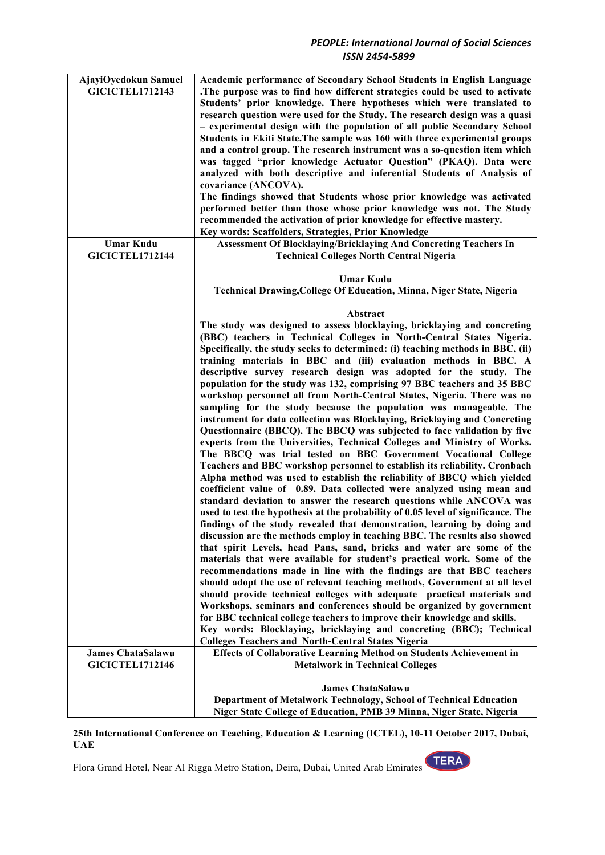| AjayiOyedokun Samuel<br><b>GICICTEL1712143</b> | Academic performance of Secondary School Students in English Language<br>.The purpose was to find how different strategies could be used to activate<br>Students' prior knowledge. There hypotheses which were translated to<br>research question were used for the Study. The research design was a quasi<br>- experimental design with the population of all public Secondary School<br>Students in Ekiti State. The sample was 160 with three experimental groups<br>and a control group. The research instrument was a so-question item which<br>was tagged "prior knowledge Actuator Question" (PKAQ). Data were<br>analyzed with both descriptive and inferential Students of Analysis of<br>covariance (ANCOVA).<br>The findings showed that Students whose prior knowledge was activated<br>performed better than those whose prior knowledge was not. The Study<br>recommended the activation of prior knowledge for effective mastery. |
|------------------------------------------------|--------------------------------------------------------------------------------------------------------------------------------------------------------------------------------------------------------------------------------------------------------------------------------------------------------------------------------------------------------------------------------------------------------------------------------------------------------------------------------------------------------------------------------------------------------------------------------------------------------------------------------------------------------------------------------------------------------------------------------------------------------------------------------------------------------------------------------------------------------------------------------------------------------------------------------------------------|
|                                                | Key words: Scaffolders, Strategies, Prior Knowledge                                                                                                                                                                                                                                                                                                                                                                                                                                                                                                                                                                                                                                                                                                                                                                                                                                                                                              |
| <b>Umar Kudu</b><br><b>GICICTEL1712144</b>     | <b>Assessment Of Blocklaying/Bricklaying And Concreting Teachers In</b><br><b>Technical Colleges North Central Nigeria</b>                                                                                                                                                                                                                                                                                                                                                                                                                                                                                                                                                                                                                                                                                                                                                                                                                       |
|                                                | <b>Umar Kudu</b><br>Technical Drawing, College Of Education, Minna, Niger State, Nigeria                                                                                                                                                                                                                                                                                                                                                                                                                                                                                                                                                                                                                                                                                                                                                                                                                                                         |
|                                                |                                                                                                                                                                                                                                                                                                                                                                                                                                                                                                                                                                                                                                                                                                                                                                                                                                                                                                                                                  |
|                                                | Abstract                                                                                                                                                                                                                                                                                                                                                                                                                                                                                                                                                                                                                                                                                                                                                                                                                                                                                                                                         |
|                                                | The study was designed to assess blocklaying, bricklaying and concreting                                                                                                                                                                                                                                                                                                                                                                                                                                                                                                                                                                                                                                                                                                                                                                                                                                                                         |
|                                                | (BBC) teachers in Technical Colleges in North-Central States Nigeria.<br>Specifically, the study seeks to determined: (i) teaching methods in BBC, (ii)<br>training materials in BBC and (iii) evaluation methods in BBC. A<br>descriptive survey research design was adopted for the study. The                                                                                                                                                                                                                                                                                                                                                                                                                                                                                                                                                                                                                                                 |
|                                                | population for the study was 132, comprising 97 BBC teachers and 35 BBC<br>workshop personnel all from North-Central States, Nigeria. There was no<br>sampling for the study because the population was manageable. The<br>instrument for data collection was Blocklaying, Bricklaying and Concreting                                                                                                                                                                                                                                                                                                                                                                                                                                                                                                                                                                                                                                            |
|                                                | Questionnaire (BBCQ). The BBCQ was subjected to face validation by five<br>experts from the Universities, Technical Colleges and Ministry of Works.<br>The BBCQ was trial tested on BBC Government Vocational College                                                                                                                                                                                                                                                                                                                                                                                                                                                                                                                                                                                                                                                                                                                            |
|                                                | Teachers and BBC workshop personnel to establish its reliability. Cronbach<br>Alpha method was used to establish the reliability of BBCQ which yielded<br>coefficient value of 0.89. Data collected were analyzed using mean and<br>standard deviation to answer the research questions while ANCOVA was                                                                                                                                                                                                                                                                                                                                                                                                                                                                                                                                                                                                                                         |
|                                                | used to test the hypothesis at the probability of 0.05 level of significance. The                                                                                                                                                                                                                                                                                                                                                                                                                                                                                                                                                                                                                                                                                                                                                                                                                                                                |
|                                                | findings of the study revealed that demonstration, learning by doing and<br>discussion are the methods employ in teaching BBC. The results also showed                                                                                                                                                                                                                                                                                                                                                                                                                                                                                                                                                                                                                                                                                                                                                                                           |
|                                                | that spirit Levels, head Pans, sand, bricks and water are some of the<br>materials that were available for student's practical work. Some of the                                                                                                                                                                                                                                                                                                                                                                                                                                                                                                                                                                                                                                                                                                                                                                                                 |
|                                                | recommendations made in line with the findings are that BBC teachers<br>should adopt the use of relevant teaching methods, Government at all level                                                                                                                                                                                                                                                                                                                                                                                                                                                                                                                                                                                                                                                                                                                                                                                               |
|                                                | should provide technical colleges with adequate practical materials and                                                                                                                                                                                                                                                                                                                                                                                                                                                                                                                                                                                                                                                                                                                                                                                                                                                                          |
|                                                | Workshops, seminars and conferences should be organized by government                                                                                                                                                                                                                                                                                                                                                                                                                                                                                                                                                                                                                                                                                                                                                                                                                                                                            |
|                                                | for BBC technical college teachers to improve their knowledge and skills.<br>Key words: Blocklaying, bricklaying and concreting (BBC); Technical                                                                                                                                                                                                                                                                                                                                                                                                                                                                                                                                                                                                                                                                                                                                                                                                 |
|                                                | <b>Colleges Teachers and North-Central States Nigeria</b>                                                                                                                                                                                                                                                                                                                                                                                                                                                                                                                                                                                                                                                                                                                                                                                                                                                                                        |
| <b>James ChataSalawu</b>                       | <b>Effects of Collaborative Learning Method on Students Achievement in</b>                                                                                                                                                                                                                                                                                                                                                                                                                                                                                                                                                                                                                                                                                                                                                                                                                                                                       |
| <b>GICICTEL1712146</b>                         | <b>Metalwork in Technical Colleges</b>                                                                                                                                                                                                                                                                                                                                                                                                                                                                                                                                                                                                                                                                                                                                                                                                                                                                                                           |
|                                                | <b>James ChataSalawu</b>                                                                                                                                                                                                                                                                                                                                                                                                                                                                                                                                                                                                                                                                                                                                                                                                                                                                                                                         |
|                                                | Department of Metalwork Technology, School of Technical Education                                                                                                                                                                                                                                                                                                                                                                                                                                                                                                                                                                                                                                                                                                                                                                                                                                                                                |
|                                                | Niger State College of Education, PMB 39 Minna, Niger State, Nigeria                                                                                                                                                                                                                                                                                                                                                                                                                                                                                                                                                                                                                                                                                                                                                                                                                                                                             |

#### **25th International Conference on Teaching, Education & Learning (ICTEL), 10-11 October 2017, Dubai, UAE**

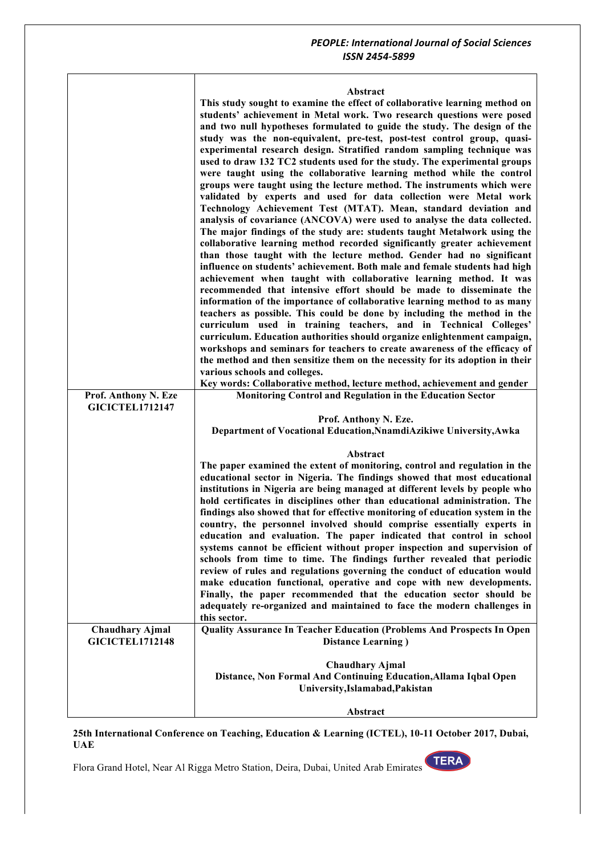## **Abstract**

|                        | <b>Abstract</b>                                                                                                                                    |
|------------------------|----------------------------------------------------------------------------------------------------------------------------------------------------|
|                        | This study sought to examine the effect of collaborative learning method on                                                                        |
|                        | students' achievement in Metal work. Two research questions were posed                                                                             |
|                        | and two null hypotheses formulated to guide the study. The design of the                                                                           |
|                        | study was the non-equivalent, pre-test, post-test control group, quasi-                                                                            |
|                        | experimental research design. Stratified random sampling technique was                                                                             |
|                        | used to draw 132 TC2 students used for the study. The experimental groups                                                                          |
|                        | were taught using the collaborative learning method while the control                                                                              |
|                        | groups were taught using the lecture method. The instruments which were                                                                            |
|                        | validated by experts and used for data collection were Metal work                                                                                  |
|                        | Technology Achievement Test (MTAT). Mean, standard deviation and                                                                                   |
|                        | analysis of covariance (ANCOVA) were used to analyse the data collected.                                                                           |
|                        | The major findings of the study are: students taught Metalwork using the                                                                           |
|                        | collaborative learning method recorded significantly greater achievement                                                                           |
|                        | than those taught with the lecture method. Gender had no significant                                                                               |
|                        | influence on students' achievement. Both male and female students had high                                                                         |
|                        | achievement when taught with collaborative learning method. It was                                                                                 |
|                        | recommended that intensive effort should be made to disseminate the                                                                                |
|                        | information of the importance of collaborative learning method to as many                                                                          |
|                        | teachers as possible. This could be done by including the method in the                                                                            |
|                        | curriculum used in training teachers, and in Technical Colleges'                                                                                   |
|                        | curriculum. Education authorities should organize enlightenment campaign,                                                                          |
|                        | workshops and seminars for teachers to create awareness of the efficacy of                                                                         |
|                        | the method and then sensitize them on the necessity for its adoption in their                                                                      |
|                        | various schools and colleges.                                                                                                                      |
|                        | Key words: Collaborative method, lecture method, achievement and gender                                                                            |
| Prof. Anthony N. Eze   | Monitoring Control and Regulation in the Education Sector                                                                                          |
| <b>GICICTEL1712147</b> |                                                                                                                                                    |
|                        | Prof. Anthony N. Eze.                                                                                                                              |
|                        | Department of Vocational Education, NnamdiAzikiwe University, Awka                                                                                 |
|                        |                                                                                                                                                    |
|                        | Abstract                                                                                                                                           |
|                        | The paper examined the extent of monitoring, control and regulation in the                                                                         |
|                        | educational sector in Nigeria. The findings showed that most educational                                                                           |
|                        | institutions in Nigeria are being managed at different levels by people who                                                                        |
|                        | hold certificates in disciplines other than educational administration. The                                                                        |
|                        | findings also showed that for effective monitoring of education system in the                                                                      |
|                        | country, the personnel involved should comprise essentially experts in                                                                             |
|                        | education and evaluation. The paper indicated that control in school                                                                               |
|                        | systems cannot be efficient without proper inspection and supervision of                                                                           |
|                        | schools from time to time. The findings further revealed that periodic<br>review of rules and regulations governing the conduct of education would |
|                        |                                                                                                                                                    |
|                        | make education functional, operative and cope with new developments.<br>Finally, the paper recommended that the education sector should be         |
|                        |                                                                                                                                                    |
|                        | adequately re-organized and maintained to face the modern challenges in<br>this sector.                                                            |
| <b>Chaudhary Ajmal</b> | Quality Assurance In Teacher Education (Problems And Prospects In Open                                                                             |
| <b>GICICTEL1712148</b> | <b>Distance Learning</b> )                                                                                                                         |
|                        |                                                                                                                                                    |
|                        | <b>Chaudhary Ajmal</b>                                                                                                                             |
|                        | Distance, Non Formal And Continuing Education, Allama Iqbal Open                                                                                   |
|                        | University, Islamabad, Pakistan                                                                                                                    |
|                        |                                                                                                                                                    |
|                        | Abstract                                                                                                                                           |

#### **25th International Conference on Teaching, Education & Learning (ICTEL), 10-11 October 2017, Dubai, UAE**

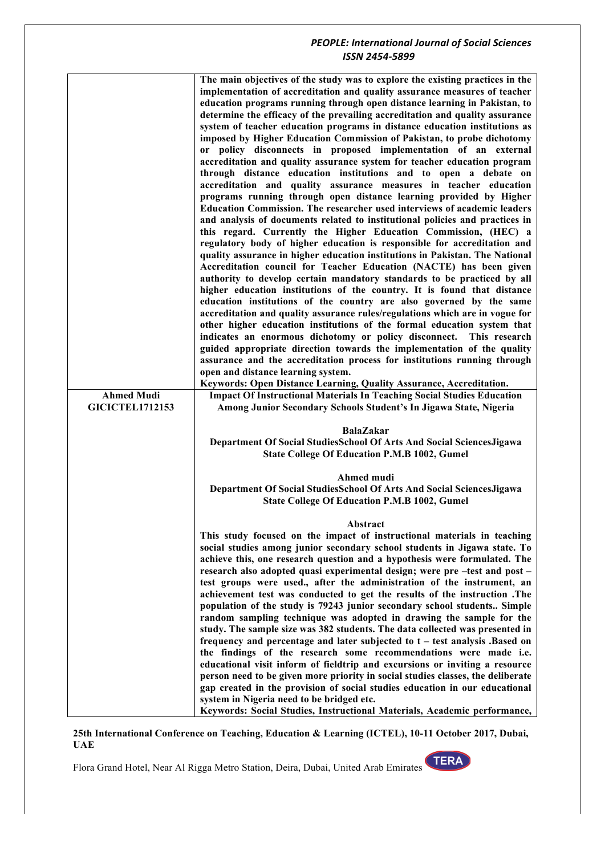|                        | The main objectives of the study was to explore the existing practices in the                                         |
|------------------------|-----------------------------------------------------------------------------------------------------------------------|
|                        | implementation of accreditation and quality assurance measures of teacher                                             |
|                        | education programs running through open distance learning in Pakistan, to                                             |
|                        | determine the efficacy of the prevailing accreditation and quality assurance                                          |
|                        | system of teacher education programs in distance education institutions as                                            |
|                        | imposed by Higher Education Commission of Pakistan, to probe dichotomy                                                |
|                        | or policy disconnects in proposed implementation of an external                                                       |
|                        | accreditation and quality assurance system for teacher education program                                              |
|                        | through distance education institutions and to open a debate on                                                       |
|                        | accreditation and quality assurance measures in teacher education                                                     |
|                        | programs running through open distance learning provided by Higher                                                    |
|                        | <b>Education Commission. The researcher used interviews of academic leaders</b>                                       |
|                        | and analysis of documents related to institutional policies and practices in                                          |
|                        | this regard. Currently the Higher Education Commission, (HEC) a                                                       |
|                        | regulatory body of higher education is responsible for accreditation and                                              |
|                        | quality assurance in higher education institutions in Pakistan. The National                                          |
|                        | Accreditation council for Teacher Education (NACTE) has been given                                                    |
|                        | authority to develop certain mandatory standards to be practiced by all                                               |
|                        | higher education institutions of the country. It is found that distance                                               |
|                        | education institutions of the country are also governed by the same                                                   |
|                        | accreditation and quality assurance rules/regulations which are in vogue for                                          |
|                        | other higher education institutions of the formal education system that                                               |
|                        | indicates an enormous dichotomy or policy disconnect. This research                                                   |
|                        | guided appropriate direction towards the implementation of the quality                                                |
|                        | assurance and the accreditation process for institutions running through                                              |
|                        | open and distance learning system.                                                                                    |
|                        | Keywords: Open Distance Learning, Quality Assurance, Accreditation.                                                   |
| <b>Ahmed Mudi</b>      | <b>Impact Of Instructional Materials In Teaching Social Studies Education</b>                                         |
| <b>GICICTEL1712153</b> | Among Junior Secondary Schools Student's In Jigawa State, Nigeria                                                     |
|                        |                                                                                                                       |
|                        | <b>BalaZakar</b>                                                                                                      |
|                        | Department Of Social StudiesSchool Of Arts And Social SciencesJigawa                                                  |
|                        | <b>State College Of Education P.M.B 1002, Gumel</b>                                                                   |
|                        | Ahmed mudi                                                                                                            |
|                        | Department Of Social StudiesSchool Of Arts And Social SciencesJigawa                                                  |
|                        | <b>State College Of Education P.M.B 1002, Gumel</b>                                                                   |
|                        |                                                                                                                       |
|                        | Abstract                                                                                                              |
|                        | This study focused on the impact of instructional materials in teaching                                               |
|                        | social studies among junior secondary school students in Jigawa state. To                                             |
|                        | achieve this, one research question and a hypothesis were formulated. The                                             |
|                        | research also adopted quasi experimental design; were pre-test and post-                                              |
|                        | test groups were used., after the administration of the instrument, an                                                |
|                        |                                                                                                                       |
|                        | achievement test was conducted to get the results of the instruction .The                                             |
|                        | population of the study is 79243 junior secondary school students Simple                                              |
|                        | random sampling technique was adopted in drawing the sample for the                                                   |
|                        | study. The sample size was 382 students. The data collected was presented in                                          |
|                        | frequency and percentage and later subjected to t - test analysis .Based on                                           |
|                        | the findings of the research some recommendations were made i.e.                                                      |
|                        | educational visit inform of fieldtrip and excursions or inviting a resource                                           |
|                        | person need to be given more priority in social studies classes, the deliberate                                       |
|                        | gap created in the provision of social studies education in our educational                                           |
|                        | system in Nigeria need to be bridged etc.<br>Keywords: Social Studies, Instructional Materials, Academic performance, |

**25th International Conference on Teaching, Education & Learning (ICTEL), 10-11 October 2017, Dubai, UAE**

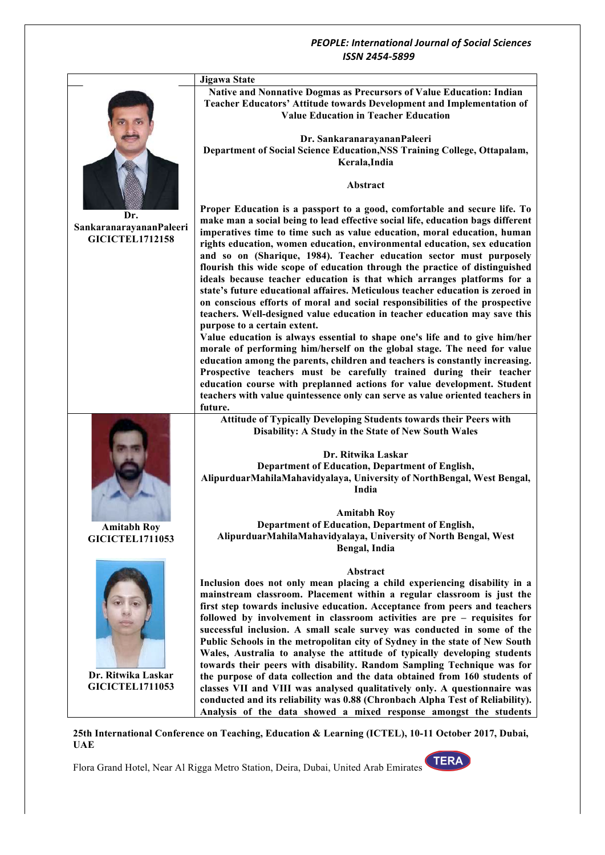

**25th International Conference on Teaching, Education & Learning (ICTEL), 10-11 October 2017, Dubai, UAE**

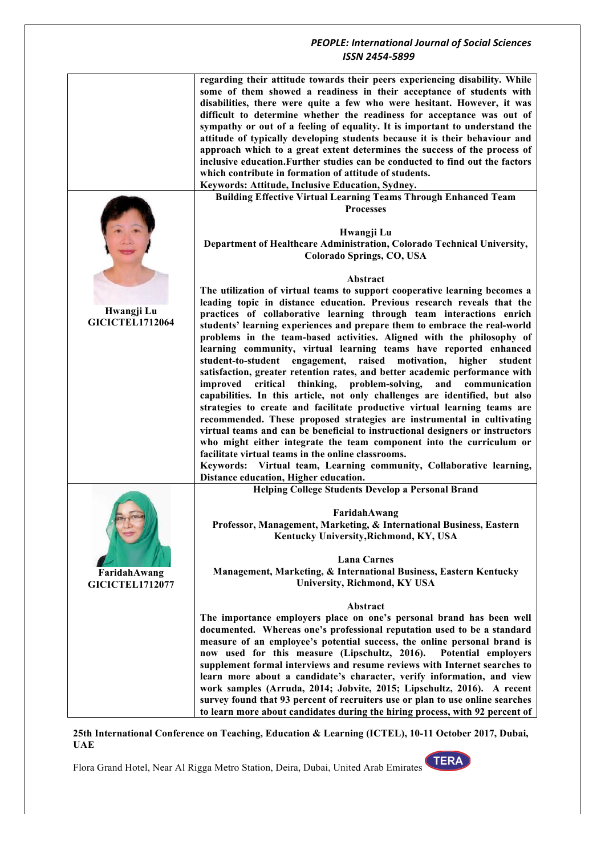|                                        | regarding their attitude towards their peers experiencing disability. While<br>some of them showed a readiness in their acceptance of students with<br>disabilities, there were quite a few who were hesitant. However, it was<br>difficult to determine whether the readiness for acceptance was out of<br>sympathy or out of a feeling of equality. It is important to understand the<br>attitude of typically developing students because it is their behaviour and<br>approach which to a great extent determines the success of the process of<br>inclusive education. Further studies can be conducted to find out the factors<br>which contribute in formation of attitude of students.<br>Keywords: Attitude, Inclusive Education, Sydney. |
|----------------------------------------|----------------------------------------------------------------------------------------------------------------------------------------------------------------------------------------------------------------------------------------------------------------------------------------------------------------------------------------------------------------------------------------------------------------------------------------------------------------------------------------------------------------------------------------------------------------------------------------------------------------------------------------------------------------------------------------------------------------------------------------------------|
|                                        | <b>Building Effective Virtual Learning Teams Through Enhanced Team</b>                                                                                                                                                                                                                                                                                                                                                                                                                                                                                                                                                                                                                                                                             |
|                                        | <b>Processes</b><br>Hwangji Lu<br>Department of Healthcare Administration, Colorado Technical University,<br>Colorado Springs, CO, USA                                                                                                                                                                                                                                                                                                                                                                                                                                                                                                                                                                                                             |
|                                        | Abstract                                                                                                                                                                                                                                                                                                                                                                                                                                                                                                                                                                                                                                                                                                                                           |
| Hwangji Lu<br><b>GICICTEL1712064</b>   | The utilization of virtual teams to support cooperative learning becomes a<br>leading topic in distance education. Previous research reveals that the<br>practices of collaborative learning through team interactions enrich<br>students' learning experiences and prepare them to embrace the real-world<br>problems in the team-based activities. Aligned with the philosophy of<br>learning community, virtual learning teams have reported enhanced                                                                                                                                                                                                                                                                                           |
|                                        | engagement, raised motivation,<br>student-to-student<br>higher<br>student<br>satisfaction, greater retention rates, and better academic performance with<br>thinking, problem-solving,<br>critical<br>and communication<br>improved<br>capabilities. In this article, not only challenges are identified, but also<br>strategies to create and facilitate productive virtual learning teams are<br>recommended. These proposed strategies are instrumental in cultivating                                                                                                                                                                                                                                                                          |
|                                        | virtual teams and can be beneficial to instructional designers or instructors<br>who might either integrate the team component into the curriculum or<br>facilitate virtual teams in the online classrooms.                                                                                                                                                                                                                                                                                                                                                                                                                                                                                                                                        |
|                                        | Keywords: Virtual team, Learning community, Collaborative learning,                                                                                                                                                                                                                                                                                                                                                                                                                                                                                                                                                                                                                                                                                |
|                                        | Distance education, Higher education.<br><b>Helping College Students Develop a Personal Brand</b>                                                                                                                                                                                                                                                                                                                                                                                                                                                                                                                                                                                                                                                  |
|                                        |                                                                                                                                                                                                                                                                                                                                                                                                                                                                                                                                                                                                                                                                                                                                                    |
|                                        | FaridahAwang<br>Professor, Management, Marketing, & International Business, Eastern<br>Kentucky University, Richmond, KY, USA                                                                                                                                                                                                                                                                                                                                                                                                                                                                                                                                                                                                                      |
| FaridahAwang<br><b>GICICTEL1712077</b> | <b>Lana Carnes</b><br>Management, Marketing, & International Business, Eastern Kentucky<br>University, Richmond, KY USA                                                                                                                                                                                                                                                                                                                                                                                                                                                                                                                                                                                                                            |
|                                        | Abstract                                                                                                                                                                                                                                                                                                                                                                                                                                                                                                                                                                                                                                                                                                                                           |
|                                        | The importance employers place on one's personal brand has been well<br>documented. Whereas one's professional reputation used to be a standard<br>measure of an employee's potential success, the online personal brand is<br>now used for this measure (Lipschultz, 2016).<br>Potential employers                                                                                                                                                                                                                                                                                                                                                                                                                                                |
|                                        | supplement formal interviews and resume reviews with Internet searches to                                                                                                                                                                                                                                                                                                                                                                                                                                                                                                                                                                                                                                                                          |
|                                        | learn more about a candidate's character, verify information, and view<br>work samples (Arruda, 2014; Jobvite, 2015; Lipschultz, 2016). A recent                                                                                                                                                                                                                                                                                                                                                                                                                                                                                                                                                                                                   |
|                                        | survey found that 93 percent of recruiters use or plan to use online searches                                                                                                                                                                                                                                                                                                                                                                                                                                                                                                                                                                                                                                                                      |
|                                        | to learn more about candidates during the hiring process, with 92 percent of                                                                                                                                                                                                                                                                                                                                                                                                                                                                                                                                                                                                                                                                       |

**25th International Conference on Teaching, Education & Learning (ICTEL), 10-11 October 2017, Dubai, UAE**

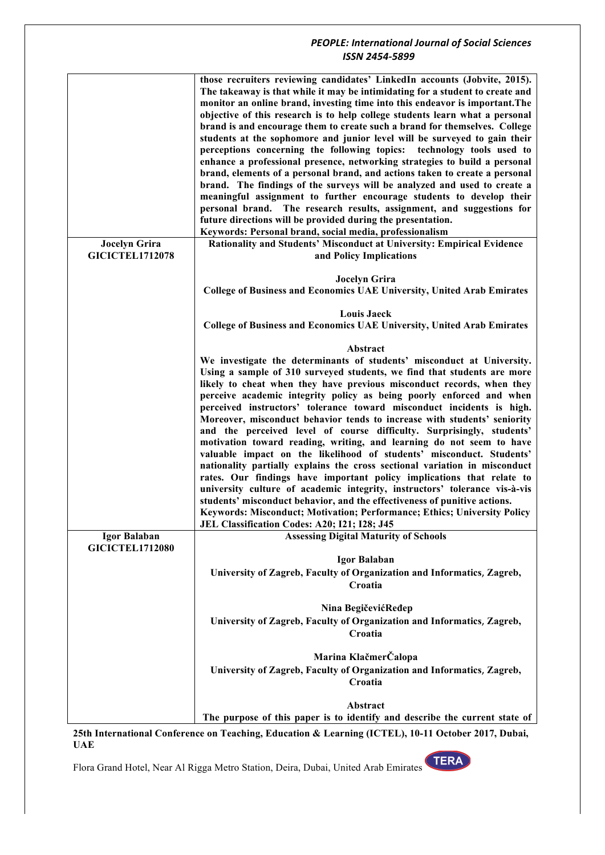|                                                | those recruiters reviewing candidates' LinkedIn accounts (Jobvite, 2015).<br>The takeaway is that while it may be intimidating for a student to create and<br>monitor an online brand, investing time into this endeavor is important. The<br>objective of this research is to help college students learn what a personal<br>brand is and encourage them to create such a brand for themselves. College<br>students at the sophomore and junior level will be surveyed to gain their |
|------------------------------------------------|---------------------------------------------------------------------------------------------------------------------------------------------------------------------------------------------------------------------------------------------------------------------------------------------------------------------------------------------------------------------------------------------------------------------------------------------------------------------------------------|
|                                                | perceptions concerning the following topics: technology tools used to<br>enhance a professional presence, networking strategies to build a personal<br>brand, elements of a personal brand, and actions taken to create a personal<br>brand. The findings of the surveys will be analyzed and used to create a                                                                                                                                                                        |
|                                                | meaningful assignment to further encourage students to develop their<br>personal brand. The research results, assignment, and suggestions for<br>future directions will be provided during the presentation.                                                                                                                                                                                                                                                                          |
|                                                | Keywords: Personal brand, social media, professionalism                                                                                                                                                                                                                                                                                                                                                                                                                               |
| <b>Jocelyn Grira</b><br><b>GICICTEL1712078</b> | Rationality and Students' Misconduct at University: Empirical Evidence<br>and Policy Implications                                                                                                                                                                                                                                                                                                                                                                                     |
|                                                | <b>Jocelyn Grira</b><br><b>College of Business and Economics UAE University, United Arab Emirates</b>                                                                                                                                                                                                                                                                                                                                                                                 |
|                                                | <b>Louis Jaeck</b>                                                                                                                                                                                                                                                                                                                                                                                                                                                                    |
|                                                | College of Business and Economics UAE University, United Arab Emirates                                                                                                                                                                                                                                                                                                                                                                                                                |
|                                                | Abstract                                                                                                                                                                                                                                                                                                                                                                                                                                                                              |
|                                                | We investigate the determinants of students' misconduct at University.<br>Using a sample of 310 surveyed students, we find that students are more<br>likely to cheat when they have previous misconduct records, when they                                                                                                                                                                                                                                                            |
|                                                | perceive academic integrity policy as being poorly enforced and when<br>perceived instructors' tolerance toward misconduct incidents is high.                                                                                                                                                                                                                                                                                                                                         |
|                                                | Moreover, misconduct behavior tends to increase with students' seniority<br>and the perceived level of course difficulty. Surprisingly, students'<br>motivation toward reading, writing, and learning do not seem to have<br>valuable impact on the likelihood of students' misconduct. Students'<br>nationality partially explains the cross sectional variation in misconduct<br>rates. Our findings have important policy implications that relate to                              |
|                                                | university culture of academic integrity, instructors' tolerance vis-à-vis<br>students' misconduct behavior, and the effectiveness of punitive actions.<br>Keywords: Misconduct; Motivation; Performance; Ethics; University Policy                                                                                                                                                                                                                                                   |
|                                                | JEL Classification Codes: A20; I21; I28; J45                                                                                                                                                                                                                                                                                                                                                                                                                                          |
| Igor Balaban<br><b>GICICTEL1712080</b>         | <b>Assessing Digital Maturity of Schools</b><br>Igor Balaban                                                                                                                                                                                                                                                                                                                                                                                                                          |
|                                                | University of Zagreb, Faculty of Organization and Informatics, Zagreb,<br>Croatia                                                                                                                                                                                                                                                                                                                                                                                                     |
|                                                | Nina BegičevićReđep<br>University of Zagreb, Faculty of Organization and Informatics, Zagreb,<br>Croatia                                                                                                                                                                                                                                                                                                                                                                              |
|                                                | Marina KlačmerČalopa                                                                                                                                                                                                                                                                                                                                                                                                                                                                  |
|                                                | University of Zagreb, Faculty of Organization and Informatics, Zagreb,<br>Croatia                                                                                                                                                                                                                                                                                                                                                                                                     |
|                                                | Abstract<br>The purpose of this paper is to identify and describe the current state of                                                                                                                                                                                                                                                                                                                                                                                                |

**25th International Conference on Teaching, Education & Learning (ICTEL), 10-11 October 2017, Dubai, UAE**

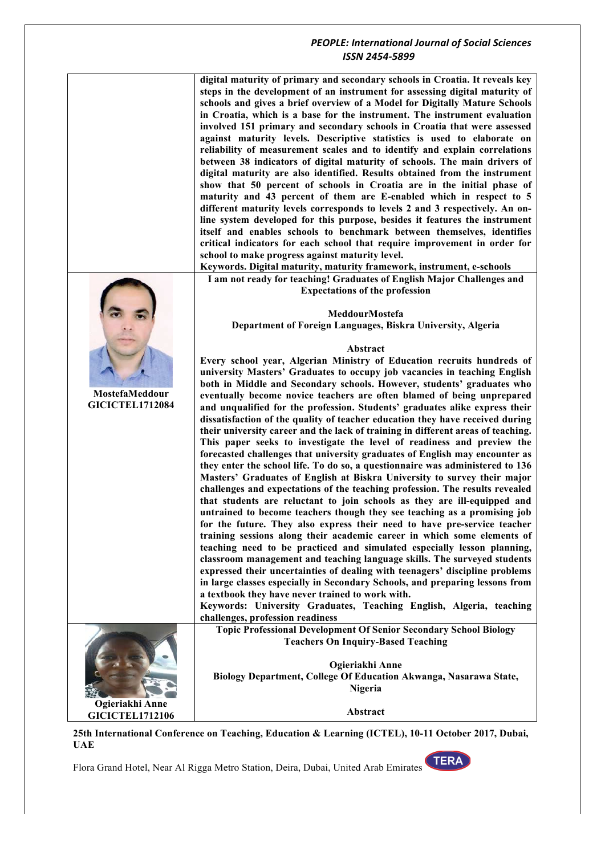**digital maturity of primary and secondary schools in Croatia. It reveals key steps in the development of an instrument for assessing digital maturity of schools and gives a brief overview of a Model for Digitally Mature Schools in Croatia, which is a base for the instrument. The instrument evaluation involved 151 primary and secondary schools in Croatia that were assessed against maturity levels. Descriptive statistics is used to elaborate on reliability of measurement scales and to identify and explain correlations between 38 indicators of digital maturity of schools. The main drivers of digital maturity are also identified. Results obtained from the instrument show that 50 percent of schools in Croatia are in the initial phase of maturity and 43 percent of them are E-enabled which in respect to 5 different maturity levels corresponds to levels 2 and 3 respectively. An online system developed for this purpose, besides it features the instrument itself and enables schools to benchmark between themselves, identifies critical indicators for each school that require improvement in order for school to make progress against maturity level.**

**Keywords. Digital maturity, maturity framework, instrument, e-schools**

#### **I am not ready for teaching! Graduates of English Major Challenges and Expectations of the profession**



**Department of Foreign Languages, Biskra University, Algeria**

#### **Abstract**

**Every school year, Algerian Ministry of Education recruits hundreds of university Masters' Graduates to occupy job vacancies in teaching English both in Middle and Secondary schools. However, students' graduates who eventually become novice teachers are often blamed of being unprepared and unqualified for the profession. Students' graduates alike express their dissatisfaction of the quality of teacher education they have received during their university career and the lack of training in different areas of teaching. This paper seeks to investigate the level of readiness and preview the forecasted challenges that university graduates of English may encounter as they enter the school life. To do so, a questionnaire was administered to 136 Masters' Graduates of English at Biskra University to survey their major challenges and expectations of the teaching profession. The results revealed that students are reluctant to join schools as they are ill-equipped and untrained to become teachers though they see teaching as a promising job for the future. They also express their need to have pre-service teacher training sessions along their academic career in which some elements of teaching need to be practiced and simulated especially lesson planning, classroom management and teaching language skills. The surveyed students expressed their uncertainties of dealing with teenagers' discipline problems in large classes especially in Secondary Schools, and preparing lessons from a textbook they have never trained to work with.** 

**Keywords: University Graduates, Teaching English, Algeria, teaching challenges, profession readiness**

**Topic Professional Development Of Senior Secondary School Biology Teachers On Inquiry-Based Teaching**

**Ogieriakhi Anne Biology Department, College Of Education Akwanga, Nasarawa State, Nigeria**

**Abstract**

**Ogieriakhi Anne GICICTEL1712106**

**MostefaMeddour GICICTEL1712084**

**25th International Conference on Teaching, Education & Learning (ICTEL), 10-11 October 2017, Dubai, UAE**

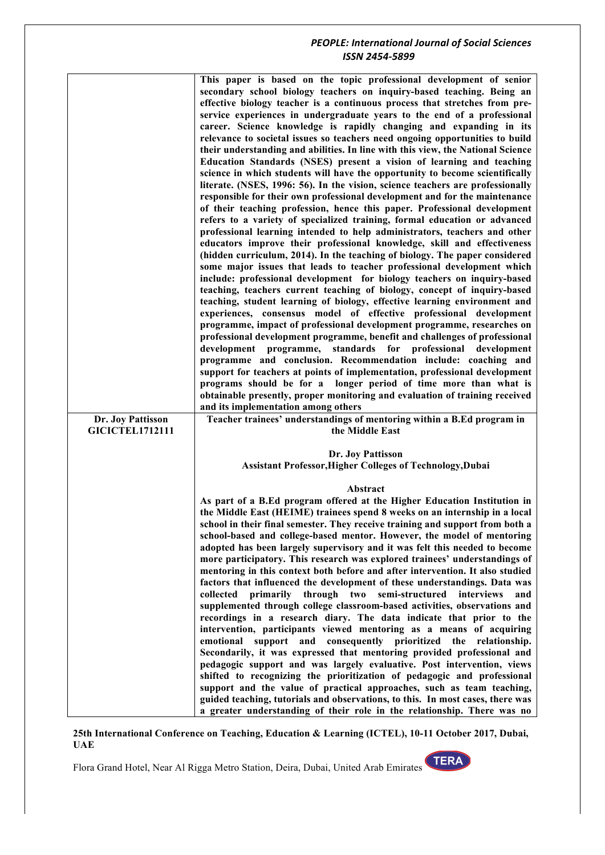|                                             | This paper is based on the topic professional development of senior<br>secondary school biology teachers on inquiry-based teaching. Being an<br>effective biology teacher is a continuous process that stretches from pre-<br>service experiences in undergraduate years to the end of a professional<br>career. Science knowledge is rapidly changing and expanding in its<br>relevance to societal issues so teachers need ongoing opportunities to build<br>their understanding and abilities. In line with this view, the National Science<br>Education Standards (NSES) present a vision of learning and teaching<br>science in which students will have the opportunity to become scientifically<br>literate. (NSES, 1996: 56). In the vision, science teachers are professionally<br>responsible for their own professional development and for the maintenance<br>of their teaching profession, hence this paper. Professional development<br>refers to a variety of specialized training, formal education or advanced<br>professional learning intended to help administrators, teachers and other<br>educators improve their professional knowledge, skill and effectiveness<br>(hidden curriculum, 2014). In the teaching of biology. The paper considered<br>some major issues that leads to teacher professional development which<br>include: professional development for biology teachers on inquiry-based<br>teaching, teachers current teaching of biology, concept of inquiry-based<br>teaching, student learning of biology, effective learning environment and<br>experiences, consensus model of effective professional development<br>programme, impact of professional development programme, researches on<br>professional development programme, benefit and challenges of professional<br>development programme, standards for professional development<br>programme and conclusion. Recommendation include: coaching and<br>support for teachers at points of implementation, professional development<br>programs should be for a longer period of time more than what is<br>obtainable presently, proper monitoring and evaluation of training received |
|---------------------------------------------|----------------------------------------------------------------------------------------------------------------------------------------------------------------------------------------------------------------------------------------------------------------------------------------------------------------------------------------------------------------------------------------------------------------------------------------------------------------------------------------------------------------------------------------------------------------------------------------------------------------------------------------------------------------------------------------------------------------------------------------------------------------------------------------------------------------------------------------------------------------------------------------------------------------------------------------------------------------------------------------------------------------------------------------------------------------------------------------------------------------------------------------------------------------------------------------------------------------------------------------------------------------------------------------------------------------------------------------------------------------------------------------------------------------------------------------------------------------------------------------------------------------------------------------------------------------------------------------------------------------------------------------------------------------------------------------------------------------------------------------------------------------------------------------------------------------------------------------------------------------------------------------------------------------------------------------------------------------------------------------------------------------------------------------------------------------------------------------------------------------------------------------------------------------------------------------|
|                                             | and its implementation among others                                                                                                                                                                                                                                                                                                                                                                                                                                                                                                                                                                                                                                                                                                                                                                                                                                                                                                                                                                                                                                                                                                                                                                                                                                                                                                                                                                                                                                                                                                                                                                                                                                                                                                                                                                                                                                                                                                                                                                                                                                                                                                                                                    |
| Dr. Joy Pattisson<br><b>GICICTEL1712111</b> | Teacher trainees' understandings of mentoring within a B.Ed program in<br>the Middle East                                                                                                                                                                                                                                                                                                                                                                                                                                                                                                                                                                                                                                                                                                                                                                                                                                                                                                                                                                                                                                                                                                                                                                                                                                                                                                                                                                                                                                                                                                                                                                                                                                                                                                                                                                                                                                                                                                                                                                                                                                                                                              |
|                                             | Dr. Joy Pattisson<br>Assistant Professor, Higher Colleges of Technology, Dubai                                                                                                                                                                                                                                                                                                                                                                                                                                                                                                                                                                                                                                                                                                                                                                                                                                                                                                                                                                                                                                                                                                                                                                                                                                                                                                                                                                                                                                                                                                                                                                                                                                                                                                                                                                                                                                                                                                                                                                                                                                                                                                         |
|                                             | Abstract<br>As part of a B.Ed program offered at the Higher Education Institution in<br>the Middle East (HEIME) trainees spend 8 weeks on an internship in a local<br>school in their final semester. They receive training and support from both a<br>school-based and college-based mentor. However, the model of mentoring<br>adopted has been largely supervisory and it was felt this needed to become<br>more participatory. This research was explored trainees' understandings of<br>mentoring in this context both before and after intervention. It also studied<br>factors that influenced the development of these understandings. Data was<br>collected<br>primarily<br>through<br>two<br>semi-structured<br>interviews<br>and<br>supplemented through college classroom-based activities, observations and<br>recordings in a research diary. The data indicate that prior to the<br>intervention, participants viewed mentoring as a means of acquiring<br>emotional<br>support and consequently prioritized<br>the<br>relationship.<br>Secondarily, it was expressed that mentoring provided professional and<br>pedagogic support and was largely evaluative. Post intervention, views<br>shifted to recognizing the prioritization of pedagogic and professional<br>support and the value of practical approaches, such as team teaching,<br>guided teaching, tutorials and observations, to this. In most cases, there was<br>a greater understanding of their role in the relationship. There was no                                                                                                                                                                                                                                                                                                                                                                                                                                                                                                                                                                                                                                                               |

#### **25th International Conference on Teaching, Education & Learning (ICTEL), 10-11 October 2017, Dubai, UAE**

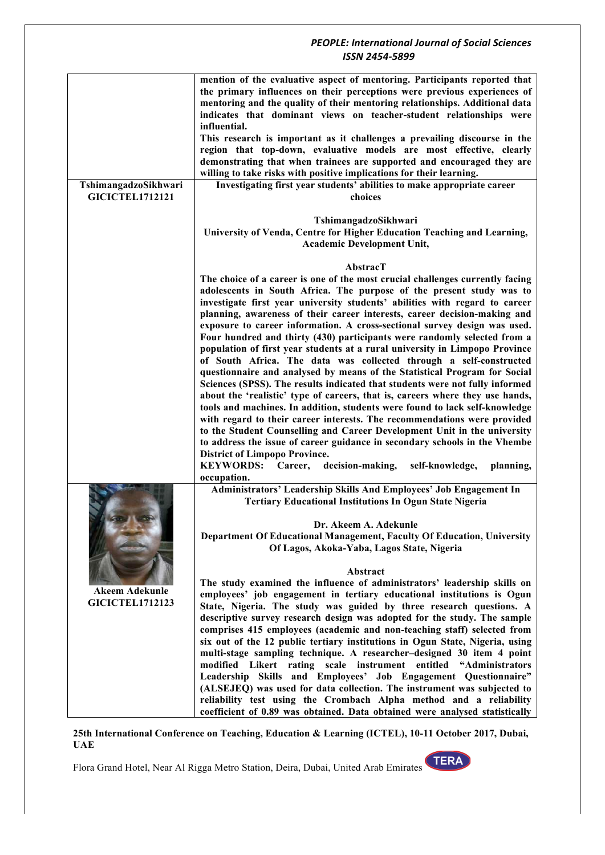|                        | mention of the evaluative aspect of mentoring. Participants reported that     |
|------------------------|-------------------------------------------------------------------------------|
|                        | the primary influences on their perceptions were previous experiences of      |
|                        | mentoring and the quality of their mentoring relationships. Additional data   |
|                        | indicates that dominant views on teacher-student relationships were           |
|                        |                                                                               |
|                        | influential.                                                                  |
|                        | This research is important as it challenges a prevailing discourse in the     |
|                        | region that top-down, evaluative models are most effective, clearly           |
|                        | demonstrating that when trainees are supported and encouraged they are        |
|                        |                                                                               |
|                        | willing to take risks with positive implications for their learning.          |
| TshimangadzoSikhwari   | Investigating first year students' abilities to make appropriate career       |
| <b>GICICTEL1712121</b> | choices                                                                       |
|                        |                                                                               |
|                        | TshimangadzoSikhwari                                                          |
|                        | University of Venda, Centre for Higher Education Teaching and Learning,       |
|                        |                                                                               |
|                        | <b>Academic Development Unit,</b>                                             |
|                        |                                                                               |
|                        | AbstracT                                                                      |
|                        | The choice of a career is one of the most crucial challenges currently facing |
|                        |                                                                               |
|                        | adolescents in South Africa. The purpose of the present study was to          |
|                        | investigate first year university students' abilities with regard to career   |
|                        | planning, awareness of their career interests, career decision-making and     |
|                        | exposure to career information. A cross-sectional survey design was used.     |
|                        | Four hundred and thirty (430) participants were randomly selected from a      |
|                        |                                                                               |
|                        | population of first year students at a rural university in Limpopo Province   |
|                        | of South Africa. The data was collected through a self-constructed            |
|                        | questionnaire and analysed by means of the Statistical Program for Social     |
|                        | Sciences (SPSS). The results indicated that students were not fully informed  |
|                        | about the 'realistic' type of careers, that is, careers where they use hands, |
|                        |                                                                               |
|                        | tools and machines. In addition, students were found to lack self-knowledge   |
|                        | with regard to their career interests. The recommendations were provided      |
|                        | to the Student Counselling and Career Development Unit in the university      |
|                        | to address the issue of career guidance in secondary schools in the Vhembe    |
|                        | <b>District of Limpopo Province.</b>                                          |
|                        | <b>KEYWORDS:</b><br>Career,<br>self-knowledge,                                |
|                        | decision-making,<br>planning,                                                 |
|                        | occupation.                                                                   |
|                        | Administrators' Leadership Skills And Employees' Job Engagement In            |
|                        | <b>Tertiary Educational Institutions In Ogun State Nigeria</b>                |
|                        |                                                                               |
|                        |                                                                               |
|                        | Dr. Akeem A. Adekunle                                                         |
|                        | Department Of Educational Management, Faculty Of Education, University        |
|                        | Of Lagos, Akoka-Yaba, Lagos State, Nigeria                                    |
|                        |                                                                               |
|                        | Abstract                                                                      |
|                        | The study examined the influence of administrators' leadership skills on      |
| <b>Akeem Adekunle</b>  |                                                                               |
| <b>GICICTEL1712123</b> | employees' job engagement in tertiary educational institutions is Ogun        |
|                        | State, Nigeria. The study was guided by three research questions. A           |
|                        | descriptive survey research design was adopted for the study. The sample      |
|                        | comprises 415 employees (academic and non-teaching staff) selected from       |
|                        | six out of the 12 public tertiary institutions in Ogun State, Nigeria, using  |
|                        |                                                                               |
|                        | multi-stage sampling technique. A researcher-designed 30 item 4 point         |
|                        | modified Likert rating scale instrument<br>entitled "Administrators           |
|                        | Leadership Skills and Employees' Job Engagement Questionnaire"                |
|                        | (ALSEJEQ) was used for data collection. The instrument was subjected to       |
|                        | reliability test using the Crombach Alpha method and a reliability            |
|                        |                                                                               |
|                        | coefficient of 0.89 was obtained. Data obtained were analysed statistically   |

**25th International Conference on Teaching, Education & Learning (ICTEL), 10-11 October 2017, Dubai, UAE**

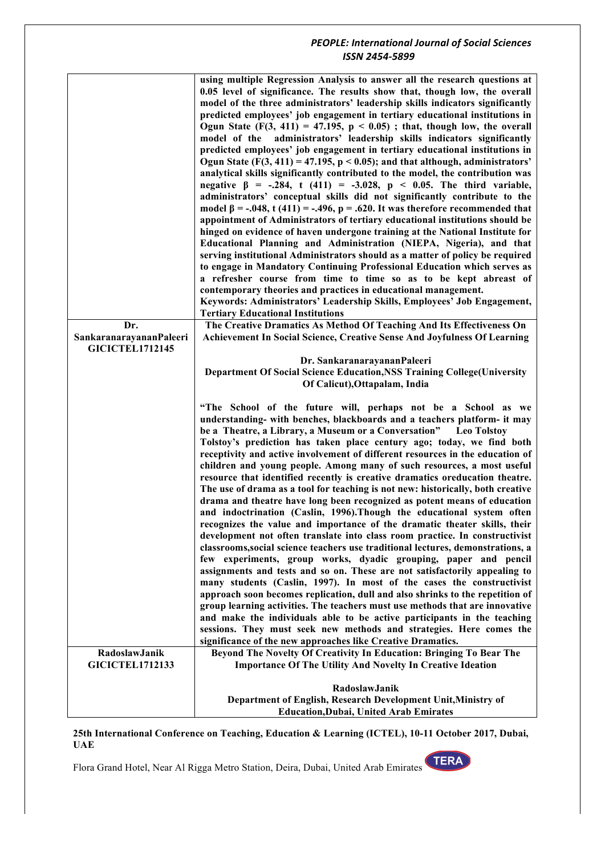| Dr.                     | using multiple Regression Analysis to answer all the research questions at<br>0.05 level of significance. The results show that, though low, the overall<br>model of the three administrators' leadership skills indicators significantly<br>predicted employees' job engagement in tertiary educational institutions in<br>Ogun State $(F(3, 411) = 47.195, p < 0.05)$ ; that, though low, the overall<br>model of the administrators' leadership skills indicators significantly<br>predicted employees' job engagement in tertiary educational institutions in<br>Ogun State $(F(3, 411) = 47.195, p < 0.05)$ ; and that although, administrators'<br>analytical skills significantly contributed to the model, the contribution was<br>negative $\beta$ = -.284, t (411) = -3.028, p < 0.05. The third variable,<br>administrators' conceptual skills did not significantly contribute to the<br>model $\beta$ = -.048, t (411) = -.496, p = .620. It was therefore recommended that<br>appointment of Administrators of tertiary educational institutions should be<br>hinged on evidence of haven undergone training at the National Institute for<br>Educational Planning and Administration (NIEPA, Nigeria), and that<br>serving institutional Administrators should as a matter of policy be required<br>to engage in Mandatory Continuing Professional Education which serves as<br>a refresher course from time to time so as to be kept abreast of<br>contemporary theories and practices in educational management.<br>Keywords: Administrators' Leadership Skills, Employees' Job Engagement,<br><b>Tertiary Educational Institutions</b><br>The Creative Dramatics As Method Of Teaching And Its Effectiveness On |
|-------------------------|-----------------------------------------------------------------------------------------------------------------------------------------------------------------------------------------------------------------------------------------------------------------------------------------------------------------------------------------------------------------------------------------------------------------------------------------------------------------------------------------------------------------------------------------------------------------------------------------------------------------------------------------------------------------------------------------------------------------------------------------------------------------------------------------------------------------------------------------------------------------------------------------------------------------------------------------------------------------------------------------------------------------------------------------------------------------------------------------------------------------------------------------------------------------------------------------------------------------------------------------------------------------------------------------------------------------------------------------------------------------------------------------------------------------------------------------------------------------------------------------------------------------------------------------------------------------------------------------------------------------------------------------------------------------------------------------------------------------------------------|
| SankaranarayananPaleeri | <b>Achievement In Social Science, Creative Sense And Joyfulness Of Learning</b>                                                                                                                                                                                                                                                                                                                                                                                                                                                                                                                                                                                                                                                                                                                                                                                                                                                                                                                                                                                                                                                                                                                                                                                                                                                                                                                                                                                                                                                                                                                                                                                                                                                   |
| <b>GICICTEL1712145</b>  |                                                                                                                                                                                                                                                                                                                                                                                                                                                                                                                                                                                                                                                                                                                                                                                                                                                                                                                                                                                                                                                                                                                                                                                                                                                                                                                                                                                                                                                                                                                                                                                                                                                                                                                                   |
|                         | Dr. SankaranarayananPaleeri                                                                                                                                                                                                                                                                                                                                                                                                                                                                                                                                                                                                                                                                                                                                                                                                                                                                                                                                                                                                                                                                                                                                                                                                                                                                                                                                                                                                                                                                                                                                                                                                                                                                                                       |
|                         | <b>Department Of Social Science Education, NSS Training College (University</b><br>Of Calicut), Ottapalam, India                                                                                                                                                                                                                                                                                                                                                                                                                                                                                                                                                                                                                                                                                                                                                                                                                                                                                                                                                                                                                                                                                                                                                                                                                                                                                                                                                                                                                                                                                                                                                                                                                  |
|                         |                                                                                                                                                                                                                                                                                                                                                                                                                                                                                                                                                                                                                                                                                                                                                                                                                                                                                                                                                                                                                                                                                                                                                                                                                                                                                                                                                                                                                                                                                                                                                                                                                                                                                                                                   |
| RadoslawJanik           | "The School of the future will, perhaps not be a School as we<br>understanding- with benches, blackboards and a teachers platform- it may<br>be a Theatre, a Library, a Museum or a Conversation" Leo Tolstoy<br>Tolstoy's prediction has taken place century ago; today, we find both<br>receptivity and active involvement of different resources in the education of<br>children and young people. Among many of such resources, a most useful<br>resource that identified recently is creative dramatics oreducation theatre.<br>The use of drama as a tool for teaching is not new: historically, both creative<br>drama and theatre have long been recognized as potent means of education<br>and indoctrination (Caslin, 1996). Though the educational system often<br>recognizes the value and importance of the dramatic theater skills, their<br>development not often translate into class room practice. In constructivist<br>classrooms, social science teachers use traditional lectures, demonstrations, a<br>few experiments, group works, dyadic grouping, paper and pencil<br>assignments and tests and so on. These are not satisfactorily appealing to<br>many students (Caslin, 1997). In most of the cases the constructivist<br>approach soon becomes replication, dull and also shrinks to the repetition of<br>group learning activities. The teachers must use methods that are innovative<br>and make the individuals able to be active participants in the teaching<br>sessions. They must seek new methods and strategies. Here comes the<br>significance of the new approaches like Creative Dramatics.<br>Beyond The Novelty Of Creativity In Education: Bringing To Bear The                      |
| <b>GICICTEL1712133</b>  | <b>Importance Of The Utility And Novelty In Creative Ideation</b>                                                                                                                                                                                                                                                                                                                                                                                                                                                                                                                                                                                                                                                                                                                                                                                                                                                                                                                                                                                                                                                                                                                                                                                                                                                                                                                                                                                                                                                                                                                                                                                                                                                                 |
|                         | RadoslawJanik<br>Department of English, Research Development Unit, Ministry of<br><b>Education, Dubai, United Arab Emirates</b>                                                                                                                                                                                                                                                                                                                                                                                                                                                                                                                                                                                                                                                                                                                                                                                                                                                                                                                                                                                                                                                                                                                                                                                                                                                                                                                                                                                                                                                                                                                                                                                                   |

**25th International Conference on Teaching, Education & Learning (ICTEL), 10-11 October 2017, Dubai, UAE**

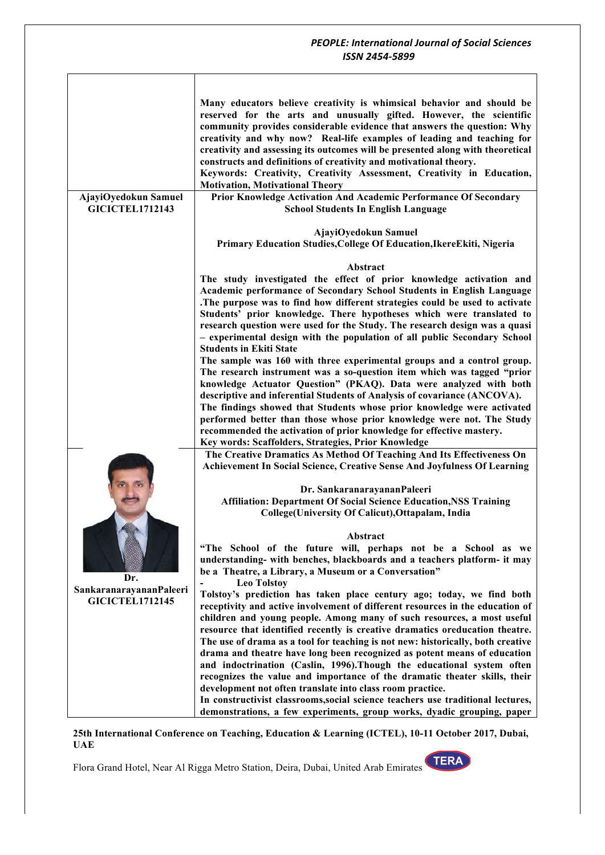|                                                          | Many educators believe creativity is whimsical behavior and should be<br>reserved for the arts and unusually gifted. However, the scientific<br>community provides considerable evidence that answers the question: Why<br>creativity and why now? Real-life examples of leading and teaching for<br>creativity and assessing its outcomes will be presented along with theoretical<br>constructs and definitions of creativity and motivational theory.<br>Keywords: Creativity, Creativity Assessment, Creativity in Education, |
|----------------------------------------------------------|-----------------------------------------------------------------------------------------------------------------------------------------------------------------------------------------------------------------------------------------------------------------------------------------------------------------------------------------------------------------------------------------------------------------------------------------------------------------------------------------------------------------------------------|
| AjayiOyedokun Samuel                                     | <b>Motivation, Motivational Theory</b><br>Prior Knowledge Activation And Academic Performance Of Secondary                                                                                                                                                                                                                                                                                                                                                                                                                        |
| <b>GICICTEL1712143</b>                                   | <b>School Students In English Language</b>                                                                                                                                                                                                                                                                                                                                                                                                                                                                                        |
|                                                          | AjayiOyedokun Samuel<br>Primary Education Studies, College Of Education, Ikere Ekiti, Nigeria                                                                                                                                                                                                                                                                                                                                                                                                                                     |
|                                                          | Abstract                                                                                                                                                                                                                                                                                                                                                                                                                                                                                                                          |
|                                                          | The study investigated the effect of prior knowledge activation and                                                                                                                                                                                                                                                                                                                                                                                                                                                               |
|                                                          | Academic performance of Secondary School Students in English Language                                                                                                                                                                                                                                                                                                                                                                                                                                                             |
|                                                          | .The purpose was to find how different strategies could be used to activate                                                                                                                                                                                                                                                                                                                                                                                                                                                       |
|                                                          | Students' prior knowledge. There hypotheses which were translated to<br>research question were used for the Study. The research design was a quasi                                                                                                                                                                                                                                                                                                                                                                                |
|                                                          | - experimental design with the population of all public Secondary School                                                                                                                                                                                                                                                                                                                                                                                                                                                          |
|                                                          | <b>Students in Ekiti State</b>                                                                                                                                                                                                                                                                                                                                                                                                                                                                                                    |
|                                                          | The sample was 160 with three experimental groups and a control group.                                                                                                                                                                                                                                                                                                                                                                                                                                                            |
|                                                          | The research instrument was a so-question item which was tagged "prior                                                                                                                                                                                                                                                                                                                                                                                                                                                            |
|                                                          | knowledge Actuator Question" (PKAQ). Data were analyzed with both                                                                                                                                                                                                                                                                                                                                                                                                                                                                 |
|                                                          | descriptive and inferential Students of Analysis of covariance (ANCOVA).                                                                                                                                                                                                                                                                                                                                                                                                                                                          |
|                                                          | The findings showed that Students whose prior knowledge were activated<br>performed better than those whose prior knowledge were not. The Study                                                                                                                                                                                                                                                                                                                                                                                   |
|                                                          | recommended the activation of prior knowledge for effective mastery.                                                                                                                                                                                                                                                                                                                                                                                                                                                              |
|                                                          | Key words: Scaffolders, Strategies, Prior Knowledge                                                                                                                                                                                                                                                                                                                                                                                                                                                                               |
|                                                          | The Creative Dramatics As Method Of Teaching And Its Effectiveness On                                                                                                                                                                                                                                                                                                                                                                                                                                                             |
|                                                          | <b>Achievement In Social Science, Creative Sense And Joyfulness Of Learning</b>                                                                                                                                                                                                                                                                                                                                                                                                                                                   |
|                                                          | Dr. SankaranarayananPaleeri                                                                                                                                                                                                                                                                                                                                                                                                                                                                                                       |
|                                                          | <b>Affiliation: Department Of Social Science Education, NSS Training</b>                                                                                                                                                                                                                                                                                                                                                                                                                                                          |
|                                                          | College(University Of Calicut), Ottapalam, India                                                                                                                                                                                                                                                                                                                                                                                                                                                                                  |
|                                                          |                                                                                                                                                                                                                                                                                                                                                                                                                                                                                                                                   |
|                                                          | Abstract<br>"The School of the future will, perhaps not be a School as we                                                                                                                                                                                                                                                                                                                                                                                                                                                         |
| Dr.<br>SankaranarayananPaleeri<br><b>GICICTEL1712145</b> | understanding- with benches, blackboards and a teachers platform- it may                                                                                                                                                                                                                                                                                                                                                                                                                                                          |
|                                                          | be a Theatre, a Library, a Museum or a Conversation"                                                                                                                                                                                                                                                                                                                                                                                                                                                                              |
|                                                          | <b>Leo Tolstoy</b>                                                                                                                                                                                                                                                                                                                                                                                                                                                                                                                |
|                                                          | Tolstoy's prediction has taken place century ago; today, we find both                                                                                                                                                                                                                                                                                                                                                                                                                                                             |
|                                                          | receptivity and active involvement of different resources in the education of<br>children and young people. Among many of such resources, a most useful                                                                                                                                                                                                                                                                                                                                                                           |
|                                                          | resource that identified recently is creative dramatics oreducation theatre.                                                                                                                                                                                                                                                                                                                                                                                                                                                      |
|                                                          | The use of drama as a tool for teaching is not new: historically, both creative                                                                                                                                                                                                                                                                                                                                                                                                                                                   |
|                                                          | drama and theatre have long been recognized as potent means of education                                                                                                                                                                                                                                                                                                                                                                                                                                                          |
|                                                          | and indoctrination (Caslin, 1996). Though the educational system often                                                                                                                                                                                                                                                                                                                                                                                                                                                            |
|                                                          | recognizes the value and importance of the dramatic theater skills, their                                                                                                                                                                                                                                                                                                                                                                                                                                                         |
|                                                          | development not often translate into class room practice.                                                                                                                                                                                                                                                                                                                                                                                                                                                                         |
|                                                          | In constructivist classrooms, social science teachers use traditional lectures,                                                                                                                                                                                                                                                                                                                                                                                                                                                   |
|                                                          | demonstrations, a few experiments, group works, dyadic grouping, paper                                                                                                                                                                                                                                                                                                                                                                                                                                                            |

 $\overline{1}$ 

**25th International Conference on Teaching, Education & Learning (ICTEL), 10-11 October 2017, Dubai, UAE**

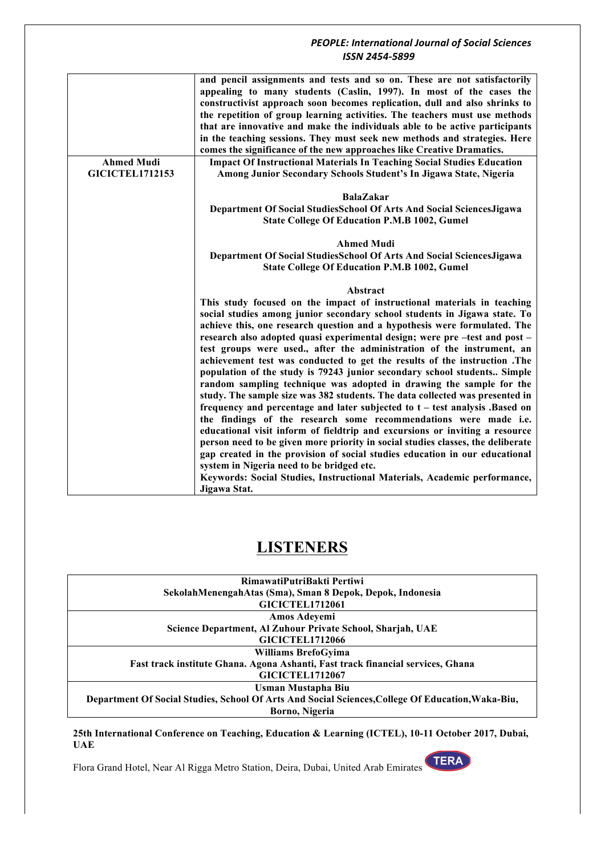|                        | and pencil assignments and tests and so on. These are not satisfactorily                                                                                       |
|------------------------|----------------------------------------------------------------------------------------------------------------------------------------------------------------|
|                        | appealing to many students (Caslin, 1997). In most of the cases the                                                                                            |
|                        | constructivist approach soon becomes replication, dull and also shrinks to                                                                                     |
|                        | the repetition of group learning activities. The teachers must use methods                                                                                     |
|                        | that are innovative and make the individuals able to be active participants                                                                                    |
|                        | in the teaching sessions. They must seek new methods and strategies. Here                                                                                      |
|                        | comes the significance of the new approaches like Creative Dramatics.                                                                                          |
| <b>Ahmed Mudi</b>      | <b>Impact Of Instructional Materials In Teaching Social Studies Education</b>                                                                                  |
| <b>GICICTEL1712153</b> | Among Junior Secondary Schools Student's In Jigawa State, Nigeria                                                                                              |
|                        |                                                                                                                                                                |
|                        | <b>BalaZakar</b>                                                                                                                                               |
|                        | Department Of Social StudiesSchool Of Arts And Social SciencesJigawa                                                                                           |
|                        | <b>State College Of Education P.M.B 1002, Gumel</b>                                                                                                            |
|                        |                                                                                                                                                                |
|                        | <b>Ahmed Mudi</b>                                                                                                                                              |
|                        | Department Of Social StudiesSchool Of Arts And Social SciencesJigawa                                                                                           |
|                        | <b>State College Of Education P.M.B 1002, Gumel</b>                                                                                                            |
|                        |                                                                                                                                                                |
|                        | Abstract                                                                                                                                                       |
|                        | This study focused on the impact of instructional materials in teaching                                                                                        |
|                        | social studies among junior secondary school students in Jigawa state. To                                                                                      |
|                        | achieve this, one research question and a hypothesis were formulated. The                                                                                      |
|                        | research also adopted quasi experimental design; were pre-test and post-                                                                                       |
|                        | test groups were used., after the administration of the instrument, an                                                                                         |
|                        | achievement test was conducted to get the results of the instruction .The                                                                                      |
|                        | population of the study is 79243 junior secondary school students Simple                                                                                       |
|                        | random sampling technique was adopted in drawing the sample for the                                                                                            |
|                        | study. The sample size was 382 students. The data collected was presented in                                                                                   |
|                        | frequency and percentage and later subjected to t - test analysis .Based on                                                                                    |
|                        | the findings of the research some recommendations were made i.e.                                                                                               |
|                        |                                                                                                                                                                |
|                        | educational visit inform of fieldtrip and excursions or inviting a resource                                                                                    |
|                        | person need to be given more priority in social studies classes, the deliberate<br>gap created in the provision of social studies education in our educational |
|                        |                                                                                                                                                                |
|                        |                                                                                                                                                                |
|                        | system in Nigeria need to be bridged etc.                                                                                                                      |
|                        | Keywords: Social Studies, Instructional Materials, Academic performance,<br>Jigawa Stat.                                                                       |

# **LISTENERS**

| RimawatiPutriBakti Pertiwi                                                                        |
|---------------------------------------------------------------------------------------------------|
| SekolahMenengahAtas (Sma), Sman 8 Depok, Depok, Indonesia                                         |
| <b>GICICTEL1712061</b>                                                                            |
| Amos Adeyemi                                                                                      |
| Science Department, Al Zuhour Private School, Sharjah, UAE                                        |
| <b>GICICTEL1712066</b>                                                                            |
| Williams BrefoGyima                                                                               |
| Fast track institute Ghana. Agona Ashanti, Fast track financial services, Ghana                   |
| <b>GICICTEL1712067</b>                                                                            |
| Usman Mustapha Biu                                                                                |
| Department Of Social Studies, School Of Arts And Social Sciences, College Of Education, Waka-Biu, |
| Borno, Nigeria                                                                                    |
|                                                                                                   |

**25th International Conference on Teaching, Education & Learning (ICTEL), 10-11 October 2017, Dubai, UAE**

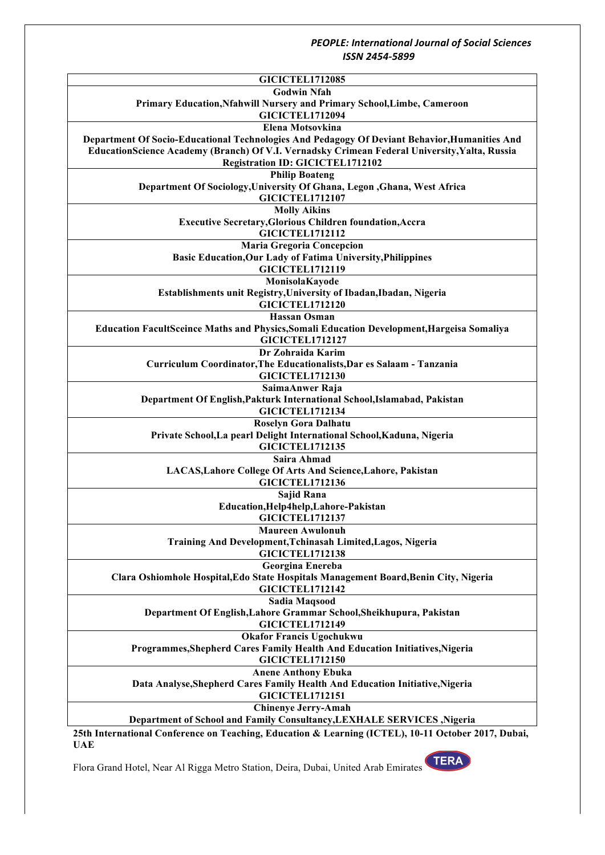| <b>GICICTEL1712085</b>                                                                          |
|-------------------------------------------------------------------------------------------------|
| <b>Godwin Nfah</b>                                                                              |
| Primary Education, Nfahwill Nursery and Primary School, Limbe, Cameroon                         |
| <b>GICICTEL1712094</b>                                                                          |
| Elena Motsovkina                                                                                |
| Department Of Socio-Educational Technologies And Pedagogy Of Deviant Behavior, Humanities And   |
| EducationScience Academy (Branch) Of V.I. Vernadsky Crimean Federal University, Yalta, Russia   |
|                                                                                                 |
| <b>Registration ID: GICICTEL1712102</b>                                                         |
| <b>Philip Boateng</b>                                                                           |
| Department Of Sociology, University Of Ghana, Legon , Ghana, West Africa                        |
| <b>GICICTEL1712107</b>                                                                          |
| <b>Molly Aikins</b>                                                                             |
| <b>Executive Secretary, Glorious Children foundation, Accra</b>                                 |
| <b>GICICTEL1712112</b>                                                                          |
| <b>Maria Gregoria Concepcion</b>                                                                |
| <b>Basic Education, Our Lady of Fatima University, Philippines</b>                              |
| <b>GICICTEL1712119</b>                                                                          |
| MonisolaKayode                                                                                  |
| Establishments unit Registry, University of Ibadan, Ibadan, Nigeria                             |
| <b>GICICTEL1712120</b>                                                                          |
| <b>Hassan Osman</b>                                                                             |
| Education FacultSceince Maths and Physics, Somali Education Development, Hargeisa Somaliya      |
| <b>GICICTEL1712127</b>                                                                          |
| Dr Zohraida Karim                                                                               |
| Curriculum Coordinator, The Educationalists, Dar es Salaam - Tanzania                           |
| <b>GICICTEL1712130</b>                                                                          |
|                                                                                                 |
| SaimaAnwer Raja                                                                                 |
| Department Of English, Pakturk International School, Islamabad, Pakistan                        |
| <b>GICICTEL1712134</b>                                                                          |
| Roselyn Gora Dalhatu                                                                            |
| Private School, La pearl Delight International School, Kaduna, Nigeria                          |
| <b>GICICTEL1712135</b>                                                                          |
| Saira Ahmad                                                                                     |
| LACAS, Lahore College Of Arts And Science, Lahore, Pakistan                                     |
| <b>GICICTEL1712136</b>                                                                          |
| Sajid Rana                                                                                      |
| Education, Help4help, Lahore-Pakistan                                                           |
| <b>GICICTEL1712137</b>                                                                          |
| <b>Maureen Awulonuh</b>                                                                         |
| Training And Development, Tchinasah Limited, Lagos, Nigeria                                     |
| <b>GICICTEL1712138</b>                                                                          |
| Georgina Enereba                                                                                |
| Clara Oshiomhole Hospital, Edo State Hospitals Management Board, Benin City, Nigeria            |
| <b>GICICTEL1712142</b>                                                                          |
| Sadia Maqsood                                                                                   |
| Department Of English, Lahore Grammar School, Sheikhupura, Pakistan                             |
| <b>GICICTEL1712149</b>                                                                          |
|                                                                                                 |
| <b>Okafor Francis Ugochukwu</b>                                                                 |
| Programmes, Shepherd Cares Family Health And Education Initiatives, Nigeria                     |
| <b>GICICTEL1712150</b>                                                                          |
| <b>Anene Anthony Ebuka</b>                                                                      |
| Data Analyse, Shepherd Cares Family Health And Education Initiative, Nigeria                    |
| <b>GICICTEL1712151</b>                                                                          |
| <b>Chinenye Jerry-Amah</b>                                                                      |
| Department of School and Family Consultancy, LEXHALE SERVICES, Nigeria                          |
| 25th International Conference on Teaching Education & Learning (ICTEL) 10.11 October 2017 Dubai |

**25th International Conference on Teaching, Education & Learning (ICTEL), 10-11 October 2017, Dubai, UAE**